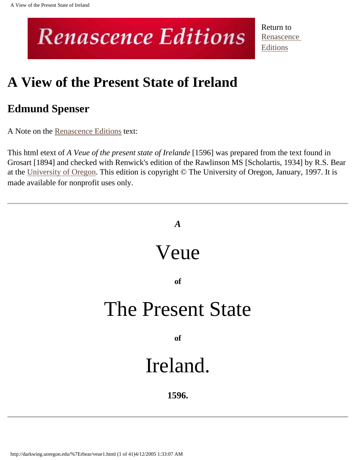# **Renascence Editions**

Return to [Renascence](http://darkwing.uoregon.edu/~rbear/ren.htm)  [Editions](http://darkwing.uoregon.edu/~rbear/ren.htm)

## **A View of the Present State of Ireland**

## **Edmund Spenser**

A Note on the [Renascence Editions](http://darkwing.uoregon.edu/~rbear/ren.htm) text:

This html etext of *A Veue of the present state of Irelande* [1596] was prepared from the text found in Grosart [1894] and checked with Renwick's edition of the Rawlinson MS [Scholartis, 1934] by R.S. Bear at the [University of Oregon.](http://www.uoregon.edu/) This edition is copyright © The University of Oregon, January, 1997. It is made available for nonprofit uses only.

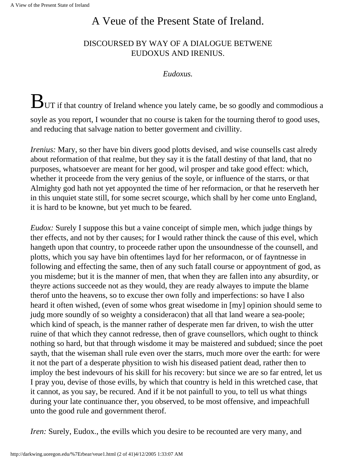## A Veue of the Present State of Ireland.

#### DISCOURSED BY WAY OF A DIALOGUE BETWENE EUDOXUS AND IRENIUS.

#### *Eudoxus.*

 $\mathbf{B}_{\text{UT}}$  if that country of Ireland whence you lately came, be so goodly and commodious a soyle as you report, I wounder that no course is taken for the tourning therof to good uses, and reducing that salvage nation to better goverment and civillity.

*Irenius:* Mary, so ther have bin divers good plotts devised, and wise counsells cast alredy about reformation of that realme, but they say it is the fatall destiny of that land, that no purposes, whatsoever are meant for her good, wil prosper and take good effect: which, whether it proceede from the very genius of the soyle, or influence of the starrs, or that Almighty god hath not yet appoynted the time of her reformacion, or that he reserveth her in this unquiet state still, for some secret scourge, which shall by her come unto England, it is hard to be knowne, but yet much to be feared.

*Eudox:* Surely I suppose this but a vaine conceipt of simple men, which judge things by ther effects, and not by ther causes; for I would rather thinck the cause of this evel, which hangeth upon that country, to proceede rather upon the unsoundnesse of the counsell, and plotts, which you say have bin oftentimes layd for her reformacon, or of fayntnesse in following and effecting the same, then of any such fatall course or appoyntment of god, as you misdeme; but it is the manner of men, that when they are fallen into any absurdity, or theyre actions succeede not as they would, they are ready alwayes to impute the blame therof unto the heavens, so to excuse ther own folly and imperfections: so have I also heard it often wished, (even of some whos great wisedome in [my] opinion should seme to judg more soundly of so weighty a consideracon) that all that land weare a sea-poole; which kind of speach, is the manner rather of desperate men far driven, to wish the utter ruine of that which they cannot redresse, then of grave counsellors, which ought to thinck nothing so hard, but that through wisdome it may be maistered and subdued; since the poet sayth, that the wiseman shall rule even over the starrs, much more over the earth: for were it not the part of a desperate physition to wish his diseased patient dead, rather then to imploy the best indevours of his skill for his recovery: but since we are so far entred, let us I pray you, devise of those evills, by which that country is held in this wretched case, that it cannot, as you say, be recured. And if it be not painfull to you, to tell us what things during your late continuance ther, you observed, to be most offensive, and impeachfull unto the good rule and government therof.

*Iren:* Surely, Eudox., the evills which you desire to be recounted are very many, and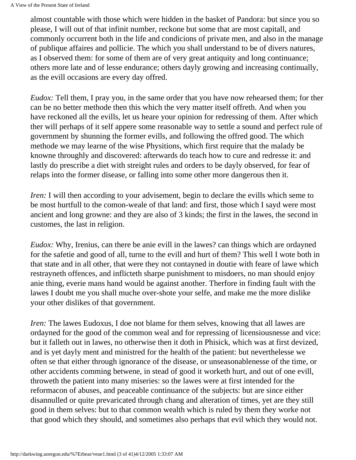almost countable with those which were hidden in the basket of Pandora: but since you so please, I will out of that infinit number, reckone but some that are most capitall, and commonly occurrent both in the life and condicions of private men, and also in the manage of publique affaires and pollicie. The which you shall understand to be of divers natures, as I observed them: for some of them are of very great antiquity and long continuance; others more late and of lesse endurance; others dayly growing and increasing continually, as the evill occasions are every day offred.

*Eudox:* Tell them, I pray you, in the same order that you have now rehearsed them; for ther can be no better methode then this which the very matter itself offreth. And when you have reckoned all the evills, let us heare your opinion for redressing of them. After which ther will perhaps of it self appere some reasonable way to settle a sound and perfect rule of government by shunning the former evills, and following the offred good. The which methode we may learne of the wise Physitions, which first require that the malady be knowne throughly and discovered: afterwards do teach how to cure and redresse it: and lastly do prescribe a diet with streight rules and orders to be dayly observed, for fear of relaps into the former disease, or falling into some other more dangerous then it.

*Iren:* I will then according to your advisement, begin to declare the evills which seme to be most hurtfull to the comon-weale of that land: and first, those which I sayd were most ancient and long growne: and they are also of 3 kinds; the first in the lawes, the second in customes, the last in religion.

*Eudox:* Why, Irenius, can there be anie evill in the lawes? can things which are ordayned for the safetie and good of all, turne to the evill and hurt of them? This well I wote both in that state and in all other, that were they not contayned in doutie with feare of lawe which restrayneth offences, and inflicteth sharpe punishment to misdoers, no man should enjoy anie thing, everie mans hand would be against another. Therfore in finding fault with the lawes I doubt me you shall muche over-shote your selfe, and make me the more dislike your other dislikes of that government.

*Iren:* The lawes Eudoxus, I doe not blame for them selves, knowing that all lawes are ordayned for the good of the common weal and for repressing of licensiousnesse and vice: but it falleth out in lawes, no otherwise then it doth in Phisick, which was at first devized, and is yet dayly ment and ministred for the health of the patient: but neverthelesse we often se that either through ignorance of the disease, or unseasonablenesse of the time, or other accidents comming betwene, in stead of good it worketh hurt, and out of one evill, throweth the patient into many miseries: so the lawes were at first intended for the reformacon of abuses, and peaceable continuance of the subjects: but are since either disannulled or quite prevaricated through chang and alteration of times, yet are they still good in them selves: but to that common wealth which is ruled by them they worke not that good which they should, and sometimes also perhaps that evil which they would not.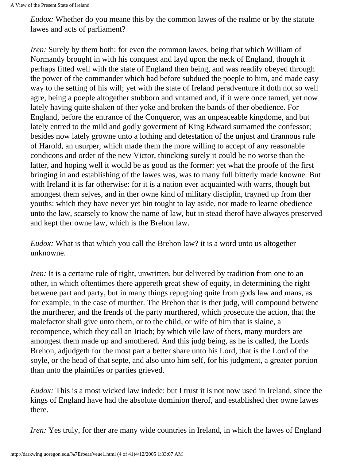*Eudox:* Whether do you meane this by the common lawes of the realme or by the statute lawes and acts of parliament?

*Iren:* Surely by them both: for even the common lawes, being that which William of Normandy brought in with his conquest and layd upon the neck of England, though it perhaps fitted well with the state of England then being, and was readily obeyed through the power of the commander which had before subdued the poeple to him, and made easy way to the setting of his will; yet with the state of Ireland peradventure it doth not so well agre, being a poeple altogether stubborn and vntamed and, if it were once tamed, yet now lately having quite shaken of ther yoke and broken the bands of ther obedience. For England, before the entrance of the Conqueror, was an unpeaceable kingdome, and but lately entred to the mild and godly goverment of King Edward surnamed the confessor; besides now lately growne unto a lothing and detestation of the unjust and tirannous rule of Harold, an usurper, which made them the more willing to accept of any reasonable condicons and order of the new Victor, thincking surely it could be no worse than the latter, and hoping well it would be as good as the former: yet what the proofe of the first bringing in and establishing of the lawes was, was to many full bitterly made knowne. But with Ireland it is far otherwise: for it is a nation ever acquainted with warrs, though but amongest them selves, and in ther owne kind of military disciplin, trayned up from ther youths: which they have never yet bin tought to lay aside, nor made to learne obedience unto the law, scarsely to know the name of law, but in stead therof have alwayes preserved and kept ther owne law, which is the Brehon law.

*Eudox:* What is that which you call the Brehon law? it is a word unto us altogether unknowne.

*Iren:* It is a certaine rule of right, unwritten, but delivered by tradition from one to an other, in which oftentimes there appereth great shew of equity, in determining the right betwene part and party, but in many things repugning quite from gods law and mans, as for example, in the case of murther. The Brehon that is ther judg, will compound betwene the murtherer, and the frends of the party murthered, which prosecute the action, that the malefactor shall give unto them, or to the child, or wife of him that is slaine, a recompence, which they call an Iriach; by which vile law of thers, many murders are amongest them made up and smothered. And this judg being, as he is called, the Lords Brehon, adjudgeth for the most part a better share unto his Lord, that is the Lord of the soyle, or the head of that septe, and also unto him self, for his judgment, a greater portion than unto the plaintifes or parties grieved.

*Eudox:* This is a most wicked law indede: but I trust it is not now used in Ireland, since the kings of England have had the absolute dominion therof, and established ther owne lawes there.

*Iren:* Yes truly, for ther are many wide countries in Ireland, in which the lawes of England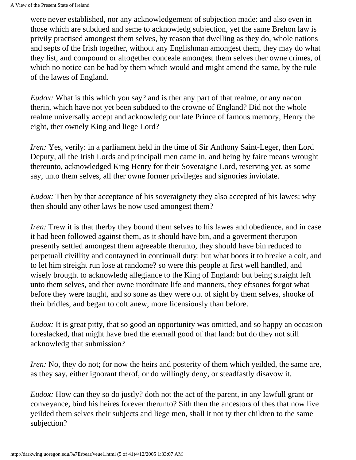were never established, nor any acknowledgement of subjection made: and also even in those which are subdued and seme to acknowledg subjection, yet the same Brehon law is privily practised amongest them selves, by reason that dwelling as they do, whole nations and septs of the Irish together, without any Englishman amongest them, they may do what they list, and compound or altogether conceale amongest them selves ther owne crimes, of which no notice can be had by them which would and might amend the same, by the rule of the lawes of England.

*Eudox:* What is this which you say? and is ther any part of that realme, or any nacon therin, which have not yet been subdued to the crowne of England? Did not the whole realme universally accept and acknowledg our late Prince of famous memory, Henry the eight, ther ownely King and liege Lord?

*Iren:* Yes, verily: in a parliament held in the time of Sir Anthony Saint-Leger, then Lord Deputy, all the Irish Lords and principall men came in, and being by faire means wrought thereunto, acknowledged King Henry for their Soveraigne Lord, reserving yet, as some say, unto them selves, all ther owne former privileges and signories inviolate.

*Eudox:* Then by that acceptance of his soveraignety they also accepted of his lawes: why then should any other laws be now used amongest them?

*Iren:* Trew it is that therby they bound them selves to his lawes and obedience, and in case it had been followed against them, as it should have bin, and a goverment therupon presently settled amongest them agreeable therunto, they should have bin reduced to perpetuall civillity and contayned in continuall duty: but what boots it to breake a colt, and to let him streight run lose at randome? so were this people at first well handled, and wisely brought to acknowledg allegiance to the King of England: but being straight left unto them selves, and ther owne inordinate life and manners, they eftsones forgot what before they were taught, and so sone as they were out of sight by them selves, shooke of their bridles, and began to colt anew, more licensiously than before.

*Eudox:* It is great pitty, that so good an opportunity was omitted, and so happy an occasion foreslacked, that might have bred the eternall good of that land: but do they not still acknowledg that submission?

*Iren:* No, they do not; for now the heirs and posterity of them which yeilded, the same are, as they say, either ignorant therof, or do willingly deny, or steadfastly disavow it.

*Eudox:* How can they so do justly? doth not the act of the parent, in any lawfull grant or conveyance, bind his heires forever therunto? Sith then the ancestors of thes that now live yeilded them selves their subjects and liege men, shall it not ty ther children to the same subjection?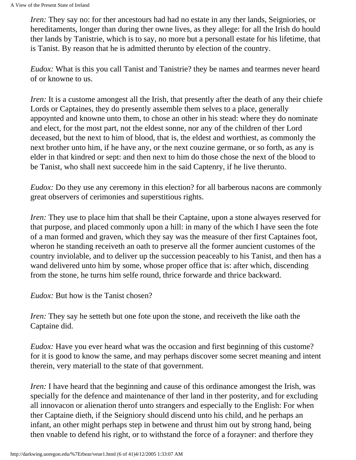*Iren:* They say no: for ther ancestours had had no estate in any ther lands, Seigniories, or hereditaments, longer than during ther owne lives, as they allege: for all the Irish do hould ther lands by Tanistrie, which is to say, no more but a personall estate for his lifetime, that is Tanist. By reason that he is admitted therunto by election of the country.

*Eudox:* What is this you call Tanist and Tanistrie? they be names and tearmes never heard of or knowne to us.

*Iren:* It is a custome amongest all the Irish, that presently after the death of any their chiefe Lords or Captaines, they do presently assemble them selves to a place, generally appoynted and knowne unto them, to chose an other in his stead: where they do nominate and elect, for the most part, not the eldest sonne, nor any of the children of ther Lord deceased, but the next to him of blood, that is, the eldest and worthiest, as commonly the next brother unto him, if he have any, or the next couzine germane, or so forth, as any is elder in that kindred or sept: and then next to him do those chose the next of the blood to be Tanist, who shall next succeede him in the said Captenry, if he live therunto.

*Eudox:* Do they use any ceremony in this election? for all barberous nacons are commonly great observers of cerimonies and superstitious rights.

*Iren:* They use to place him that shall be their Captaine, upon a stone alwayes reserved for that purpose, and placed commonly upon a hill: in many of the which I have seen the fote of a man formed and graven, which they say was the measure of ther first Captaines foot, wheron he standing receiveth an oath to preserve all the former auncient customes of the country inviolable, and to deliver up the succession peaceably to his Tanist, and then has a wand delivered unto him by some, whose proper office that is: after which, discending from the stone, he turns him selfe round, thrice forwarde and thrice backward.

*Eudox:* But how is the Tanist chosen?

*Iren:* They say he setteth but one fote upon the stone, and receiveth the like oath the Captaine did.

*Eudox:* Have you ever heard what was the occasion and first beginning of this custome? for it is good to know the same, and may perhaps discover some secret meaning and intent therein, very materiall to the state of that government.

*Iren:* I have heard that the beginning and cause of this ordinance amongest the Irish, was specially for the defence and maintenance of ther land in ther posterity, and for excluding all innovacon or alienation therof unto strangers and especially to the English: For when ther Captaine dieth, if the Seigniory should discend unto his child, and he perhaps an infant, an other might perhaps step in betwene and thrust him out by strong hand, being then vnable to defend his right, or to withstand the force of a forayner: and therfore they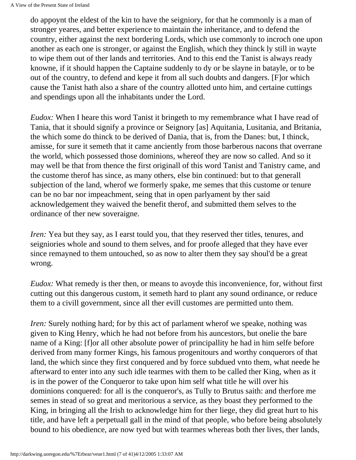do appoynt the eldest of the kin to have the seigniory, for that he commonly is a man of stronger yeares, and better experience to maintain the inheritance, and to defend the country, either against the next bordering Lords, which use commonly to incroch one upon another as each one is stronger, or against the English, which they thinck ly still in wayte to wipe them out of ther lands and territories. And to this end the Tanist is always ready knowne, if it should happen the Captaine suddenly to dy or be slayne in batayle, or to be out of the country, to defend and kepe it from all such doubts and dangers. [F]or which cause the Tanist hath also a share of the country allotted unto him, and certaine cuttings and spendings upon all the inhabitants under the Lord.

*Eudox:* When I heare this word Tanist it bringeth to my remembrance what I have read of Tania, that it should signify a province or Seignory [as] Aquitania, Lusitania, and Britania, the which some do thinck to be derived of Dania, that is, from the Danes: but, I thinck, amisse, for sure it semeth that it came anciently from those barberous nacons that overrane the world, which possessed those dominions, whereof they are now so called. And so it may well be that from thence the first originall of this word Tanist and Tanistry came, and the custome therof has since, as many others, else bin continued: but to that generall subjection of the land, wherof we formerly spake, me semes that this custome or tenure can be no bar nor impeachment, seing that in open parlyament by ther said acknowledgement they waived the benefit therof, and submitted them selves to the ordinance of ther new soveraigne.

*Iren:* Yea but they say, as I earst tould you, that they reserved ther titles, tenures, and seigniories whole and sound to them selves, and for proofe alleged that they have ever since remayned to them untouched, so as now to alter them they say shoul'd be a great wrong.

*Eudox:* What remedy is ther then, or means to avoyde this inconvenience, for, without first cutting out this dangerous custom, it semeth hard to plant any sound ordinance, or reduce them to a civill government, since all ther evill customes are permitted unto them.

*Iren:* Surely nothing hard; for by this act of parlament wherof we speake, nothing was given to King Henry, which he had not before from his auncestors, but onelie the bare name of a King: [f]or all other absolute power of principallity he had in him selfe before derived from many former Kings, his famous progenitours and worthy conquerors of that land, the which since they first conquered and by force subdued vnto them, what neede he afterward to enter into any such idle tearmes with them to be called ther King, when as it is in the power of the Conqueror to take upon him self what title he will over his dominions conquered: for all is the conqueror's, as Tully to Brutus saith: and therfore me semes in stead of so great and meritorious a service, as they boast they performed to the King, in bringing all the Irish to acknowledge him for ther liege, they did great hurt to his title, and have left a perpetuall gall in the mind of that people, who before being absolutely bound to his obedience, are now tyed but with tearmes whereas both ther lives, ther lands,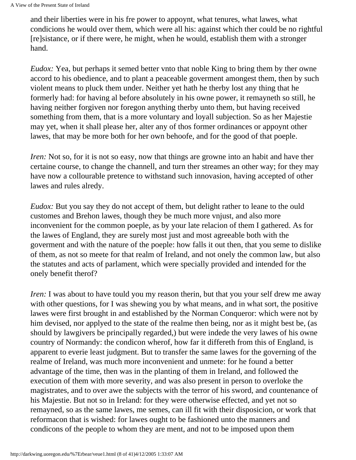and their liberties were in his fre power to appoynt, what tenures, what lawes, what condicions he would over them, which were all his: against which ther could be no rightful [re]sistance, or if there were, he might, when he would, establish them with a stronger hand.

*Eudox:* Yea, but perhaps it semed better vnto that noble King to bring them by ther owne accord to his obedience, and to plant a peaceable goverment amongest them, then by such violent means to pluck them under. Neither yet hath he therby lost any thing that he formerly had: for having al before absolutely in his owne power, it remayneth so still, he having neither forgiven nor foregon anything therby unto them, but having received something from them, that is a more voluntary and loyall subjection. So as her Majestie may yet, when it shall please her, alter any of thos former ordinances or appoynt other lawes, that may be more both for her own behoofe, and for the good of that poeple.

*Iren:* Not so, for it is not so easy, now that things are growne into an habit and have ther certaine course, to change the channell, and turn ther streames an other way; for they may have now a collourable pretence to withstand such innovasion, having accepted of other lawes and rules alredy.

*Eudox:* But you say they do not accept of them, but delight rather to leane to the ould customes and Brehon lawes, though they be much more vnjust, and also more inconvenient for the common poeple, as by your late relacion of them I gathered. As for the lawes of England, they are surely most just and most agreeable both with the goverment and with the nature of the poeple: how falls it out then, that you seme to dislike of them, as not so meete for that realm of Ireland, and not onely the common law, but also the statutes and acts of parlament, which were specially provided and intended for the onely benefit therof?

*Iren*: I was about to have tould you my reason therin, but that you your self drew me away with other questions, for I was shewing you by what means, and in what sort, the positive lawes were first brought in and established by the Norman Conqueror: which were not by him devised, nor applyed to the state of the realme then being, nor as it might best be, (as should by lawgivers be principally regarded,) but were indede the very lawes of his owne country of Normandy: the condicon wherof, how far it differeth from this of England, is apparent to everie least judgment. But to transfer the same lawes for the governing of the realme of Ireland, was much more inconvenient and unmete: for he found a better advantage of the time, then was in the planting of them in Ireland, and followed the execution of them with more severity, and was also present in person to overloke the magistrates, and to over awe the subjects with the terror of his sword, and countenance of his Majestie. But not so in Ireland: for they were otherwise effected, and yet not so remayned, so as the same lawes, me semes, can ill fit with their disposicion, or work that reformacon that is wished: for lawes ought to be fashioned unto the manners and condicons of the people to whom they are ment, and not to be imposed upon them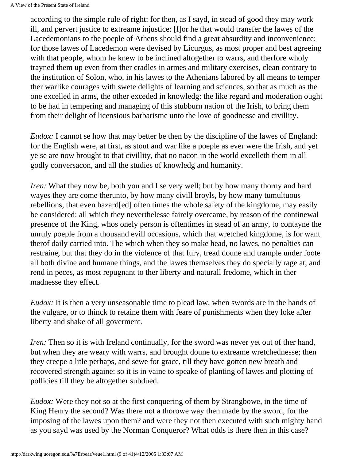according to the simple rule of right: for then, as I sayd, in stead of good they may work ill, and pervert justice to extreame injustice: [f]or he that would transfer the lawes of the Lacedemonians to the poeple of Athens should find a great absurdity and inconvenience: for those lawes of Lacedemon were devised by Licurgus, as most proper and best agreeing with that people, whom he knew to be inclined altogether to warrs, and therfore wholy trayned them up even from ther cradles in armes and military exercises, clean contrary to the institution of Solon, who, in his lawes to the Athenians labored by all means to temper ther warlike courages with swete delights of learning and sciences, so that as much as the one excelled in arms, the other exceded in knowledg: the like regard and moderation ought to be had in tempering and managing of this stubburn nation of the Irish, to bring them from their delight of licensious barbarisme unto the love of goodnesse and civillity.

*Eudox:* I cannot se how that may better be then by the discipline of the lawes of England: for the English were, at first, as stout and war like a poeple as ever were the Irish, and yet ye se are now brought to that civillity, that no nacon in the world excelleth them in all godly conversacon, and all the studies of knowledg and humanity.

*Iren:* What they now be, both you and I se very well; but by how many thorny and hard wayes they are come therunto, by how many civill broyls, by how many tumultuous rebellions, that even hazard[ed] often times the whole safety of the kingdome, may easily be considered: all which they neverthelesse fairely overcame, by reason of the continewal presence of the King, whos onely person is oftentimes in stead of an army, to contayne the unruly poeple from a thousand evill occasions, which that wretched kingdome, is for want therof daily carried into. The which when they so make head, no lawes, no penalties can restraine, but that they do in the violence of that fury, tread doune and trample under foote all both divine and humane things, and the lawes themselves they do specially rage at, and rend in peces, as most repugnant to ther liberty and naturall fredome, which in ther madnesse they effect.

*Eudox*: It is then a very unseasonable time to plead law, when swords are in the hands of the vulgare, or to thinck to retaine them with feare of punishments when they loke after liberty and shake of all goverment.

*Iren:* Then so it is with Ireland continually, for the sword was never yet out of ther hand, but when they are weary with warrs, and brought doune to extreame wretchednesse; then they creepe a litle perhaps, and sewe for grace, till they have gotten new breath and recovered strength againe: so it is in vaine to speake of planting of lawes and plotting of pollicies till they be altogether subdued.

*Eudox:* Were they not so at the first conquering of them by Strangbowe, in the time of King Henry the second? Was there not a thorowe way then made by the sword, for the imposing of the lawes upon them? and were they not then executed with such mighty hand as you sayd was used by the Norman Conqueror? What odds is there then in this case?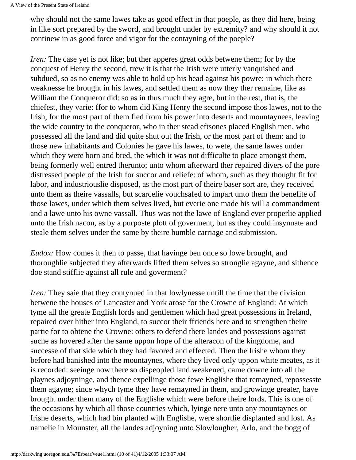why should not the same lawes take as good effect in that poeple, as they did here, being in like sort prepared by the sword, and brought under by extremity? and why should it not continew in as good force and vigor for the contayning of the poeple?

*Iren:* The case yet is not like; but ther apperes great odds betwene them; for by the conquest of Henry the second, trew it is that the Irish were utterly vanquished and subdued, so as no enemy was able to hold up his head against his powre: in which there weaknesse he brought in his lawes, and settled them as now they ther remaine, like as William the Conqueror did: so as in thus much they agre, but in the rest, that is, the chiefest, they varie: ffor to whom did King Henry the second impose thos lawes, not to the Irish, for the most part of them fled from his power into deserts and mountaynees, leaving the wide country to the conqueror, who in ther stead eftsones placed English men, who possessed all the land and did quite shut out the Irish, or the most part of them: and to those new inhabitants and Colonies he gave his lawes, to wete, the same lawes under which they were born and bred, the which it was not difficulte to place amongst them, being formerly well entred therunto; unto whom afterward ther repaired divers of the pore distressed poeple of the Irish for succor and reliefe: of whom, such as they thought fit for labor, and industriouslie disposed, as the most part of theire baser sort are, they received unto them as theire vassalls, but scarcelie vouchsafed to impart unto them the benefite of those lawes, under which them selves lived, but everie one made his will a commandment and a lawe unto his owne vassall. Thus was not the lawe of England ever properlie applied unto the Irish nacon, as by a purposte plott of goverment, but as they could insynuate and steale them selves under the same by theire humble carriage and submission.

*Eudox:* How comes it then to passe, that havinge ben once so lowe brought, and thoroughlie subjected they afterwards lifted them selves so stronglie agayne, and sithence doe stand stifflie against all rule and goverment?

*Iren:* They saie that they contynued in that lowlynesse untill the time that the division betwene the houses of Lancaster and York arose for the Crowne of England: At which tyme all the greate English lords and gentlemen which had great possessions in Ireland, repaired over hither into England, to succor their ffriends here and to strengthen theire partie for to obtene the Crowne: others to defend there landes and possessions against suche as hovered after the same uppon hope of the alteracon of the kingdome, and successe of that side which they had favored and effected. Then the Irishe whom they before had banished into the mountaynes, where they lived only uppon white meates, as it is recorded: seeinge now there so dispeopled land weakened, came downe into all the playnes adjoyninge, and thence expellinge those fewe Englishe that remayned, repossesste them agayne; since whych tyme they have remayned in them, and growinge greater, have brought under them many of the Englishe which were before theire lords. This is one of the occasions by which all those countries which, lyinge nere unto any mountaynes or Irishe deserts, which had bin planted with Englishe, were shortlie displanted and lost. As namelie in Mounster, all the landes adjoyning unto Slowlougher, Arlo, and the bogg of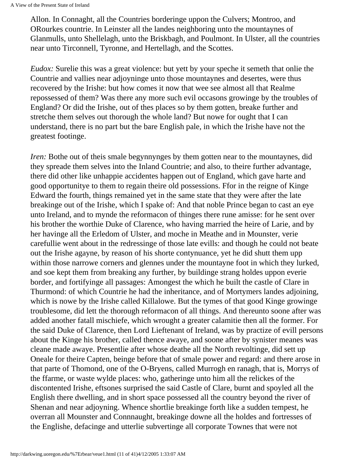Allon. In Connaght, all the Countries borderinge uppon the Culvers; Montroo, and ORourkes countrie. In Leinster all the landes neighboring unto the mountaynes of Glanmulls, unto Shellelagh, unto the Briskbagh, and Poulmont. In Ulster, all the countries near unto Tirconnell, Tyronne, and Hertellagh, and the Scottes.

*Eudox:* Surelie this was a great violence: but yett by your speche it semeth that onlie the Countrie and vallies near adjoyninge unto those mountaynes and desertes, were thus recovered by the Irishe: but how comes it now that wee see almost all that Realme repossessed of them? Was there any more such evil occasons growinge by the troubles of England? Or did the Irishe, out of thes places so by them gotten, breake further and stretche them selves out thorough the whole land? But nowe for ought that I can understand, there is no part but the bare English pale, in which the Irishe have not the greatest footinge.

*Iren:* Bothe out of theis smale begynnynges by them gotten near to the mountaynes, did they spreade them selves into the Inland Countrie; and also, to theire further advantage, there did other like unhappie accidentes happen out of England, which gave harte and good opportunitye to them to regain theire old possessions. Ffor in the reigne of Kinge Edward the fourth, things remained yet in the same state that they were after the late breakinge out of the Irishe, which I spake of: And that noble Prince began to cast an eye unto Ireland, and to mynde the reformacon of thinges there rune amisse: for he sent over his brother the worthie Duke of Clarence, who having married the heire of Larie, and by her havinge all the Erledom of Ulster, and moche in Meathe and in Mounster, verie carefullie went about in the redressinge of those late evills: and though he could not beate out the Irishe agayne, by reason of his shorte contynuance, yet he did shutt them upp within those narrowe corners and glennes under the mountayne foot in which they lurked, and soe kept them from breaking any further, by buildinge strang holdes uppon everie border, and fortifyinge all passages: Amongest the which he built the castle of Clare in Thurmond: of which Countrie he had the inheritance, and of Mortymers landes adjoining, which is nowe by the Irishe called Killalowe. But the tymes of that good Kinge growinge troublesome, did lett the thorough reformacon of all things. And thereunto soone after was added another fatall mischiefe, which wrought a greater calamitie then all the former. For the said Duke of Clarence, then Lord Lieftenant of Ireland, was by practize of evill persons about the Kinge his brother, called thence awaye, and soone after by synister meanes was cleane made awaye. Presentlie after whose deathe all the North revoltinge, did sett up Oneale for theire Capten, beinge before that of smale power and regard: and there arose in that parte of Thomond, one of the O-Bryens, called Murrogh en ranagh, that is, Morrys of the ffarme, or waste wylde places: who, gatheringe unto him all the relickes of the discontented Irishe, eftsones surprised the said Castle of Clare, burnt and spoyled all the English there dwelling, and in short space possessed all the country beyond the river of Shenan and near adjoyning. Whence shortlie breakinge forth like a sudden tempest, he overran all Mounster and Connnaught, breakinge downe all the holdes and fortresses of the Englishe, defacinge and utterlie subvertinge all corporate Townes that were not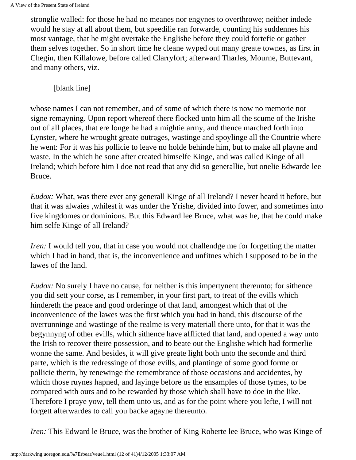stronglie walled: for those he had no meanes nor engynes to overthrowe; neither indede would he stay at all about them, but speedilie ran forwarde, counting his suddennes his most vantage, that he might overtake the Englishe before they could fortefie or gather them selves together. So in short time he cleane wyped out many greate townes, as first in Chegin, then Killalowe, before called Clarryfort; afterward Tharles, Mourne, Buttevant, and many others, viz.

[blank line]

whose names I can not remember, and of some of which there is now no memorie nor signe remayning. Upon report whereof there flocked unto him all the scume of the Irishe out of all places, that ere longe he had a mightie army, and thence marched forth into Lynster, where he wrought greate outrages, wastinge and spoylinge all the Countrie where he went: For it was his pollicie to leave no holde behinde him, but to make all playne and waste. In the which he sone after created himselfe Kinge, and was called Kinge of all Ireland; which before him I doe not read that any did so generallie, but onelie Edwarde lee Bruce.

*Eudox:* What, was there ever any generall Kinge of all Ireland? I never heard it before, but that it was alwaies ,whilest it was under the Yrishe, divided into fower, and sometimes into five kingdomes or dominions. But this Edward lee Bruce, what was he, that he could make him selfe Kinge of all Ireland?

*Iren:* I would tell you, that in case you would not challendge me for forgetting the matter which I had in hand, that is, the inconvenience and unfitnes which I supposed to be in the lawes of the land.

*Eudox:* No surely I have no cause, for neither is this impertynent thereunto; for sithence you did sett your corse, as I remember, in your first part, to treat of the evills which hindereth the peace and good orderinge of that land, amongest which that of the inconvenience of the lawes was the first which you had in hand, this discourse of the overrunninge and wastinge of the realme is very materiall there unto, for that it was the begynnyng of other evills, which sithence have afflicted that land, and opened a way unto the Irish to recover theire possession, and to beate out the Englishe which had formerlie wonne the same. And besides, it will give greate light both unto the seconde and third parte, which is the redressinge of those evills, and plantinge of some good forme or pollicie therin, by renewinge the remembrance of those occasions and accidentes, by which those ruynes hapned, and layinge before us the ensamples of those tymes, to be compared with ours and to be rewarded by those which shall have to doe in the like. Therefore I praye yow, tell them unto us, and as for the point where you lefte, I will not forgett afterwardes to call you backe agayne thereunto.

*Iren:* This Edward le Bruce, was the brother of King Roberte lee Bruce, who was Kinge of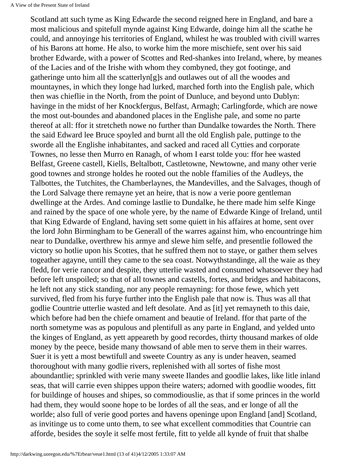Scotland att such tyme as King Edwarde the second reigned here in England, and bare a most malicious and spitefull mynde against King Edwarde, doinge him all the scathe he could, and annoyinge his territories of England, whilest he was troubled with civill warres of his Barons att home. He also, to worke him the more mischiefe, sent over his said brother Edwarde, with a power of Scottes and Red-shankes into Ireland, where, by meanes of the Lacies and of the Irishe with whom they combyned, they got footinge, and gatheringe unto him all the scatterlyn[g]s and outlawes out of all the woodes and mountaynes, in which they longe had lurked, marched forth into the English pale, which then was chieflie in the North, from the point of Dunluce, and beyond unto Dublyn: havinge in the midst of her Knockfergus, Belfast, Armagh; Carlingforde, which are nowe the most out-boundes and abandoned places in the Englishe pale, and some no parte thereof at all: ffor it stretcheth nowe no further than Dundalke towardes the North. There the said Edward lee Bruce spoyled and burnt all the old English pale, puttinge to the sworde all the Englishe inhabitantes, and sacked and raced all Cytties and corporate Townes, no lesse then Murro en Ranagh, of whom I earst tolde you: ffor hee wasted Belfast, Greene castell, Kiells, Beltalbott, Castletowne, Newtowne, and many other verie good townes and stronge holdes he rooted out the noble ffamilies of the Audleys, the Talbottes, the Tutchites, the Chamberlaynes, the Mandevilles, and the Salvages, though of the Lord Salvage there remayne yet an heire, that is now a verie poore gentleman dwellinge at the Ardes. And cominge lastlie to Dundalke, he there made him selfe Kinge and rained by the space of one whole yere, by the name of Edwarde Kinge of Ireland, until that King Edwarde of England, having sett some quiett in his affaires at home, sent over the lord John Birmingham to be Generall of the warres against him, who encountringe him near to Dundalke, overthrew his armye and slewe him selfe, and presentlie followed the victory so hotlie upon his Scottes, that he suffred them not to staye, or gather them selves togeather agayne, untill they came to the sea coast. Notwythstandinge, all the waie as they fledd, for verie rancor and despite, they utterlie wasted and consumed whatsoever they had before left unspoiled; so that of all townes and castells, fortes, and bridges and habitacons, he left not any stick standing, nor any people remayning: for those fewe, which yett survived, fled from his furye further into the English pale that now is. Thus was all that godlie Countrie utterlie wasted and left desolate. And as [it] yet remayneth to this daie, which before had ben the chiefe ornament and beautie of Ireland. ffor that parte of the north sometyme was as populous and plentifull as any parte in England, and yelded unto the kinges of England, as yett appeareth by good recordes, thirty thousand markes of olde money by the peece, beside many thowsand of able men to serve them in their warres. Suer it is yett a most bewtifull and sweete Country as any is under heaven, seamed thoroughout with many godlie rivers, replenished with all sortes of fishe most aboundantlie; sprinkled with verie many sweete Ilandes and goodlie lakes, like litle inland seas, that will carrie even shippes uppon theire waters; adorned with goodlie woodes, fitt for buildinge of houses and shipes, so commodiouslie, as that if some princes in the world had them, they would soone hope to be lordes of all the seas, and er longe of all the worlde; also full of verie good portes and havens openinge upon England [and] Scotland, as invitinge us to come unto them, to see what excellent commodities that Countrie can afforde, besides the soyle it selfe most fertile, fitt to yelde all kynde of fruit that shalbe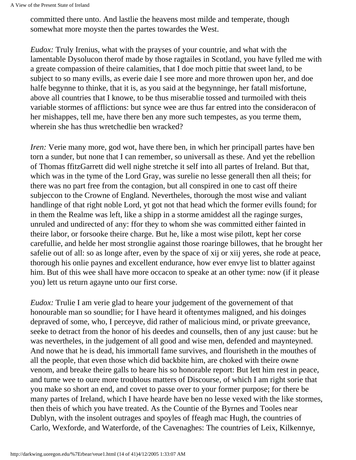committed there unto. And lastlie the heavens most milde and temperate, though somewhat more moyste then the partes towardes the West.

*Eudox:* Truly Irenius, what with the prayses of your countrie, and what with the lamentable Dysolucon therof made by those ragtailes in Scotland, you have fylled me with a greate compassion of theire calamities, that I doe moch pittie that sweet land, to be subject to so many evills, as everie daie I see more and more throwen upon her, and doe halfe begynne to thinke, that it is, as you said at the begynninge, her fatall misfortune, above all countries that I knowe, to be thus miserablie tossed and turmoiled with theis variable stormes of afflictions: but synce wee are thus far entred into the consideracon of her mishappes, tell me, have there ben any more such tempestes, as you terme them, wherein she has thus wretchedlie ben wracked?

*Iren:* Verie many more, god wot, have there ben, in which her principall partes have ben torn a sunder, but none that I can remember, so universall as these. And yet the rebellion of Thomas ffitzGarrett did well nighe stretche it self into all partes of Ireland. But that, which was in the tyme of the Lord Gray, was surelie no lesse generall then all theis; for there was no part free from the contagion, but all conspired in one to cast off theire subjeccon to the Crowne of England. Nevertheles, thorough the most wise and valiant handlinge of that right noble Lord, yt got not that head which the former evills found; for in them the Realme was left, like a shipp in a storme amiddest all the raginge surges, unruled and undirected of any: ffor they to whom she was committed either fainted in theire labor, or forsooke theire charge. But he, like a most wise pilott, kept her corse carefullie, and helde her most stronglie against those roaringe billowes, that he brought her safelie out of all: so as longe after, even by the space of xij or xiij yeres, she rode at peace, thorough his onlie paynes and excellent endurance, how ever envye list to blatter against him. But of this wee shall have more occacon to speake at an other tyme: now (if it please you) lett us return agayne unto our first corse.

*Eudox:* Trulie I am verie glad to heare your judgement of the governement of that honourable man so soundlie; for I have heard it oftentymes maligned, and his doinges depraved of some, who, I perceyve, did rather of malicious mind, or private greevance, seeke to detract from the honor of his deedes and counsells, then of any just cause: but he was nevertheles, in the judgement of all good and wise men, defended and maynteyned. And nowe that he is dead, his immortall fame survives, and flourisheth in the mouthes of all the people, that even those which did backbite him, are choked with theire owne venom, and breake theire galls to heare his so honorable report: But lett him rest in peace, and turne wee to oure more troublous matters of Discourse, of which I am right sorie that you make so short an end, and covet to passe over to your former purpose; for there be many partes of Ireland, which I have hearde have ben no lesse vexed with the like stormes, then theis of which you have treated. As the Countie of the Byrnes and Tooles near Dublyn, with the insolent outrages and spoyles of ffeagh mac Hugh, the countries of Carlo, Wexforde, and Waterforde, of the Cavenaghes: The countries of Leix, Kilkennye,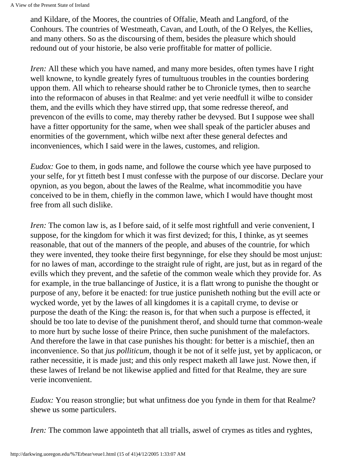and Kildare, of the Moores, the countries of Offalie, Meath and Langford, of the Conhours. The countries of Westmeath, Cavan, and Louth, of the O Relyes, the Kellies, and many others. So as the discoursing of them, besides the pleasure which should redound out of your historie, be also verie proffitable for matter of pollicie.

*Iren:* All these which you have named, and many more besides, often tymes have I right well knowne, to kyndle greately fyres of tumultuous troubles in the counties bordering uppon them. All which to rehearse should rather be to Chronicle tymes, then to searche into the reformacon of abuses in that Realme: and yet verie needfull it wilbe to consider them, and the evills which they have stirred upp, that some redresse thereof, and prevencon of the evills to come, may thereby rather be devysed. But I suppose wee shall have a fitter opportunity for the same, when wee shall speak of the particler abuses and enormities of the government, which wilbe next after these general defectes and inconveniences, which I said were in the lawes, customes, and religion.

*Eudox:* Goe to them, in gods name, and followe the course which yee have purposed to your selfe, for yt fitteth best I must confesse with the purpose of our discorse. Declare your opynion, as you begon, about the lawes of the Realme, what incommoditie you have conceived to be in them, chiefly in the common lawe, which I would have thought most free from all such dislike.

*Iren:* The comon law is, as I before said, of it selfe most rightfull and verie convenient, I suppose, for the kingdom for which it was first devized; for this, I thinke, as yt seemes reasonable, that out of the manners of the people, and abuses of the countrie, for which they were invented, they tooke theire first begynninge, for else they should be most unjust: for no lawes of man, accordinge to the straight rule of right, are just, but as in regard of the evills which they prevent, and the safetie of the common weale which they provide for. As for example, in the true ballancinge of Justice, it is a flatt wrong to punishe the thought or purpose of any, before it be enacted: for true justice punisheth nothing but the evill acte or wycked worde, yet by the lawes of all kingdomes it is a capitall cryme, to devise or purpose the death of the King: the reason is, for that when such a purpose is effected, it should be too late to devise of the punishment therof, and should turne that common-weale to more hurt by suche losse of theire Prince, then suche punishment of the malefactors. And therefore the lawe in that case punishes his thought: for better is a mischief, then an inconvenience. So that *jus polliticum,* though it be not of it selfe just, yet by applicacon, or rather necessitie, it is made just; and this only respect maketh all lawe just. Nowe then, if these lawes of Ireland be not likewise applied and fitted for that Realme, they are sure verie inconvenient.

*Eudox:* You reason stronglie; but what unfitness doe you fynde in them for that Realme? shewe us some particulers.

*Iren:* The common lawe appointeth that all trialls, aswel of crymes as titles and ryghtes,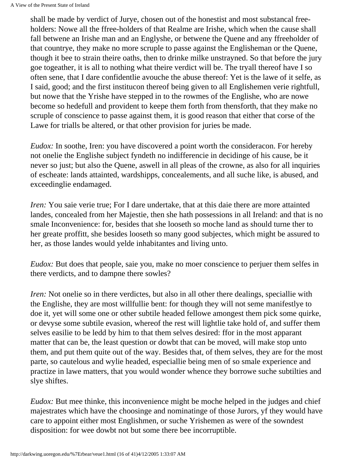shall be made by verdict of Jurye, chosen out of the honestist and most substancal freeholders: Nowe all the ffree-holders of that Realme are Irishe, which when the cause shall fall betwene an Irishe man and an Englyshe, or betwene the Quene and any ffreeholder of that countrye, they make no more scruple to passe against the Englisheman or the Quene, though it bee to strain theire oaths, then to drinke milke unstrayned. So that before the jury goe togeather, it is all to nothing what theire verdict will be. The tryall thereof have I so often sene, that I dare confidentlie avouche the abuse thereof: Yet is the lawe of it selfe, as I said, good; and the first institucon thereof being given to all Englishemen verie rightfull, but nowe that the Yrishe have stepped in to the rowmes of the Englishe, who are nowe become so hedefull and provident to keepe them forth from thensforth, that they make no scruple of conscience to passe against them, it is good reason that either that corse of the Lawe for trialls be altered, or that other provision for juries be made.

*Eudox:* In soothe, Iren: you have discovered a point worth the consideracon. For hereby not onelie the Englishe subject fyndeth no indifferencie in decidinge of his cause, be it never so just; but also the Quene, aswell in all pleas of the crowne, as also for all inquiries of escheate: lands attainted, wardshipps, concealements, and all suche like, is abused, and exceedinglie endamaged.

*Iren:* You saie verie true; For I dare undertake, that at this daie there are more attainted landes, concealed from her Majestie, then she hath possessions in all Ireland: and that is no smale Inconvenience: for, besides that she looseth so moche land as should turne ther to her greate proffitt, she besides looseth so many good subjectes, which might be assured to her, as those landes would yelde inhabitantes and living unto.

*Eudox:* But does that people, saie you, make no moer conscience to perjuer them selfes in there verdicts, and to dampne there sowles?

*Iren:* Not onelie so in there verdictes, but also in all other there dealings, speciallie with the Englishe, they are most willfullie bent: for though they will not seme manifestlye to doe it, yet will some one or other subtile headed fellowe amongest them pick some quirke, or devyse some subtile evasion, whereof the rest will lightlie take hold of, and suffer them selves easilie to be ledd by him to that them selves desired: ffor in the most apparant matter that can be, the least question or dowbt that can be moved, will make stop unto them, and put them quite out of the way. Besides that, of them selves, they are for the most parte, so cautelous and wylie headed, especiallie being men of so smale experience and practize in lawe matters, that you would wonder whence they borrowe suche subtilties and slye shiftes.

*Eudox:* But mee thinke, this inconvenience might be moche helped in the judges and chief majestrates which have the choosinge and nominatinge of those Jurors, yf they would have care to appoint either most Englishmen, or suche Yrishemen as were of the sowndest disposition: for wee dowbt not but some there bee incorruptible.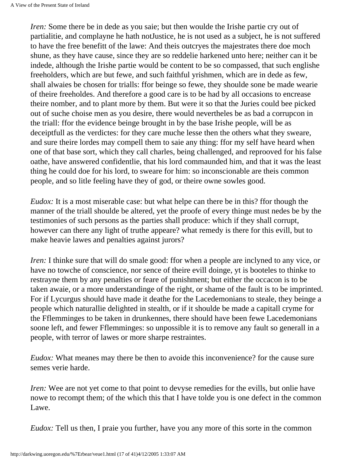*Iren:* Some there be in dede as you saie; but then woulde the Irishe partie cry out of partialitie, and complayne he hath notJustice, he is not used as a subject, he is not suffered to have the free benefitt of the lawe: And theis outcryes the majestrates there doe moch shune, as they have cause, since they are so reddelie harkened unto here; neither can it be indede, although the Irishe partie would be content to be so compassed, that such englishe freeholders, which are but fewe, and such faithful yrishmen, which are in dede as few, shall alwaies be chosen for trialls: ffor beinge so fewe, they shoulde sone be made wearie of theire freeholdes. And therefore a good care is to be had by all occasions to encrease theire nomber, and to plant more by them. But were it so that the Juries could bee picked out of suche choise men as you desire, there would nevertheles be as bad a corrupcon in the triall: ffor the evidence beinge brought in by the base Irishe people, will be as deceiptfull as the verdictes: for they care muche lesse then the others what they sweare, and sure theire lordes may compell them to saie any thing: ffor my self have heard when one of that base sort, which they call charles, being challenged, and reprooved for his false oathe, have answered confidentlie, that his lord commaunded him, and that it was the least thing he could doe for his lord, to sweare for him: so inconscionable are theis common people, and so litle feeling have they of god, or theire owne sowles good.

*Eudox:* It is a most miserable case: but what helpe can there be in this? ffor though the manner of the triall shoulde be altered, yet the proofe of every thinge must nedes be by the testimonies of such persons as the parties shall produce: which if they shall corrupt, however can there any light of truthe appeare? what remedy is there for this evill, but to make heavie lawes and penalties against jurors?

*Iren:* I thinke sure that will do smale good: ffor when a people are inclyned to any vice, or have no towche of conscience, nor sence of theire evill doinge, yt is booteles to thinke to restrayne them by any penalties or feare of punishment; but either the occacon is to be taken awaie, or a more understandinge of the right, or shame of the fault is to be imprinted. For if Lycurgus should have made it deathe for the Lacedemonians to steale, they beinge a people which naturallie delighted in stealth, or if it shoulde be made a capitall cryme for the Fflemminges to be taken in drunkennes, there should have been fewe Lacedemonians soone left, and fewer Fflemminges: so unpossible it is to remove any fault so generall in a people, with terror of lawes or more sharpe restraintes.

*Eudox:* What meanes may there be then to avoide this inconvenience? for the cause sure semes verie harde.

*Iren:* Wee are not yet come to that point to devyse remedies for the evills, but onlie have nowe to recompt them; of the which this that I have tolde you is one defect in the common Lawe.

*Eudox:* Tell us then, I praie you further, have you any more of this sorte in the common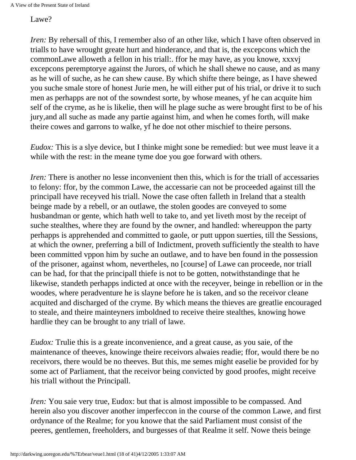A View of the Present State of Ireland

Lawe?

*Iren:* By rehersall of this, I remember also of an other like, which I have often observed in trialls to have wrought greate hurt and hinderance, and that is, the excepcons which the commonLawe alloweth a fellon in his triall:. ffor he may have, as you knowe, xxxvj excepcons peremptorye against the Jurors, of which he shall shewe no cause, and as many as he will of suche, as he can shew cause. By which shifte there beinge, as I have shewed you suche smale store of honest Jurie men, he will either put of his trial, or drive it to such men as perhapps are not of the sowndest sorte, by whose meanes, yf he can acquite him self of the cryme, as he is likelie, then will he plage suche as were brought first to be of his jury,and all suche as made any partie against him, and when he comes forth, will make theire cowes and garrons to walke, yf he doe not other mischief to theire persons.

*Eudox:* This is a slye device, but I thinke might sone be remedied: but wee must leave it a while with the rest: in the meane tyme doe you goe forward with others.

*Iren:* There is another no lesse inconvenient then this, which is for the triall of accessaries to felony: ffor, by the common Lawe, the accessarie can not be proceeded against till the principall have receyved his triall. Nowe the case often falleth in Ireland that a stealth beinge made by a rebell, or an outlawe, the stolen goodes are conveyed to some husbandman or gente, which hath well to take to, and yet liveth most by the receipt of suche stealthes, where they are found by the owner, and handled: whereuppon the party perhapps is apprehended and committed to gaole, or putt uppon suerties, till the Sessions, at which the owner, preferring a bill of Indictment, proveth sufficiently the stealth to have been committed vppon him by suche an outlawe, and to have ben found in the possession of the prisoner, against whom, nevertheles, no [course] of Lawe can proceede, nor triall can be had, for that the principall thiefe is not to be gotten, notwithstandinge that he likewise, standeth perhapps indicted at once with the receyver, beinge in rebellion or in the woodes, where peradventure he is slayne before he is taken, and so the receivor cleane acquited and discharged of the cryme. By which means the thieves are greatlie encouraged to steale, and theire mainteyners imboldned to receive theire stealthes, knowing howe hardlie they can be brought to any triall of lawe.

*Eudox:* Trulie this is a greate inconvenience, and a great cause, as you saie, of the maintenance of theeves, knowinge theire receivors alwaies readie; ffor, would there be no receivors, there would be no theeves. But this, me semes might easelie be provided for by some act of Parliament, that the receivor being convicted by good proofes, might receive his triall without the Principall.

*Iren:* You saie very true, Eudox: but that is almost impossible to be compassed. And herein also you discover another imperfeccon in the course of the common Lawe, and first ordynance of the Realme; for you knowe that the said Parliament must consist of the peeres, gentlemen, freeholders, and burgesses of that Realme it self. Nowe theis beinge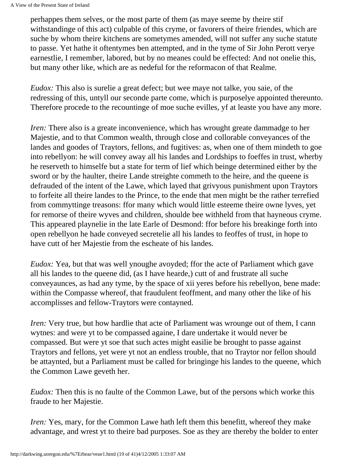perhappes them selves, or the most parte of them (as maye seeme by theire stif withstandinge of this act) culpable of this cryme, or favorers of theire friendes, which are suche by whom theire kitchens are sometymes amended, will not suffer any suche statute to passe. Yet hathe it oftentymes ben attempted, and in the tyme of Sir John Perott verye earnestlie, I remember, labored, but by no meanes could be effected: And not onelie this, but many other like, which are as nedeful for the reformacon of that Realme.

*Eudox:* This also is surelie a great defect; but wee maye not talke, you saie, of the redressing of this, untyll our seconde parte come, which is purposelye appointed thereunto. Therefore procede to the recountinge of moe suche evilles, yf at leaste you have any more.

*Iren:* There also is a greate inconvenience, which has wrought greate dammadge to her Majestie, and to that Common wealth, through close and collorable conveyances of the landes and goodes of Traytors, fellons, and fugitives: as, when one of them mindeth to goe into rebellyon: he will convey away all his landes and Lordships to foeffes in trust, wherby he reserveth to himselfe but a state for term of lief which beinge determined either by the sword or by the haulter, theire Lande streighte commeth to the heire, and the queene is defrauded of the intent of the Lawe, which layed that grivyous punishment upon Traytors to forfeite all theire landes to the Prince, to the ende that men might be the rather terrefied from commyttinge treasons: ffor many which would little esteeme theire owne lyves, yet for remorse of theire wyves and children, shoulde bee withheld from that hayneous cryme. This appeared playnelie in the late Earle of Desmond: ffor before his breakinge forth into open rebellyon he hade conveyed secretelie all his landes to feoffes of trust, in hope to have cutt of her Majestie from the escheate of his landes.

*Eudox:* Yea, but that was well ynoughe avoyded; ffor the acte of Parliament which gave all his landes to the queene did, (as I have hearde,) cutt of and frustrate all suche conveyaunces, as had any tyme, by the space of xii yeres before his rebellyon, bene made: within the Compasse whereof, that fraudulent feoffment, and many other the like of his accomplisses and fellow-Traytors were contayned.

*Iren:* Very true, but how hardlie that acte of Parliament was wrounge out of them, I cann wytnes: and were yt to be compassed againe, I dare undertake it would never be compassed. But were yt soe that such actes might easilie be brought to passe against Traytors and fellons, yet were yt not an endless trouble, that no Traytor nor fellon should be attaynted, but a Parliament must be called for bringinge his landes to the queene, which the Common Lawe geveth her.

*Eudox:* Then this is no faulte of the Common Lawe, but of the persons which worke this fraude to her Majestie.

*Iren:* Yes, mary, for the Common Lawe hath left them this benefitt, whereof they make advantage, and wrest yt to theire bad purposes. Soe as they are thereby the bolder to enter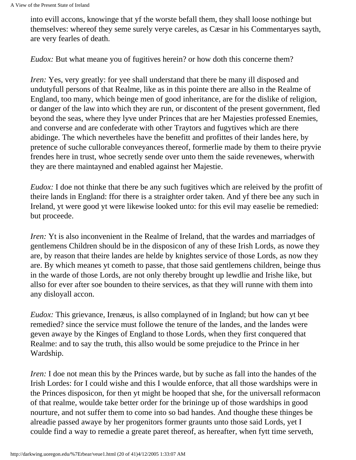into evill accons, knowinge that yf the worste befall them, they shall loose nothinge but themselves: whereof they seme surely verye careles, as Cæsar in his Commentaryes sayth, are very fearles of death.

*Eudox:* But what meane you of fugitives herein? or how doth this concerne them?

*Iren:* Yes, very greatly: for yee shall understand that there be many ill disposed and undutyfull persons of that Realme, like as in this pointe there are allso in the Realme of England, too many, which beinge men of good inheritance, are for the dislike of religion, or danger of the law into which they are run, or discontent of the present government, fled beyond the seas, where they lyve under Princes that are her Majesties professed Enemies, and converse and are confederate with other Traytors and fugytives which are there abidinge. The which nevertheles have the benefitt and profittes of their landes here, by pretence of suche cullorable conveyances thereof, formerlie made by them to theire pryvie frendes here in trust, whoe secretly sende over unto them the saide revenewes, wherwith they are there maintayned and enabled against her Majestie.

*Eudox:* I doe not thinke that there be any such fugitives which are releived by the profitt of theire lands in England: ffor there is a straighter order taken. And yf there bee any such in Ireland, yt were good yt were likewise looked unto: for this evil may easelie be remedied: but proceede.

*Iren:* Yt is also inconvenient in the Realme of Ireland, that the wardes and marriadges of gentlemens Children should be in the disposicon of any of these Irish Lords, as nowe they are, by reason that theire landes are helde by knightes service of those Lords, as now they are. By which meanes yt cometh to passe, that those said gentlemens children, beinge thus in the warde of those Lords, are not only thereby brought up lewdlie and Irishe like, but allso for ever after soe bounden to theire services, as that they will runne with them into any disloyall accon.

*Eudox:* This grievance, Irenæus, is allso complayned of in Ingland; but how can yt bee remedied? since the service must followe the tenure of the landes, and the landes were geven awaye by the Kinges of England to those Lords, when they first conquered that Realme: and to say the truth, this allso would be some prejudice to the Prince in her Wardship.

*Iren:* I doe not mean this by the Princes warde, but by suche as fall into the handes of the Irish Lordes: for I could wishe and this I woulde enforce, that all those wardships were in the Princes disposicon, for then yt might be hooped that she, for the universall reformacon of that realme, woulde take better order for the brininge up of those wardships in good nourture, and not suffer them to come into so bad handes. And thoughe these thinges be alreadie passed awaye by her progenitors former graunts unto those said Lords, yet I coulde find a way to remedie a greate paret thereof, as hereafter, when fytt time serveth,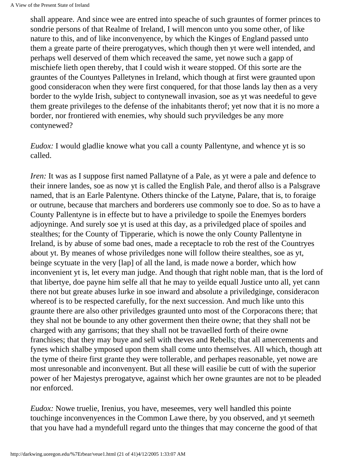shall appeare. And since wee are entred into speache of such grauntes of former princes to sondrie persons of that Realme of Ireland, I will mencon unto you some other, of like nature to this, and of like inconvenyence, by which the Kinges of England passed unto them a greate parte of theire prerogatyves, which though then yt were well intended, and perhaps well deserved of them which receaved the same, yet nowe such a gapp of mischiefe lieth open thereby, that I could wish it weare stopped. Of this sorte are the grauntes of the Countyes Palletynes in Ireland, which though at first were graunted upon good consideracon when they were first conquered, for that those lands lay then as a very border to the wylde Irish, subject to contynewall invasion, soe as yt was needeful to geve them greate privileges to the defense of the inhabitants therof; yet now that it is no more a border, nor frontiered with enemies, why should such pryviledges be any more contynewed?

*Eudox:* I would gladlie knowe what you call a county Pallentyne, and whence yt is so called.

*Iren:* It was as I suppose first named Pallatyne of a Pale, as yt were a pale and defence to their innere landes, soe as now yt is called the English Pale, and therof allso is a Palsgrave named, that is an Earle Palentyne. Others thincke of the Latyne, Palare, that is, to foraige or outrune, because that marchers and borderers use commonly soe to doe. So as to have a County Pallentyne is in effecte but to have a priviledge to spoile the Enemyes borders adjoyninge. And surely soe yt is used at this day, as a priviledged place of spoiles and stealthes; for the County of Tipperarie, which is nowe the only County Pallentyne in Ireland, is by abuse of some bad ones, made a receptacle to rob the rest of the Countryes about yt. By meanes of whose priviledges none will follow theire stealthes, soe as yt, beinge scytuate in the very [lap] of all the land, is made nowe a border, which how inconvenient yt is, let every man judge. And though that right noble man, that is the lord of that libertye, doe payne him selfe all that he may to yeilde equall Justice unto all, yet cann there not but greate abuses lurke in soe inward and absolute a priviledginge, consideracon whereof is to be respected carefully, for the next succession. And much like unto this graunte there are also other priviledges graunted unto most of the Corporacons there; that they shal not be bounde to any other goverment then theire owne; that they shall not be charged with any garrisons; that they shall not be travaelled forth of theire owne franchises; that they may buye and sell with theves and Rebells; that all amercements and fynes which shalbe ymposed upon them shall come unto themselves. All which, though att the tyme of theire first grante they were tollerable, and perhapes reasonable, yet nowe are most unresonable and inconvenyent. But all these will easilie be cutt of with the superior power of her Majestys prerogatyve, against which her owne grauntes are not to be pleaded nor enforced.

*Eudox:* Nowe truelie, Irenius, you have, meseemes, very well handled this pointe touchinge inconvenyences in the Common Lawe there, by you observed, and yt seemeth that you have had a myndefull regard unto the thinges that may concerne the good of that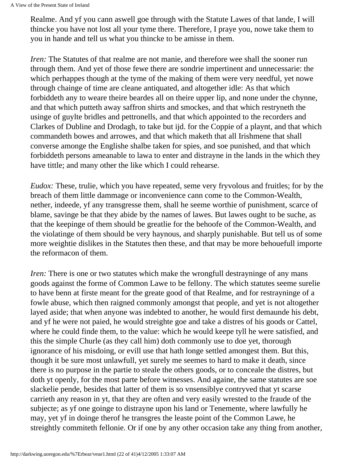Realme. And yf you cann aswell goe through with the Statute Lawes of that lande, I will thincke you have not lost all your tyme there. Therefore, I praye you, nowe take them to you in hande and tell us what you thincke to be amisse in them.

*Iren:* The Statutes of that realme are not manie, and therefore wee shall the sooner run through them. And yet of those fewe there are sondrie impertinent and unnecessarie: the which perhappes though at the tyme of the making of them were very needful, yet nowe through chainge of time are cleane antiquated, and altogether idle: As that which forbiddeth any to weare theire beardes all on theire upper lip, and none under the chynne, and that which putteth away saffron shirts and smockes, and that which restryneth the usinge of guylte bridles and pettronells, and that which appointed to the recorders and Clarkes of Dubline and Drodagh, to take but ijd. for the Coppie of a playnt, and that which commandeth bowes and arrowes, and that which maketh that all Irishmene that shall converse amonge the Englishe shalbe taken for spies, and soe punished, and that which forbiddeth persons ameanable to lawa to enter and distrayne in the lands in the which they have tittle; and many other the like which I could rehearse.

*Eudox:* These, trulie, which you have repeated, seme very fryvolous and fruitles; for by the breach of them little dammage or inconvenience cann come to the Common-Wealth, nether, indeede, yf any transgresse them, shall he seeme worthie of punishment, scarce of blame, savinge be that they abide by the names of lawes. But lawes ought to be suche, as that the keepinge of them should be greatlie for the behoofe of the Common-Wealth, and the violatinge of them should be very haynous, and sharply punishable. But tell us of some more weightie dislikes in the Statutes then these, and that may be more behouefull importe the reformacon of them.

*Iren:* There is one or two statutes which make the wrongfull destrayninge of any mans goods against the forme of Common Lawe to be fellony. The which statutes seeme surelie to have benn at firste meant for the greate good of that Realme, and for restrayninge of a fowle abuse, which then raigned commonly amongst that people, and yet is not altogether layed aside; that when anyone was indebted to another, he would first demaunde his debt, and yf he were not paied, he would streighte goe and take a distres of his goods or Cattel, where he could finde them, to the value: which he would keepe tyll he were satisfied, and this the simple Churle (as they call him) doth commonly use to doe yet, thorough ignorance of his misdoing, or evill use that hath longe settled amongest them. But this, though it be sure most unlawfull, yet surely me seemes to hard to make it death, since there is no purpose in the partie to steale the others goods, or to conceale the distres, but doth yt openly, for the most parte before witnesses. And againe, the same statutes are soe slackelie pende, besides that latter of them is so vnsensiblye contryved that yt scarse carrieth any reason in yt, that they are often and very easily wrested to the fraude of the subjecte; as yf one goinge to distrayne upon his land or Tenemente, where lawfully he may, yet yf in doinge therof he transgres the leaste point of the Common Lawe, he streightly commiteth fellonie. Or if one by any other occasion take any thing from another,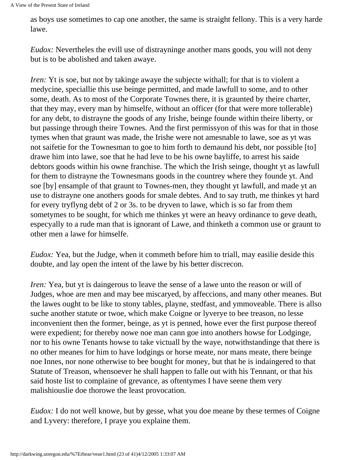as boys use sometimes to cap one another, the same is straight fellony. This is a very harde lawe.

*Eudox:* Nevertheles the evill use of distrayninge another mans goods, you will not deny but is to be abolished and taken awaye.

*Iren:* Yt is soe, but not by takinge awaye the subjecte withall; for that is to violent a medycine, speciallie this use beinge permitted, and made lawfull to some, and to other some, death. As to most of the Corporate Townes there, it is graunted by theire charter, that they may, every man by himselfe, without an officer (for that were more tollerable) for any debt, to distrayne the goods of any Irishe, beinge founde within theire liberty, or but passinge through theire Townes. And the first permissyon of this was for that in those tymes when that graunt was made, the Irishe were not amesnable to lawe, soe as yt was not saifetie for the Townesman to goe to him forth to demaund his debt, nor possible [to] drawe him into lawe, soe that he had leve to be his owne bayliffe, to arrest his saide debtors goods within his owne franchise. The which the Irish seinge, thought yt as lawfull for them to distrayne the Townesmans goods in the countrey where they founde yt. And soe [by] ensample of that graunt to Townes-men, they thought yt lawfull, and made yt an use to distrayne one anothers goods for smale debtes. And to say truth, me thinkes yt hard for every tryflyng debt of 2 or 3s. to be dryven to lawe, which is so far from them sometymes to be sought, for which me thinkes yt were an heavy ordinance to geve death, especyally to a rude man that is ignorant of Lawe, and thinketh a common use or graunt to other men a lawe for himselfe.

*Eudox:* Yea, but the Judge, when it commeth before him to triall, may easilie deside this doubte, and lay open the intent of the lawe by his better discrecon.

*Iren:* Yea, but yt is daingerous to leave the sense of a lawe unto the reason or will of Judges, whoe are men and may bee miscaryed, by affeccions, and many other meanes. But the lawes ought to be like to stony tables, playne, stedfast, and ymmoveable. There is allso suche another statute or twoe, which make Coigne or lyverye to bee treason, no lesse inconvenient then the former, beinge, as yt is penned, howe ever the first purpose thereof were expedient; for thereby nowe noe man cann goe into anothers howse for Lodginge, nor to his owne Tenants howse to take victuall by the waye, notwithstandinge that there is no other meanes for him to have lodgings or horse meate, nor mans meate, there beinge noe Innes, nor none otherwise to bee bought for money, but that he is indaingered to that Statute of Treason, whensoever he shall happen to falle out with his Tennant, or that his said hoste list to complaine of grevance, as oftentymes I have seene them very malishiouslie doe thorowe the least provocation.

*Eudox:* I do not well knowe, but by gesse, what you doe meane by these termes of Coigne and Lyvery: therefore, I praye you explaine them.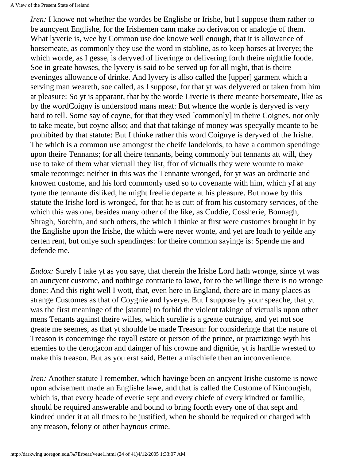*Iren:* I knowe not whether the wordes be Englishe or Irishe, but I suppose them rather to be auncyent Englishe, for the Irishemen cann make no derivacon or analogie of them. What lyverie is, wee by Common use doe knowe well enough, that it is allowance of horsemeate, as commonly they use the word in stabline, as to keep horses at liverye; the which worde, as I gesse, is deryved of liveringe or delivering forth theire nightlie foode. Soe in greate howses, the lyvery is said to be served up for all night, that is theire eveninges allowance of drinke. And lyvery is allso called the [upper] garment which a serving man weareth, soe called, as I suppose, for that yt was delyvered or taken from him at pleasure: So yt is apparant, that by the worde Liverie is there meante horsemeate, like as by the wordCoigny is understood mans meat: But whence the worde is deryved is very hard to tell. Some say of coyne, for that they vsed [commonly] in theire Coignes, not only to take meate, but coyne allso; and that that takinge of money was specyally meante to be prohibited by that statute: But I thinke rather this word Coignye is deryved of the Irishe. The which is a common use amongest the cheife landelords, to have a common spendinge upon theire Tennants; for all theire tennants, being commonly but tennants att will, they use to take of them what victuall they list, ffor of victualls they were wounte to make smale reconinge: neither in this was the Tennante wronged, for yt was an ordinarie and knowen custome, and his lord commonly used so to covenante with him, which yf at any tyme the tennante disliked, he might freelie departe at his pleasure. But nowe by this statute the Irishe lord is wronged, for that he is cutt of from his customary services, of the which this was one, besides many other of the like, as Cuddie, Cossherie, Bonnagh, Shragh, Sorehin, and such others, the which I thinke at first were customes brought in by the Englishe upon the Irishe, the which were never wonte, and yet are loath to yeilde any certen rent, but onlye such spendinges: for theire common sayinge is: Spende me and defende me.

*Eudox:* Surely I take yt as you saye, that therein the Irishe Lord hath wronge, since yt was an auncyent custome, and nothinge contrarie to lawe, for to the willinge there is no wronge done: And this right well I wott, that, even here in England, there are in many places as strange Customes as that of Coygnie and lyverye. But I suppose by your speache, that yt was the first meaninge of the [statute] to forbid the violent takinge of victualls upon other mens Tenants against theire willes, which surelie is a greate outraige, and yet not soe greate me seemes, as that yt shoulde be made Treason: for consideringe that the nature of Treason is concerninge the royall estate or person of the prince, or practizinge wyth his enemies to the derogacon and dainger of his crowne and dignitie, yt is hardlie wrested to make this treason. But as you erst said, Better a mischiefe then an inconvenience.

*Iren:* Another statute I remember, which havinge been an ancyent Irishe custome is nowe upon advisement made an Englishe lawe, and that is called the Custome of Kincougish, which is, that every heade of everie sept and every chiefe of every kindred or familie, should be required answerable and bound to bring foorth every one of that sept and kindred under it at all times to be justified, when he should be required or charged with any treason, felony or other haynous crime.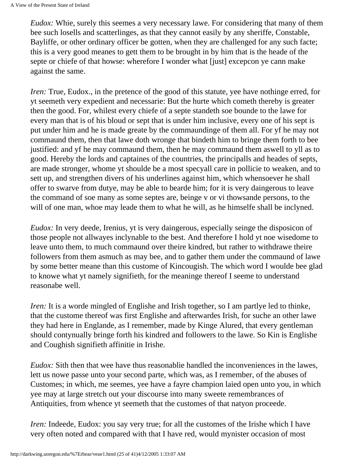*Eudox:* Whie, surely this seemes a very necessary lawe. For considering that many of them bee such losells and scatterlinges, as that they cannot easily by any sheriffe, Constable, Bayliffe, or other ordinary officer be gotten, when they are challenged for any such facte; this is a very good meanes to gett them to be brought in by him that is the heade of the septe or chiefe of that howse: wherefore I wonder what [just] excepcon ye cann make against the same.

*Iren:* True, Eudox., in the pretence of the good of this statute, yee have nothinge erred, for yt seemeth very expedient and necessarie: But the hurte which cometh thereby is greater then the good. For, whilest every chiefe of a septe standeth soe bounde to the lawe for every man that is of his bloud or sept that is under him inclusive, every one of his sept is put under him and he is made greate by the commaundinge of them all. For yf he may not commaund them, then that lawe doth wronge that bindeth him to bringe them forth to bee justified: and yf he may commaund them, then he may commaund them aswell to yll as to good. Hereby the lords and captaines of the countries, the principalls and heades of septs, are made stronger, whome yt shoulde be a most specyall care in pollicie to weaken, and to sett up, and strengthen divers of his underlines against him, which whensoever he shall offer to swarve from dutye, may be able to bearde him; for it is very daingerous to leave the command of soe many as some septes are, beinge v or vi thowsande persons, to the will of one man, whoe may leade them to what he will, as he himselfe shall be inclyned.

*Eudox:* In very deede, Irenius, yt is very daingerous, especially seinge the disposicon of those people not allwayes inclynable to the best. And therefore I hold yt noe wisedome to leave unto them, to much commaund over theire kindred, but rather to withdrawe theire followers from them asmuch as may bee, and to gather them under the commaund of lawe by some better meane than this custome of Kincougish. The which word I woulde bee glad to knowe what yt namely signifieth, for the meaninge thereof I seeme to understand reasonabe well.

*Iren:* It is a worde mingled of Englishe and Irish together, so I am partlye led to thinke, that the custome thereof was first Englishe and afterwardes Irish, for suche an other lawe they had here in Englande, as I remember, made by Kinge Alured, that every gentleman should contynually bringe forth his kindred and followers to the lawe. So Kin is Englishe and Coughish signifieth affinitie in Irishe.

*Eudox:* Sith then that wee have thus reasonablie handled the inconveniences in the lawes, lett us nowe passe unto your second parte, which was, as I remember, of the abuses of Customes; in which, me seemes, yee have a fayre champion laied open unto you, in which yee may at large stretch out your discourse into many sweete remembrances of Antiquities, from whence yt seemeth that the customes of that natyon proceede.

*Iren:* Indeede, Eudox: you say very true; for all the customes of the Irishe which I have very often noted and compared with that I have red, would mynister occasion of most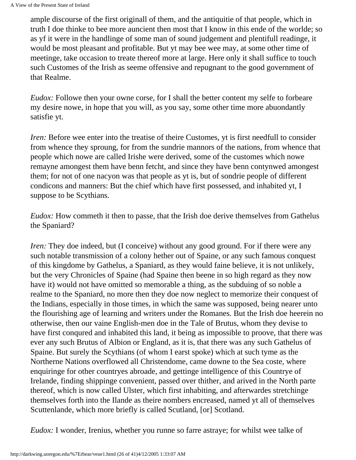ample discourse of the first originall of them, and the antiquitie of that people, which in truth I doe thinke to bee more auncient then most that I know in this ende of the worlde; so as yf it were in the handlinge of some man of sound judgement and plentifull readinge, it would be most pleasant and profitable. But yt may bee wee may, at some other time of meetinge, take occasion to treate thereof more at large. Here only it shall suffice to touch such Customes of the Irish as seeme offensive and repugnant to the good government of that Realme.

*Eudox:* Followe then your owne corse, for I shall the better content my selfe to forbeare my desire nowe, in hope that you will, as you say, some other time more abuondantly satisfie yt.

*Iren:* Before wee enter into the treatise of theire Customes, yt is first needfull to consider from whence they sproung, for from the sundrie mannors of the nations, from whence that people which nowe are called Irishe were derived, some of the customes which nowe remayne amongest them have benn fetcht, and since they have benn contynwed amongest them; for not of one nacyon was that people as yt is, but of sondrie people of different condicons and manners: But the chief which have first possessed, and inhabited yt, I suppose to be Scythians.

*Eudox:* How commeth it then to passe, that the Irish doe derive themselves from Gathelus the Spaniard?

*Iren:* They doe indeed, but (I conceive) without any good ground. For if there were any such notable transmission of a colony hether out of Spaine, or any such famous conquest of this kingdome by Gathelus, a Spaniard, as they would faine believe, it is not unlikely, but the very Chronicles of Spaine (had Spaine then beene in so high regard as they now have it) would not have omitted so memorable a thing, as the subduing of so noble a realme to the Spaniard, no more then they doe now neglect to memorize their conquest of the Indians, especially in those times, in which the same was supposed, being nearer unto the flourishing age of learning and writers under the Romanes. But the Irish doe heerein no otherwise, then our vaine English-men doe in the Tale of Brutus, whom they devise to have first conqured and inhabited this land, it being as impossible to proove, that there was ever any such Brutus of Albion or England, as it is, that there was any such Gathelus of Spaine. But surely the Scythians (of whom I earst spoke) which at such tyme as the Northerne Nations overflowed all Christendome, came downe to the Sea coste, where enquiringe for other countryes abroade, and gettinge intelligence of this Countrye of Irelande, finding shippinge convenient, passed over thither, and arived in the North parte thereof, which is now called Ulster, which first inhabiting, and afterwardes stretchinge themselves forth into the Ilande as theire nombers encreased, named yt all of themselves Scuttenlande, which more briefly is called Scutland, [or] Scotland.

*Eudox:* I wonder, Irenius, whether you runne so farre astraye; for whilst wee talke of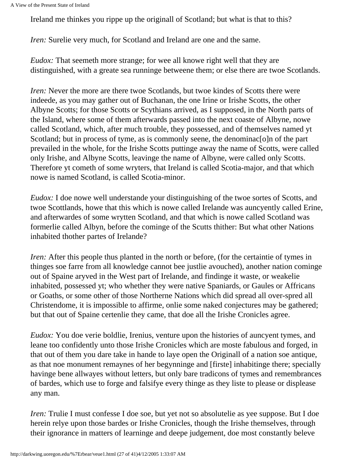Ireland me thinkes you rippe up the originall of Scotland; but what is that to this?

*Iren:* Surelie very much, for Scotland and Ireland are one and the same.

*Eudox:* That seemeth more strange; for wee all knowe right well that they are distinguished, with a greate sea runninge betweene them; or else there are twoe Scotlands.

*Iren:* Never the more are there twoe Scotlands, but twoe kindes of Scotts there were indeede, as you may gather out of Buchanan, the one Irine or Irishe Scotts, the other Albyne Scotts; for those Scotts or Scythians arrived, as I supposed, in the North parts of the Island, where some of them afterwards passed into the next coaste of Albyne, nowe called Scotland, which, after much trouble, they possessed, and of themselves named yt Scotland; but in process of tyme, as is commonly seene, the denominac<sup>[o]</sup>n of the part prevailed in the whole, for the Irishe Scotts puttinge away the name of Scotts, were called only Irishe, and Albyne Scotts, leavinge the name of Albyne, were called only Scotts. Therefore yt cometh of some wryters, that Ireland is called Scotia-major, and that which nowe is named Scotland, is called Scotia-minor.

*Eudox:* I doe nowe well understande your distinguishing of the twoe sortes of Scotts, and twoe Scottlands, howe that this which is nowe called Irelande was auncyently called Erine, and afterwardes of some wrytten Scotland, and that which is nowe called Scotland was formerlie called Albyn, before the cominge of the Scutts thither: But what other Nations inhabited thother partes of Irelande?

*Iren:* After this people thus planted in the north or before, (for the certaintie of tymes in thinges soe farre from all knowledge cannot bee justlie avouched), another nation cominge out of Spaine aryved in the West part of Irelande, and findinge it waste, or weakelie inhabited, possessed yt; who whether they were native Spaniards, or Gaules or Affricans or Goaths, or some other of those Northerne Nations which did spread all over-spred all Christendome, it is impossible to affirme, onlie some naked conjectures may be gathered; but that out of Spaine certenlie they came, that doe all the Irishe Cronicles agree.

*Eudox:* You doe verie boldlie, Irenius, venture upon the histories of auncyent tymes, and leane too confidently unto those Irishe Cronicles which are moste fabulous and forged, in that out of them you dare take in hande to laye open the Originall of a nation soe antique, as that noe monument remaynes of her begynninge and [firste] inhabitinge there; specially havinge bene allwayes without letters, but only bare tradicons of tymes and remembrances of bardes, which use to forge and falsifye every thinge as they liste to please or displease any man.

*Iren:* Trulie I must confesse I doe soe, but yet not so absolutelie as yee suppose. But I doe herein relye upon those bardes or Irishe Cronicles, though the Irishe themselves, through their ignorance in matters of learninge and deepe judgement, doe most constantly beleve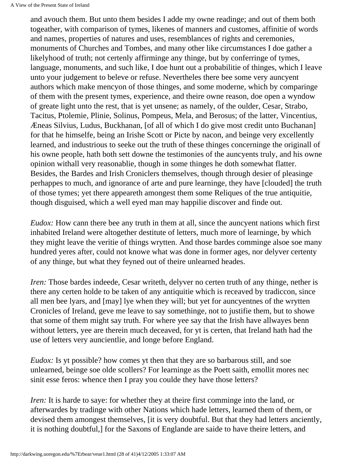and avouch them. But unto them besides I adde my owne readinge; and out of them both togeather, with comparison of tymes, likenes of manners and customes, affinitie of words and names, properties of natures and uses, resemblances of rights and ceremonies, monuments of Churches and Tombes, and many other like circumstances I doe gather a likelyhood of truth; not certenly affirminge any thinge, but by conferringe of tymes, language, monuments, and such like, I doe hunt out a probabilitie of thinges, which I leave unto your judgement to beleve or refuse. Nevertheles there bee some very auncyent authors which make mencyon of those thinges, and some moderne, which by comparinge of them with the present tymes, experience, and theire owne reason, doe open a wyndow of greate light unto the rest, that is yet unsene; as namely, of the oulder, Cesar, Strabo, Tacitus, Ptolemie, Plinie, Solinus, Pompeus, Mela, and Berosus; of the latter, Vincentius, Æneas Silvius, Ludus, Buckhanan, [of all of which I do give most credit unto Buchanan] for that he himselfe, being an Irishe Scott or Picte by nacon, and beinge very excellently learned, and industrious to seeke out the truth of these thinges concerninge the originall of his owne people, hath both sett downe the testimonies of the auncyents truly, and his owne opinion withall very reasonablie, though in some thinges he doth somewhat flatter. Besides, the Bardes and Irish Croniclers themselves, though through desier of pleasinge perhappes to much, and ignorance of arte and pure learninge, they have [clouded] the truth of those tymes; yet there appeareth amongest them some Reliques of the true antiquitie, though disguised, which a well eyed man may happilie discover and finde out.

*Eudox:* How cann there bee any truth in them at all, since the auncyent nations which first inhabited Ireland were altogether destitute of letters, much more of learninge, by which they might leave the veritie of things wrytten. And those bardes comminge alsoe soe many hundred yeres after, could not knowe what was done in former ages, nor delyver certenty of any thinge, but what they feyned out of theire unlearned heades.

*Iren:* Those bardes indeede, Cesar writeth, delyver no certen truth of any thinge, nether is there any certen holde to be taken of any antiquitie which is receaved by tradiccon, since all men bee lyars, and [may] lye when they will; but yet for auncyentnes of the wrytten Cronicles of Ireland, geve me leave to say somethinge, not to justifie them, but to showe that some of them might say truth. For where yee say that the Irish have allwayes benn without letters, yee are therein much deceaved, for yt is certen, that Ireland hath had the use of letters very auncientlie, and longe before England.

*Eudox:* Is yt possible? how comes yt then that they are so barbarous still, and soe unlearned, beinge soe olde scollers? For learninge as the Poett saith, emollit mores nec sinit esse feros: whence then I pray you coulde they have those letters?

*Iren:* It is harde to saye: for whether they at theire first comminge into the land, or afterwardes by tradinge with other Nations which hade letters, learned them of them, or devised them amongest themselves, [it is very doubtful. But that they had letters anciently, it is nothing doubtful,] for the Saxons of Englande are saide to have theire letters, and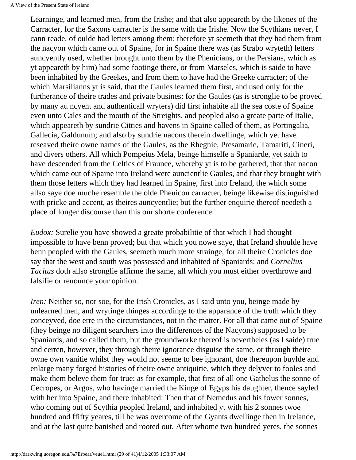Learninge, and learned men, from the Irishe; and that also appeareth by the likenes of the Carracter, for the Saxons carracter is the same with the Irishe. Now the Scythians never, I cann reade, of oulde had letters among them: therefore yt seemeth that they had them from the nacyon which came out of Spaine, for in Spaine there was (as Strabo wryteth) letters auncyently used, whether brought unto them by the Phenicians, or the Persians, which as yt appeareth by him) had some footinge there, or from Marseles, which is saide to have been inhabited by the Greekes, and from them to have had the Greeke carracter; of the which Marsilianns yt is said, that the Gaules learned them first, and used only for the furtherance of theire trades and private busines: for the Gaules (as is stronglie to be proved by many au ncyent and authenticall wryters) did first inhabite all the sea coste of Spaine even unto Cales and the mouth of the Streights, and peopled also a greate parte of Italie, which appeareth by sundrie Citties and havens in Spaine called of them, as Portingalia, Gallecia, Galdunum; and also by sundrie nacons therein dwellinge, which yet have reseaved theire owne names of the Gaules, as the Rhegnie, Presamarie, Tamariti, Cineri, and divers others. All which Pompeius Mela, beinge himselfe a Spaniarde, yet saith to have descended from the Celtics of Fraunce, whereby yt is to be gathered, that that nacon which came out of Spaine into Ireland were auncientlie Gaules, and that they brought with them those letters which they had learned in Spaine, first into Ireland, the which some allso saye doe muche resemble the olde Phenicon carracter, beinge likewise distinguished with pricke and accent, as theires auncyentlie; but the further enquirie thereof needeth a place of longer discourse than this our shorte conference.

*Eudox:* Surelie you have showed a greate probabilitie of that which I had thought impossible to have benn proved; but that which you nowe saye, that Ireland shoulde have benn peopled with the Gaules, seemeth much more strainge, for all theire Cronicles doe say that the west and south was possessed and inhabited of Spaniards: and *Cornelius Tacitus* doth allso stronglie affirme the same, all which you must either overthrowe and falsifie or renounce your opinion.

*Iren:* Neither so, nor soe, for the Irish Cronicles, as I said unto you, beinge made by unlearned men, and wrytinge thinges accordinge to the apparance of the truth which they conceyved, doe erre in the circumstances, not in the matter. For all that came out of Spaine (they beinge no diligent searchers into the differences of the Nacyons) supposed to be Spaniards, and so called them, but the groundworke thereof is nevertheles (as I saide) true and certen, however, they through theire ignorance disguise the same, or through theire owne own vanitie whilst they would not seeme to bee ignorant, doe thereupon buylde and enlarge many forged histories of theire owne antiquitie, which they delyver to fooles and make them beleve them for true: as for example, that first of all one Gathelus the sonne of Cecropes, or Argos, who havinge married the Kinge of Egyps his daughter, thence sayled with her into Spaine, and there inhabited: Then that of Nemedus and his fower sonnes, who coming out of Scythia peopled Ireland, and inhabited yt with his 2 sonnes twoe hundred and ffifty yeares, till he was overcome of the Gyants dwellinge then in Irelande, and at the last quite banished and rooted out. After whome two hundred yeres, the sonnes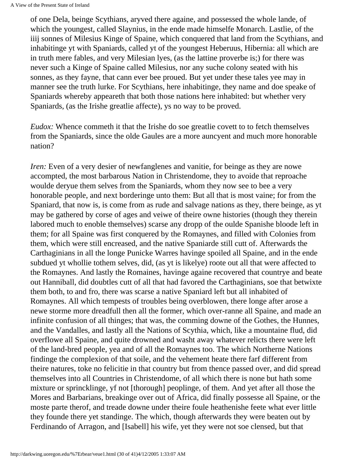of one Dela, beinge Scythians, aryved there againe, and possessed the whole lande, of which the youngest, called Slaynius, in the ende made himselfe Monarch. Lastlie, of the iiij sonnes of Milesius Kinge of Spaine, which conquered that land from the Scythians, and inhabitinge yt with Spaniards, called yt of the youngest Heberuus, Hibernia: all which are in truth mere fables, and very Milesian lyes, (as the lattine proverbe is;) for there was never such a Kinge of Spaine called Milesius, nor any suche colony seated with his sonnes, as they fayne, that cann ever bee proued. But yet under these tales yee may in manner see the truth lurke. For Scythians, here inhabitinge, they name and doe speake of Spaniards whereby appeareth that both those nations here inhabited: but whether very Spaniards, (as the Irishe greatlie affecte), ys no way to be proved.

*Eudox:* Whence commeth it that the Irishe do soe greatlie covett to to fetch themselves from the Spaniards, since the olde Gaules are a more auncyent and much more honorable nation?

*Iren:* Even of a very desier of newfanglenes and vanitie, for beinge as they are nowe accompted, the most barbarous Nation in Christendome, they to avoide that reproache woulde deryue them selves from the Spaniards, whom they now see to bee a very honorable people, and next borderinge unto them: But all that is most vaine; for from the Spaniard, that now is, is come from as rude and salvage nations as they, there beinge, as yt may be gathered by corse of ages and veiwe of theire owne histories (though they therein labored much to enoble themselves) scarse any dropp of the oulde Spanishe bloode left in them; for all Spaine was first conquered by the Romaynes, and filled with Colonies from them, which were still encreased, and the native Spaniarde still cutt of. Afterwards the Carthaginians in all the longe Punicke Warres havinge spoiled all Spaine, and in the ende subdued yt whollie tothem selves, did, (as yt is likelye) roote out all that were affected to the Romaynes. And lastly the Romaines, havinge againe recovered that countrye and beate out Hanniball, did doubtles cutt of all that had favored the Carthaginians, soe that betwixte them both, to and fro, there was scarse a native Spaniard left but all inhabited of Romaynes. All which tempests of troubles being overblowen, there longe after arose a newe storme more dreadfull then all the former, which over-ranne all Spaine, and made an infinite confusion of all thinges; that was, the comming downe of the Gothes, the Hunnes, and the Vandalles, and lastly all the Nations of Scythia, which, like a mountaine flud, did overflowe all Spaine, and quite drowned and washt away whatever relicts there were left of the land-bred people, yea and of all the Romaynes too. The which Northerne Nations findinge the complexion of that soile, and the vehement heate there farf different from theire natures, toke no felicitie in that country but from thence passed over, and did spread themselves into all Countries in Christendome, of all which there is none but hath some mixture or sprincklinge, yf not [thorough] peoplinge, of them. And yet after all those the Mores and Barbarians, breakinge over out of Africa, did finally possesse all Spaine, or the moste parte therof, and treade downe under theire foule heathenishe feete what ever little they founde there yet standinge. The which, though afterwards they were beaten out by Ferdinando of Arragon, and [Isabell] his wife, yet they were not soe clensed, but that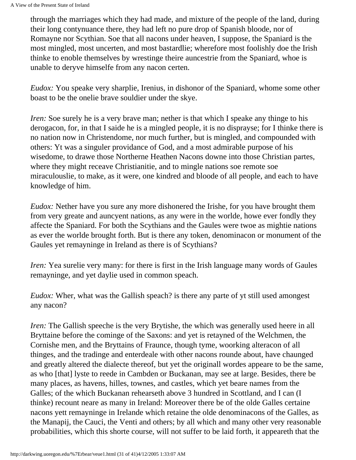through the marriages which they had made, and mixture of the people of the land, during their long contynuance there, they had left no pure drop of Spanish bloode, nor of Romayne nor Scythian. Soe that all nacons under heaven, I suppose, the Spaniard is the most mingled, most uncerten, and most bastardlie; wherefore most foolishly doe the Irish thinke to enoble themselves by wrestinge theire auncestrie from the Spaniard, whoe is unable to deryve himselfe from any nacon certen.

*Eudox:* You speake very sharplie, Irenius, in dishonor of the Spaniard, whome some other boast to be the onelie brave souldier under the skye.

*Iren:* Soe surely he is a very brave man; nether is that which I speake any thinge to his derogacon, for, in that I saide he is a mingled people, it is no disprayse; for I thinke there is no nation now in Christendome, nor much further, but is mingled, and compounded with others: Yt was a singuler providance of God, and a most admirable purpose of his wisedome, to drawe those Northerne Heathen Nacons downe into those Christian partes, where they might receave Christianitie, and to mingle nations soe remote soe miraculouslie, to make, as it were, one kindred and bloode of all people, and each to have knowledge of him.

*Eudox:* Nether have you sure any more dishonered the Irishe, for you have brought them from very greate and auncyent nations, as any were in the worlde, howe ever fondly they affecte the Spaniard. For both the Scythians and the Gaules were twoe as mightie nations as ever the worlde brought forth. But is there any token, denominacon or monument of the Gaules yet remayninge in Ireland as there is of Scythians?

*Iren:* Yea surelie very many: for there is first in the Irish language many words of Gaules remayninge, and yet daylie used in common speach.

*Eudox:* Wher, what was the Gallish speach? is there any parte of yt still used amongest any nacon?

*Iren:* The Gallish speeche is the very Brytishe, the which was generally used heere in all Bryttaine before the cominge of the Saxons: and yet is retayned of the Welchmen, the Cornishe men, and the Bryttains of Fraunce, though tyme, woorking alteracon of all thinges, and the tradinge and enterdeale with other nacons rounde about, have chaunged and greatly altered the dialecte thereof, but yet the originall wordes appeare to be the same, as who [that] lyste to reede in Cambden or Buckanan, may see at large. Besides, there be many places, as havens, hilles, townes, and castles, which yet beare names from the Galles; of the which Buckanan rehearseth above 3 hundred in Scottland, and I can (I thinke) recount neare as many in Ireland: Moreover there be of the olde Galles certaine nacons yett remayninge in Irelande which retaine the olde denominacons of the Galles, as the Manapij, the Cauci, the Venti and others; by all which and many other very reasonable probabilities, which this shorte course, will not suffer to be laid forth, it appeareth that the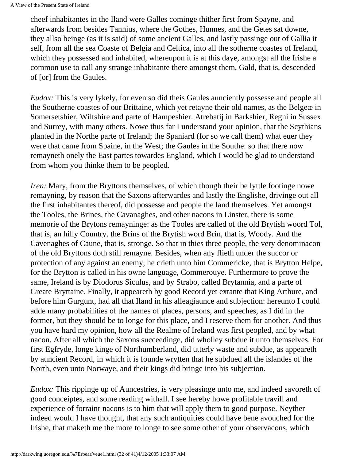cheef inhabitantes in the Iland were Galles cominge thither first from Spayne, and afterwards from besides Tannius, where the Gothes, Hunnes, and the Getes sat downe, they allso beinge (as it is said) of some ancient Galles, and lastly passinge out of Gallia it self, from all the sea Coaste of Belgia and Celtica, into all the sotherne coastes of Ireland, which they possessed and inhabited, whereupon it is at this daye, amongst all the Irishe a common use to call any strange inhabitante there amongst them, Gald, that is, descended of [or] from the Gaules.

*Eudox:* This is very lykely, for even so did theis Gaules aunciently possesse and people all the Southerne coastes of our Brittaine, which yet retayne their old names, as the Belgeæ in Somersetshier, Wiltshire and parte of Hampeshier. Atrebatij in Barkshier, Regni in Sussex and Surrey, with many others. Nowe thus far I understand your opinion, that the Scythians planted in the Northe parte of Ireland; the Spaniard (for so we call them) what euer they were that came from Spaine, in the West; the Gaules in the Southe: so that there now remayneth onely the East partes towardes England, which I would be glad to understand from whom you thinke them to be peopled.

*Iren:* Mary, from the Bryttons themselves, of which though their be lyttle footinge nowe remayning, by reason that the Saxons afterwardes and lastly the Englishe, drivinge out all the first inhabitantes thereof, did possesse and people the land themselves. Yet amongst the Tooles, the Brines, the Cavanaghes, and other nacons in Linster, there is some memorie of the Brytons remayninge: as the Tooles are called of the old Brytish woord Tol, that is, an hilly Country. the Brins of the Brytish word Brin, that is, Woody. And the Cavenaghes of Caune, that is, stronge. So that in thies three people, the very denominacon of the old Bryttons doth still remayne. Besides, when any flieth under the succor or protection of any against an enemy, he crieth unto him Commericke, that is Brytton Helpe, for the Brytton is called in his owne language, Commerouye. Furthermore to prove the same, Ireland is by Diodorus Siculus, and by Strabo, called Brytannia, and a parte of Greate Bryttaine. Finally, it appeareth by good Record yet extante that King Arthure, and before him Gurgunt, had all that Iland in his alleagiaunce and subjection: hereunto I could adde many probabilities of the names of places, persons, and speeches, as I did in the former, but they should be to longe for this place, and I reserve them for another. And thus you have hard my opinion, how all the Realme of Ireland was first peopled, and by what nacon. After all which the Saxons succeedinge, did wholley subdue it unto themselves. For first Egfryde, longe kinge of Northumberland, did utterly waste and subdue, as appeareth by auncient Record, in which it is founde wrytten that he subdued all the islandes of the North, even unto Norwaye, and their kings did bringe into his subjection.

*Eudox:* This rippinge up of Auncestries, is very pleasinge unto me, and indeed savoreth of good conceiptes, and some reading withall. I see hereby howe profitable travill and experience of forrainr nacons is to him that will apply them to good purpose. Neyther indeed would I have thought, that any such antiquities could have bene avouched for the Irishe, that maketh me the more to longe to see some other of your observacons, which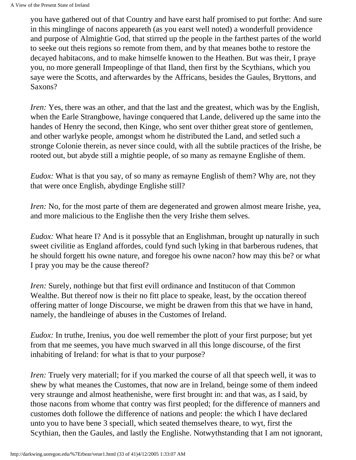you have gathered out of that Country and have earst half promised to put forthe: And sure in this minglinge of nacons appeareth (as you earst well noted) a wonderfull providence and purpose of Almightie God, that stirred up the people in the farthest partes of the world to seeke out theis regions so remote from them, and by that meanes bothe to restore the decayed habitacons, and to make himselfe knowen to the Heathen. But was their, I praye you, no more generall Impeoplinge of that Iland, then first by the Scythians, which you saye were the Scotts, and afterwardes by the Affricans, besides the Gaules, Bryttons, and Saxons?

*Iren:* Yes, there was an other, and that the last and the greatest, which was by the English, when the Earle Strangbowe, havinge conquered that Lande, delivered up the same into the handes of Henry the second, then Kinge, who sent over thither great store of gentlemen, and other warlyke people, amongst whom he distributed the Land, and setled such a stronge Colonie therein, as never since could, with all the subtile practices of the Irishe, be rooted out, but abyde still a mightie people, of so many as remayne Englishe of them.

*Eudox:* What is that you say, of so many as remayne English of them? Why are, not they that were once English, abydinge Englishe still?

*Iren:* No, for the most parte of them are degenerated and growen almost meare Irishe, yea, and more malicious to the Englishe then the very Irishe them selves.

*Eudox:* What heare I? And is it possyble that an Englishman, brought up naturally in such sweet civilitie as England affordes, could fynd such lyking in that barberous rudenes, that he should forgett his owne nature, and foregoe his owne nacon? how may this be? or what I pray you may be the cause thereof?

*Iren:* Surely, nothinge but that first evill ordinance and Institucon of that Common Wealthe. But thereof now is their no fitt place to speake, least, by the occation thereof offering matter of longe Discourse, we might be drawen from this that we have in hand, namely, the handleinge of abuses in the Customes of Ireland.

*Eudox:* In truthe, Irenius, you doe well remember the plott of your first purpose; but yet from that me seemes, you have much swarved in all this longe discourse, of the first inhabiting of Ireland: for what is that to your purpose?

*Iren:* Truely very materiall; for if you marked the course of all that speech well, it was to shew by what meanes the Customes, that now are in Ireland, beinge some of them indeed very straunge and almost heathenishe, were first brought in: and that was, as I said, by those nacons from whome that contry was first peopled; for the difference of manners and customes doth followe the difference of nations and people: the which I have declared unto you to have bene 3 speciall, which seated themselves theare, to wyt, first the Scythian, then the Gaules, and lastly the Englishe. Notwythstanding that I am not ignorant,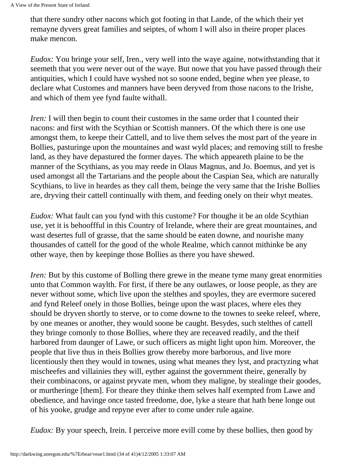that there sundry other nacons which got footing in that Lande, of the which their yet remayne dyvers great families and seiptes, of whom I will also in theire proper places make mencon.

*Eudox:* You bringe your self, Iren., very well into the waye againe, notwithstanding that it seemeth that you were never out of the waye. But nowe that you have passed through their antiquities, which I could have wyshed not so soone ended, begine when yee please, to declare what Customes and manners have been deryved from those nacons to the Irishe, and which of them yee fynd faulte withall.

*Iren:* I will then begin to count their customes in the same order that I counted their nacons: and first with the Scythian or Scottish manners. Of the which there is one use amongst them, to keepe their Cattell, and to live them selves the most part of the yeare in Bollies, pasturinge upon the mountaines and wast wyld places; and removing still to freshe land, as they have depastured the former dayes. The which appeareth plaine to be the manner of the Scythians, as you may reede in Olaus Magnus, and Jo. Boemus, and yet is used amongst all the Tartarians and the people about the Caspian Sea, which are naturally Scythians, to live in heardes as they call them, beinge the very same that the Irishe Bollies are, dryving their cattell continually with them, and feeding onely on their whyt meates.

*Eudox:* What fault can you fynd with this custome? For thoughe it be an olde Scythian use, yet it is behooffful in this Country of Irelande, where their are great mountaines, and wast desertes full of grasse, that the same should be eaten downe, and nourishe many thousandes of cattell for the good of the whole Realme, which cannot mithinke be any other waye, then by keepinge those Bollies as there you have shewed.

*Iren:* But by this custome of Bolling there grewe in the meane tyme many great enormities unto that Common waylth. For first, if there be any outlawes, or loose people, as they are never without some, which live upon the stelthes and spoyles, they are evermore sucered and fynd Releef onely in those Bollies, beinge upon the wast places, where eles they should be dryven shortly to sterve, or to come downe to the townes to seeke releef, where, by one meanes or another, they would soone be caught. Besydes, such stelthes of cattell they bringe comonly to those Bollies, where they are receaved readily, and the theif harbored from daunger of Lawe, or such officers as might light upon him. Moreover, the people that live thus in theis Bollies grow thereby more barborous, and live more licentiously then they would in townes, using what meanes they lyst, and practyzing what mischeefes and villainies they will, eyther against the government theire, generally by their combinacons, or against pryvate men, whom they maligne, by stealinge their goodes, or murtheringe [them]. For theare they thinke them selves half exempted from Lawe and obedience, and havinge once tasted freedome, doe, lyke a steare that hath bene longe out of his yooke, grudge and repyne ever after to come under rule againe.

*Eudox:* By your speech, Irein. I perceive more evill come by these bollies, then good by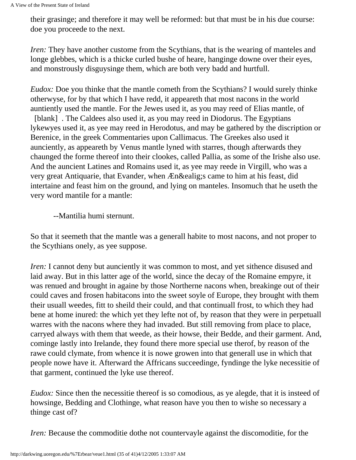their grasinge; and therefore it may well be reformed: but that must be in his due course: doe you proceede to the next.

*Iren:* They have another custome from the Scythians, that is the wearing of manteles and longe glebbes, which is a thicke curled bushe of heare, hanginge downe over their eyes, and monstrously disguysinge them, which are both very badd and hurtfull.

*Eudox:* Doe you thinke that the mantle cometh from the Scythians? I would surely thinke otherwyse, for by that which I have redd, it appeareth that most nacons in the world auntiently used the mantle. For the Jewes used it, as you may reed of Elias mantle, of [blank] . The Caldees also used it, as you may reed in Diodorus. The Egyptians lykewyes used it, as yee may reed in Herodotus, and may be gathered by the discription or Berenice, in the greek Commentaries upon Callimacus. The Greekes also used it aunciently, as appeareth by Venus mantle lyned with starres, though afterwards they chaunged the forme thereof into their clookes, called Pallia, as some of the Irishe also use. And the auncient Latines and Romains used it, as yee may reede in Virgill, who was a very great Antiquarie, that Evander, when Æn&ealig;s came to him at his feast, did intertaine and feast him on the ground, and lying on manteles. Insomuch that he useth the very word mantile for a mantle:

--Mantilia humi sternunt.

So that it seemeth that the mantle was a generall habite to most nacons, and not proper to the Scythians onely, as yee suppose.

*Iren:* I cannot deny but aunciently it was common to most, and yet sithence disused and laid away. But in this latter age of the world, since the decay of the Romaine empyre, it was renued and brought in againe by those Northerne nacons when, breakinge out of their could caves and frosen habitacons into the sweet soyle of Europe, they brought with them their usuall weedes, fitt to sheild their could, and that continuall frost, to which they had bene at home inured: the which yet they lefte not of, by reason that they were in perpetuall warres with the nacons where they had invaded. But still removing from place to place, carryed always with them that weede, as their howse, their Bedde, and their garment. And, cominge lastly into Irelande, they found there more special use therof, by reason of the rawe could clymate, from whence it is nowe growen into that generall use in which that people nowe have it. Afterward the Affricans succeedinge, fyndinge the lyke necessitie of that garment, continued the lyke use thereof.

*Eudox:* Since then the necessitie thereof is so comodious, as ye alegde, that it is insteed of howsinge, Bedding and Clothinge, what reason have you then to wishe so necessary a thinge cast of?

*Iren:* Because the commoditie dothe not countervayle against the discomoditie, for the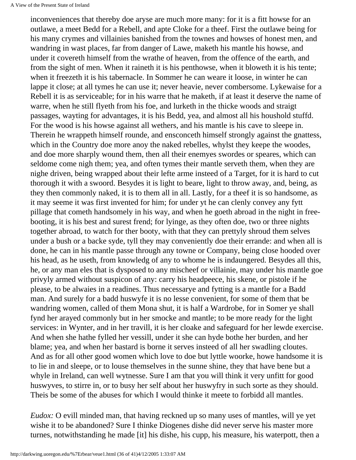inconveniences that thereby doe aryse are much more many: for it is a fitt howse for an outlawe, a meet Bedd for a Rebell, and apte Cloke for a theef. First the outlawe being for his many crymes and villainies banished from the townes and howses of honest men, and wandring in wast places, far from danger of Lawe, maketh his mantle his howse, and under it covereth himself from the wrathe of heaven, from the offence of the earth, and from the sight of men. When it raineth it is his penthowse, when it bloweth it is his tente; when it freezeth it is his tabernacle. In Sommer he can weare it loose, in winter he can lappe it close; at all tymes he can use it; never heavie, never combersome. Lykewaise for a Rebell it is as serviceable; for in his warre that he maketh, if at least it deserve the name of warre, when he still flyeth from his foe, and lurketh in the thicke woods and straigt passages, wayting for advantages, it is his Bedd, yea, and almost all his houshold stuffd. For the wood is his howse against all wethers, and his mantle is his cave to sleepe in. Therein he wrappeth himself rounde, and ensconceth himself strongly against the gnattess, which in the Country doe more anoy the naked rebelles, whylst they keepe the woodes, and doe more sharply wound them, then all their enemyes swordes or speares, which can seldome come nigh them; yea, and often tymes their mantle serveth them, when they are nighe driven, being wrapped about their lefte arme insteed of a Target, for it is hard to cut thorough it with a swoord. Besydes it is light to beare, light to throw away, and, being, as they then commonly naked, it is to them all in all. Lastly, for a theef it is so handsome, as it may seeme it was first invented for him; for under yt he can clenly convey any fytt pillage that cometh handsomely in his way, and when he goeth abroad in the night in freebooting, it is his best and surest frend; for lyinge, as they often doe, two or three nights together abroad, to watch for ther booty, with that they can prettyly shroud them selves under a bush or a backe syde, tyll they may conveniently doe their errande: and when all is done, he can in his mantle passe through any towne or Company, being close hooded over his head, as he useth, from knowledg of any to whome he is indaungered. Besydes all this, he, or any man eles that is dysposed to any mischeef or villainie, may under his mantle goe privyly armed without suspicon of any: carry his headpeece, his skene, or pistole if he please, to be alwaies in a readines. Thus necessarye and fytting is a mantle for a Badd man. And surely for a badd huswyfe it is no lesse convenient, for some of them that be wandring women, called of them Mona shut, it is half a Wardrobe, for in Somer ye shall fynd her arayed commonly but in her smocke and mantle; to be more ready for the light services: in Wynter, and in her travill, it is her cloake and safeguard for her lewde exercise. And when she hathe fylled her vessill, under it she can hyde bothe her burden, and her blame; yea, and when her bastard is borne it serves insteed of all her swadling cloutes. And as for all other good women which love to doe but lyttle woorke, howe handsome it is to lie in and sleepe, or to louse themselves in the sunne shine, they that have bene but a whyle in Ireland, can well wytnesse. Sure I am that you will think it very unfitt for good huswyves, to stirre in, or to busy her self about her huswyfry in such sorte as they should. Theis be some of the abuses for which I would thinke it meete to forbidd all mantles.

*Eudox:* O evill minded man, that having reckned up so many uses of mantles, will ye yet wishe it to be abandoned? Sure I thinke Diogenes dishe did never serve his master more turnes, notwithstanding he made [it] his dishe, his cupp, his measure, his waterpott, then a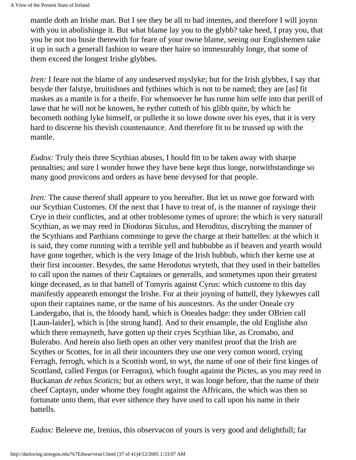mantle doth an Irishe man. But I see they be all to bad intentes, and therefore I will joynn with you in abolishinge it. But what blame lay you to the glybb? take heed, I pray you, that you be not too busie therewith for feare of your owne blame, seeing our Englishemen take it up in such a generall fashion to weare ther haire so immesurably longe, that some of them exceed the longest Irishe glybbes.

*Iren:* I feare not the blame of any undeserved myslyke; but for the Irish glybbes, I say that besyde ther falstye, bruitishnes and fythines which is not to be named; they are [as] fit maskes as a mantle is for a theife. For whensoever he has runne him selfe into that perill of lawe that he will not be knowen, he eyther cutteth of his glibb quite, by which he becometh nothing lyke himself, or pullethe it so lowe downe over his eyes, that it is very hard to discerne his thevish countenaunce. And therefore fit to be trussed up with the mantle.

*Eudox:* Truly theis three Scythian abuses, I hould fitt to be taken away with sharpe pennalties; and sure I wonder howe they have bene kept thus longe, notwithstandinge so many good provicons and orders as have bene devysed for that people.

*Iren:* The cause thereof shall appeare to you hereafter. But let us nowe goe forward with our Scythian Customes. Of the next that I have to treat of, is the manner of raysinge their Crye in their conflictes, and at other troblesome tymes of uprore: the which is very naturall Scythian, as we may reed in Diodorus Siculus, and Heroditus, discrybing the manner of the Scythians and Parthians comminge to geve the charge at their battelles: at the which it is said, they come running with a terrible yell and hubbubbe as if heaven and yearth would have gone together, which is the very Image of the Irish hubbub, which ther kerne use at their first incounter. Besydes, the same Herodotus wryteth, that they used in their battelles to call upon the names of their Captaines or generalls, and sometymes upon their greatest kinge deceased, as in that battell of Tomyris against Cyrus: which custome to this day manifestly appeareth emongst the Irishe. For at their joyning of battell, they lykewyes call upon their captaines name, or the name of his auncestors. As the under Oneale cry Landergabo, that is, the bloody hand, which is Oneales badge: they under OBrien call [Laun-laider], which is [the strong hand]. And to their ensample, the old Englishe also which there remayneth, have gotten up their cryes Scythian like, as Cromabo, and Bulerabo. And herein also lieth open an other very manifest proof that the Irish are Scythes or Scottes, for in all their incounters they use one very comon woord, crying Ferragh, ferrogh, which is a Scottish word, to wyt, the name of one of their first kinges of Scottland, called Fergus (or Ferragus), which fought against the Pictes, as you may reed in Buckanan *de rebus Scoticis;* but as others wryt, it was longe before, that the name of their cheef Captayn, under whome they fought against the Affricans, the which was then so fortunate unto them, that ever sithence they have used to call upon his name in their battells.

*Eudox:* Beleeve me, Irenius, this observacon of yours is very good and delightfull; far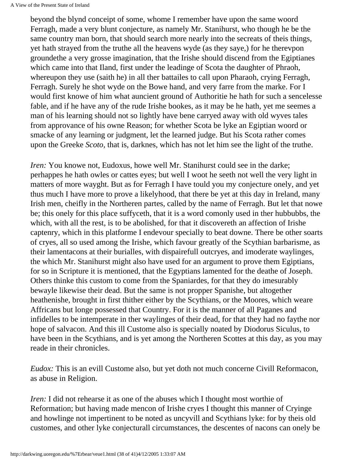beyond the blynd conceipt of some, whome I remember have upon the same woord Ferragh, made a very blunt conjecture, as namely Mr. Stanihurst, who though he be the same country man born, that should search more nearly into the secreats of theis things, yet hath strayed from the truthe all the heavens wyde (as they saye,) for he therevpon groundethe a very grosse imagination, that the Irishe should discend from the Egiptianes which came into that Iland, first under the leadinge of Scota the daughter of Phraoh, whereupon they use (saith he) in all ther battailes to call upon Pharaoh, crying Ferragh, Ferragh. Surely he shot wyde on the Bowe hand, and very farre from the marke. For I would first knowe of him what auncient ground of Authoritie he hath for such a sencelesse fable, and if he have any of the rude Irishe bookes, as it may be he hath, yet me seemes a man of his learning should not so lightly have bene carryed away with old wyves tales from approvance of his owne Reason; for whether Scota be lyke an Egiptian woord or smacke of any learning or judgment, let the learned judge. But his Scota rather comes upon the Greeke *Scoto,* that is, darknes, which has not let him see the light of the truthe.

*Iren:* You knowe not, Eudoxus, howe well Mr. Stanihurst could see in the darke; perhappes he hath owles or cattes eyes; but well I woot he seeth not well the very light in matters of more wayght. But as for Ferragh I have tould you my conjecture onely, and yet thus much I have more to prove a likelyhood, that there be yet at this day in Ireland, many Irish men, cheifly in the Northeren partes, called by the name of Ferragh. But let that nowe be; this onely for this place suffyceth, that it is a word comonly used in ther hubbubbs, the which, with all the rest, is to be abolished, for that it discovereth an affection of Irishe captenry, which in this platforme I endevour specially to beat downe. There be other soarts of cryes, all so used among the Irishe, which favour greatly of the Scythian barbarisme, as their lamentacons at their burialles, with dispairefull outcryes, and imoderate waylinges, the which Mr. Stanihurst might also have used for an argument to prove them Egiptians, for so in Scripture it is mentioned, that the Egyptians lamented for the deathe of Joseph. Others thinke this custom to come from the Spaniardes, for that they do imesurably bewayle likewise their dead. But the same is not propper Spanishe, but altogether heathenishe, brought in first thither either by the Scythians, or the Moores, which weare Affricans but longe possessed that Country. For it is the manner of all Paganes and infidelles to be intemperate in ther waylinges of their dead, for that they had no faythe nor hope of salvacon. And this ill Custome also is specially noated by Diodorus Siculus, to have been in the Scythians, and is yet among the Northeren Scottes at this day, as you may reade in their chronicles.

*Eudox:* This is an evill Custome also, but yet doth not much concerne Civill Reformacon, as abuse in Religion.

*Iren:* I did not rehearse it as one of the abuses which I thought most worthie of Reformation; but having made mencon of Irishe cryes I thought this manner of Cryinge and howlinge not impertinent to be noted as uncyvill and Scythians lyke: for by theis old customes, and other lyke conjecturall circumstances, the descentes of nacons can onely be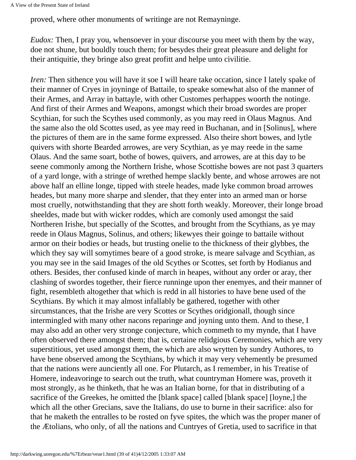proved, where other monuments of writinge are not Remayninge.

*Eudox:* Then, I pray you, whensoever in your discourse you meet with them by the way, doe not shune, but bouldly touch them; for besydes their great pleasure and delight for their antiquitie, they bringe also great profitt and helpe unto civilitie.

*Iren:* Then sithence you will have it soe I will heare take occation, since I lately spake of their manner of Cryes in joyninge of Battaile, to speake somewhat also of the manner of their Armes, and Array in battayle, with other Customes perhappes woorth the notinge. And first of their Armes and Weapons, amongst which their broad swordes are proper Scythian, for such the Scythes used commonly, as you may reed in Olaus Magnus. And the same also the old Scottes used, as yee may reed in Buchanan, and in [Solinus], where the pictures of them are in the same forme expressed. Also theire short bowes, and lytle quivers with shorte Bearded arrowes, are very Scythian, as ye may reede in the same Olaus. And the same soart, bothe of bowes, quivers, and arrowes, are at this day to be seene commonly among the Northern Irishe, whose Scottishe bowes are not past 3 quarters of a yard longe, with a stringe of wrethed hempe slackly bente, and whose arrowes are not above half an elline longe, tipped with steele heades, made lyke common broad arrowes heades, but many more sharpe and slender, that they enter into an armed man or horse most cruelly, notwithstanding that they are shott forth weakly. Moreover, their longe broad sheeldes, made but with wicker roddes, which are comonly used amongst the said Northeren Irishe, but specially of the Scottes, and brought from the Scythians, as ye may reede in Olaus Magnus, Solinus, and others; likewyes their goinge to battaile without armor on their bodies or heads, but trusting onelie to the thickness of their glybbes, the which they say will somytimes beare of a good stroke, is meare salvage and Scythian, as you may see in the said Images of the old Scythes or Scottes, set forth by Hodianus and others. Besides, ther confused kinde of march in heapes, without any order or aray, ther clashing of swordes together, their fierce runninge upon ther enemyes, and their manner of fight, resembleth altogether that which is redd in all histories to have bene used of the Scythians. By which it may almost infallably be gathered, together with other sircumstances, that the Irishe are very Scottes or Scythes oridgionall, though since intermingled with many other nacons reparinge and joyning unto them. And to these, I may also add an other very stronge conjecture, which commeth to my mynde, that I have often observed there amongst them; that is, certaine relidgious Ceremonies, which are very superstitious, yet used amongst them, the which are also wrytten by sundry Authores, to have bene observed among the Scythians, by which it may very vehemently be presumed that the nations were aunciently all one. For Plutarch, as I remember, in his Treatise of Homere, indeavoringe to search out the truth, what countryman Homere was, proveth it most strongly, as he thinketh, that he was an Italian borne, for that in distributing of a sacrifice of the Greekes, he omitted the [blank space] called [blank space] [loyne,] the which all the other Grecians, save the Italians, do use to burne in their sacrifice: also for that he maketh the entralles to be rosted on fyve spites, the which was the proper maner of the Ætolians, who only, of all the nations and Cuntryes of Gretia, used to sacrifice in that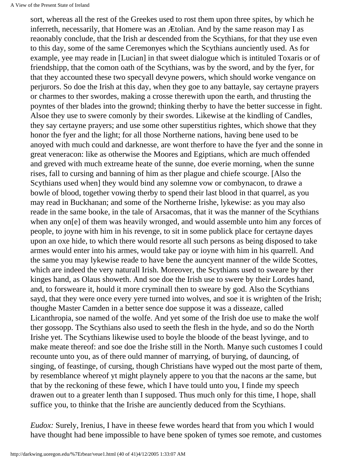sort, whereas all the rest of the Greekes used to rost them upon three spites, by which he inferreth, necessarily, that Homere was an Ætolian. And by the same reason may I as reaonably conclude, that the Irish ar descended from the Scythians, for that they use even to this day, some of the same Ceremonyes which the Scythians aunciently used. As for example, yee may reade in [Lucian] in that sweet dialogue which is intituled Toxaris or of friendshipp, that the comon oath of the Scythians, was by the sword, and by the fyer, for that they accounted these two specyall devyne powers, which should worke vengance on perjurors. So doe the Irish at this day, when they goe to any battayle, say certayne prayers or charmes to ther swordes, making a crosse therewith upon the earth, and thrusting the poyntes of ther blades into the grownd; thinking therby to have the better successe in fight. Alsoe they use to swere comonly by their swordes. Likewise at the kindling of Candles, they say certayne prayers; and use some other superstitius rightes, which showe that they honor the fyer and the light; for all those Northerne nations, having bene used to be anoyed with much could and darknesse, are wont therfore to have the fyer and the sonne in great veneracon: like as otherwise the Moores and Egiptians, which are much offended and greved with much extreame heate of the sunne, doe everie morning, when the sunne rises, fall to cursing and banning of him as ther plague and chiefe scourge. [Also the Scythians used when] they would bind any solemne vow or combynacon, to drawe a bowle of blood, together vowing therby to spend their last blood in that quarrel, as you may read in Buckhanan; and some of the Northerne Irishe, lykewise: as you may also reade in the same booke, in the tale of Arsacomas, that it was the manner of the Scythians when any on[e] of them was heavily wronged, and would assemble unto him any forces of people, to joyne with him in his revenge, to sit in some publick place for certayne dayes upon an oxe hide, to which there would resorte all such persons as being disposed to take armes would enter into his armes, would take pay or ioyne with him in his quarrell. And the same you may lykewise reade to have bene the auncyent manner of the wilde Scottes, which are indeed the very naturall Irish. Moreover, the Scythians used to sweare by ther kinges hand, as Olaus showeth. And soe doe the Irish use to swere by their Lordes hand, and, to forsweare it, hould it more cryminall then to sweare by god. Also the Scythians sayd, that they were once every yere turned into wolves, and soe it is wrighten of the Irish; thoughe Master Camden in a better sence doe suppose it was a disseaze, called Licanthropia, soe named of the wolfe. And yet some of the Irish doe use to make the wolf ther gossopp. The Scythians also used to seeth the flesh in the hyde, and so do the North Irishe yet. The Scythians likewise used to boyle the bloode of the beast lyvinge, and to make meate thereof: and soe doe the Irishe still in the North. Manye such customes I could recounte unto you, as of there ould manner of marrying, of burying, of dauncing, of singing, of feastinge, of cursing, though Christians have wyped out the most parte of them, by resemblance whereof yt might playnely appere to you that the nacons ar the same, but that by the reckoning of these fewe, which I have tould unto you, I finde my speech drawen out to a greater lenth than I supposed. Thus much only for this time, I hope, shall suffice you, to thinke that the Irishe are aunciently deduced from the Scythians.

*Eudox:* Surely, Irenius, I have in theese fewe wordes heard that from you which I would have thought had bene impossible to have bene spoken of tymes soe remote, and customes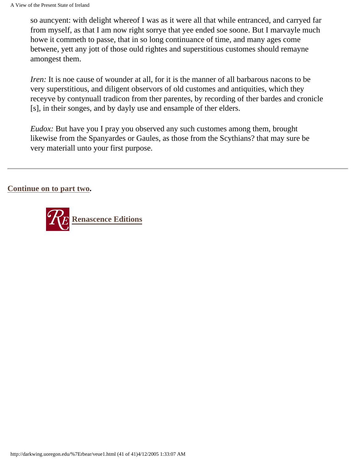so auncyent: with delight whereof I was as it were all that while entranced, and carryed far from myself, as that I am now right sorrye that yee ended soe soone. But I marvayle much howe it commeth to passe, that in so long continuance of time, and many ages come betwene, yett any jott of those ould rightes and superstitious customes should remayne amongest them.

*Iren:* It is noe cause of wounder at all, for it is the manner of all barbarous nacons to be very superstitious, and diligent observors of old customes and antiquities, which they receyve by contynuall tradicon from ther parentes, by recording of ther bardes and cronicle [s], in their songes, and by dayly use and ensample of ther elders.

*Eudox:* But have you I pray you observed any such customes among them, brought likewise from the Spanyardes or Gaules, as those from the Scythians? that may sure be very materiall unto your first purpose.

## **[Continue on to part two](#page-41-0).**

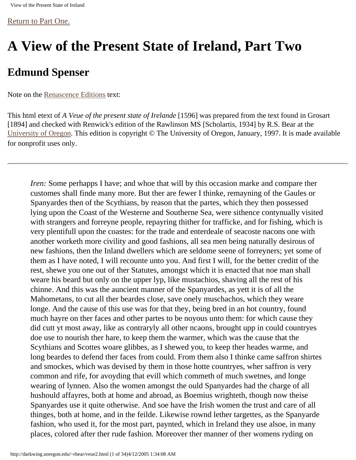## <span id="page-41-0"></span>**A View of the Present State of Ireland, Part Two**

## **Edmund Spenser**

Note on the [Renascence Editions](http://darkwing.uoregon.edu/~rbear/ren.htm) text:

This html etext of *A Veue of the present state of Irelande* [1596] was prepared from the text found in Grosart [1894] and checked with Renwick's edition of the Rawlinson MS [Scholartis, 1934] by R.S. Bear at the [University of Oregon.](http://www.uoregon.edu/) This edition is copyright © The University of Oregon, January, 1997. It is made available for nonprofit uses only.

*Iren:* Some perhapps I have; and whoe that will by this occasion marke and compare ther customes shall finde many more. But ther are fewer I thinke, remayning of the Gaules or Spanyardes then of the Scythians, by reason that the partes, which they then possessed lying upon the Coast of the Westerne and Southerne Sea, were sithence contynually visited with strangers and forreyne people, repayring thither for trafficke, and for fishing, which is very plentifull upon the coastes: for the trade and enterdeale of seacoste nacons one with another worketh more civility and good fashions, all sea men being naturally desirous of new fashions, then the Inland dwellers which are seldome seene of forreyners; yet some of them as I have noted, I will recounte unto you. And first I will, for the better creditt of the rest, shewe you one out of ther Statutes, amongst which it is enacted that noe man shall weare his beard but only on the upper lyp, like mustachios, shaving all the rest of his chinne. And this was the auncient manner of the Spanyardes, as yett it is of all the Mahometans, to cut all ther beardes close, save onely muschachos, which they weare longe. And the cause of this use was for that they, being bred in an hot country, found much hayre on ther faces and other partes to be noyous unto them: for which cause they did cutt yt most away, like as contraryly all other ncaons, brought upp in could countryes doe use to nourish ther hare, to keep them the warmer, which was the cause that the Scythians and Scottes woare glibbes, as I shewed you, to keep ther heades warme, and long beardes to defend ther faces from could. From them also I thinke came saffron shirtes and smockes, which was devised by them in those hotte countryes, wher saffron is very common and rife, for avoyding that evill which commeth of much swetnes, and longe wearing of lynnen. Also the women amongst the ould Spanyardes had the charge of all hushould affayres, both at home and abroad, as Boemius wrighteth, though now theise Spanyardes use it quite otherwise. And soe have the Irish women the trust and care of all thinges, both at home, and in the feilde. Likewise rownd lether targettes, as the Spanyarde fashion, who used it, for the most part, paynted, which in Ireland they use alsoe, in many places, colored after ther rude fashion. Moreover ther manner of ther womens ryding on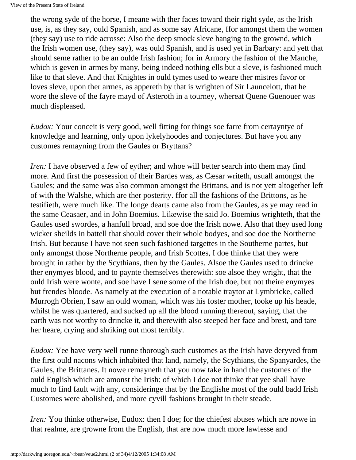the wrong syde of the horse, I meane with ther faces toward their right syde, as the Irish use, is, as they say, ould Spanish, and as some say Africane, ffor amongst them the women (they say) use to ride acrosse: Also the deep smock sleve hanging to the grownd, which the Irish women use, (they say), was ould Spanish, and is used yet in Barbary: and yett that should seme rather to be an oulde Irish fashion; for in Armory the fashion of the Manche, which is geven in armes by many, being indeed nothing ells but a sleve, is fashioned much like to that sleve. And that Knightes in ould tymes used to weare ther mistres favor or loves sleve, upon ther armes, as appereth by that is wrighten of Sir Launcelott, that he wore the sleve of the fayre mayd of Asteroth in a tourney, whereat Quene Guenouer was much displeased.

*Eudox:* Your conceit is very good, well fitting for things soe farre from certayntye of knowledge and learning, only upon lykelyhoodes and conjectures. But have you any customes remayning from the Gaules or Bryttans?

*Iren:* I have observed a few of eyther; and whoe will better search into them may find more. And first the possession of their Bardes was, as Cæsar writeth, usuall amongst the Gaules; and the same was also common amongst the Brittans, and is not yett altogether left of with the Walshe, which are ther posterity. ffor all the fashions of the Brittons, as he testifieth, were much like. The longe dearts came also from the Gaules, as ye may read in the same Ceasaer, and in John Boemius. Likewise the said Jo. Boemius wrighteth, that the Gaules used swordes, a hanfull broad, and soe doe the Irish nowe. Also that they used long wicker sheilds in battell that should cover their whole bodyes, and soe doe the Northerne Irish. But because I have not seen such fashioned targettes in the Southerne partes, but only amongst those Northerne people, and Irish Scottes, I doe thinke that they were brought in rather by the Scythians, then by the Gaules. Alsoe the Gaules used to drincke ther enymyes blood, and to paynte themselves therewith: soe alsoe they wright, that the ould Irish were wonte, and soe have I sene some of the Irish doe, but not theire enymyes but frendes bloode. As namely at the execution of a notable traytor at Lymbricke, called Murrogh Obrien, I saw an ould woman, which was his foster mother, tooke up his heade, whilst he was quartered, and sucked up all the blood running thereout, saying, that the earth was not worthy to drincke it, and therewith also steeped her face and brest, and tare her heare, crying and shriking out most terribly.

*Eudox:* Yee have very well runne thorough such customes as the Irish have deryved from the first ould nacons which inhabited that land, namely, the Scythians, the Spanyardes, the Gaules, the Brittanes. It nowe remayneth that you now take in hand the customes of the ould English which are amonst the Irish: of which I doe not thinke that yee shall have much to find fault with any, consideringe that by the Englishe most of the ould badd Irish Customes were abolished, and more cyvill fashions brought in their steade.

*Iren:* You thinke otherwise, Eudox: then I doe; for the chiefest abuses which are nowe in that realme, are growne from the English, that are now much more lawlesse and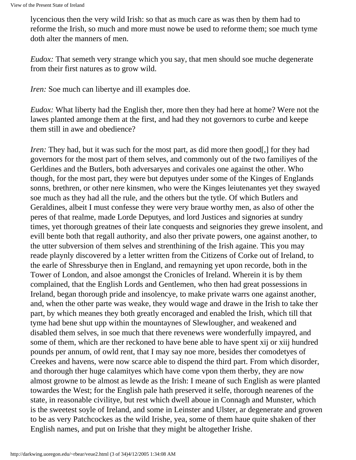lycencious then the very wild Irish: so that as much care as was then by them had to reforme the Irish, so much and more must nowe be used to reforme them; soe much tyme doth alter the manners of men.

*Eudox:* That semeth very strange which you say, that men should soe muche degenerate from their first natures as to grow wild.

*Iren:* Soe much can libertye and ill examples doe.

*Eudox:* What liberty had the English ther, more then they had here at home? Were not the lawes planted amonge them at the first, and had they not governors to curbe and keepe them still in awe and obedience?

*Iren:* They had, but it was such for the most part, as did more then good[,] for they had governors for the most part of them selves, and commonly out of the two familiyes of the Gerldines and the Butlers, both adversaryes and corivales one against the other. Who though, for the most part, they were but deputyes under some of the Kinges of Englands sonns, brethren, or other nere kinsmen, who were the Kinges leiutenantes yet they swayed soe much as they had all the rule, and the others but the tytle. Of which Butlers and Geraldines, albeit I must confesse they were very braue worthy men, as also of other the peres of that realme, made Lorde Deputyes, and lord Justices and signories at sundry times, yet thorough greatnes of their late conquests and seignories they grewe insolent, and evill bente both that regall authority, and also ther private powers, one against another, to the utter subversion of them selves and strenthining of the Irish againe. This you may reade playnly discovered by a letter written from the Citizens of Corke out of Ireland, to the earle of Shressburye then in England, and remayning yet upon recorde, both in the Tower of London, and alsoe amongst the Cronicles of Ireland. Wherein it is by them complained, that the English Lords and Gentlemen, who then had great possessions in Ireland, began thorough pride and insolencye, to make private warrs one against another, and, when the other parte was weake, they would wage and drawe in the Irish to take ther part, by which meanes they both greatly encoraged and enabled the Irish, which till that tyme had bene shut upp within the mountaynes of Slewlougher, and weakened and disabled them selves, in soe much that there revenews were wonderfully impayred, and some of them, which are ther reckoned to have bene able to have spent xij or xiij hundred pounds per annum, of owld rent, that I may say noe more, besides ther comodetyes of Creekes and havens, were now scarce able to dispend the third part. From which disorder, and thorough ther huge calamityes which have come vpon them therby, they are now almost growne to be almost as lewde as the Irish: I meane of such English as were planted towardes the West; for the English pale hath preserved it selfe, thorough nearenes of the state, in reasonable civilitye, but rest which dwell aboue in Connagh and Munster, which is the sweetest soyle of Ireland, and some in Leinster and Ulster, ar degenerate and growen to be as very Patchcockes as the wild Irishe, yea, some of them haue quite shaken of ther English names, and put on Irishe that they might be altogether Irishe.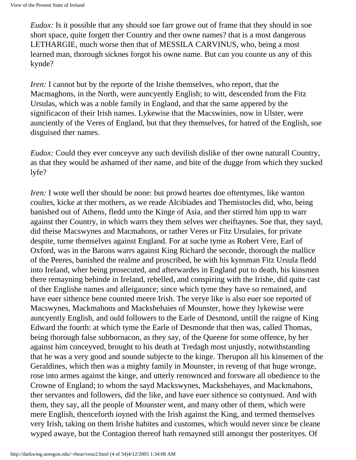*Eudox:* Is it possible that any should soe farr growe out of frame that they should in soe short space, quite forgett ther Country and ther owne names? that is a most dangerous LETHARGIE, much worse then that of MESSILA CARVINUS, who, being a most learned man, thorough sicknes forgot his owne name. But can you counte us any of this kynde?

*Iren:* I cannot but by the reporte of the Irishe themselves, who report, that the Macmaghons, in the North, were auncyently English; to witt, descended from the Fitz Ursulas, which was a noble family in England, and that the same appered by the significacon of their Irish names. Lykewise that the Macswinies, now in Ulster, were aunciently of the Veres of England, but that they themselves, for hatred of the English, soe disguised ther names.

*Eudox:* Could they ever conceyve any such devilish dislike of ther owne naturall Country, as that they would be ashamed of ther name, and bite of the dugge from which they sucked lyfe?

*Iren:* I wote well ther should be none: but prowd heartes doe oftentymes, like wanton coultes, kicke at ther mothers, as we reade Alcibiades and Themistocles did, who, being banished out of Athens, fledd unto the Kinge of Asia, and ther stirred him upp to warr against ther Country, in which warrs they them selves wer cheiftaynes. Soe that, they sayd, did theise Macswynes and Macmahons, or rather Veres or Fitz Ursulaies, for private despite, turne themselves against England. For at suche tyme as Robert Vere, Earl of Oxford, was in the Barons warrs against King Richard the seconde, thorough the mallice of the Peeres, banished the realme and proscribed, he with his kynsman Fitz Ursula fledd into Ireland, wher being prosecuted, and afterwardes in England put to death, his kinsmen there remayning behinde in Ireland, rebelled, and conspiring with the Irishe, did quite cast of ther Englishe names and alleigaunce; since which tyme they have so remained, and have euer sithence bene counted meere Irish. The verye like is also euer soe reported of Macswynes, Mackmahons and Mackshehaies of Mounster, howe they lykewise were auncyently English, and ould followers to the Earle of Desmond, untill the raigne of King Edward the fourth: at which tyme the Earle of Desmonde that then was, called Thomas, being thorough false subbornacon, as they say, of the Queene for some offence, by her against him conceyved, brought to his death at Tredagh most unjustly, notwithstanding that he was a very good and sounde subjecte to the kinge. Therupon all his kinsemen of the Geraldines, which then was a mighty family in Mounster, in reveng of that huge wronge, rose into armes against the kinge, and utterly renownced and forsware all obedience to the Crowne of England; to whom the sayd Mackswynes, Mackshehayes, and Mackmahons, ther servantes and followers, did the like, and have euer sithence so contynued. And with them, they say, all the people of Mounster went, and many other of them, which were mere English, thenceforth ioyned with the Irish against the King, and termed themselves very Irish, taking on them Irishe habites and customes, which would never since be cleane wyped awaye, but the Contagion thereof hath remayned still amongst ther posterityes. Of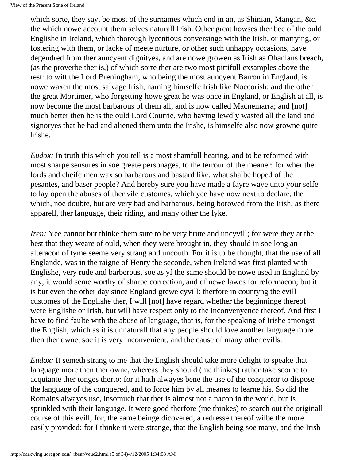which sorte, they say, be most of the surnames which end in an, as Shinian, Mangan, &c. the which nowe account them selves naturall Irish. Other great howses ther bee of the ould Englishe in Ireland, which thorough lycentious conversinge with the Irish, or marrying, or fostering with them, or lacke of meete nurture, or other such unhappy occasions, have degendred from ther auncyent dignityes, and are nowe growen as Irish as Ohanlans breach, (as the proverbe ther is,) of which sorte ther are two most pittifull exsamples above the rest: to witt the Lord Breningham, who being the most auncyent Barron in England, is nowe waxen the most salvage Irish, naming himselfe Irish like Noccorish: and the other the great Mortimer, who forgetting howe great he was once in England, or English at all, is now become the most barbarous of them all, and is now called Macnemarra; and [not] much better then he is the ould Lord Courrie, who having lewdly wasted all the land and signoryes that he had and aliened them unto the Irishe, is himselfe also now growne quite Irishe.

*Eudox:* In truth this which you tell is a most shamfull hearing, and to be reformed with most sharpe sensures in soe greate personages, to the terrour of the meaner: for wher the lords and cheife men wax so barbarous and bastard like, what shalbe hoped of the pesantes, and baser people? And hereby sure you have made a fayre waye unto your selfe to lay open the abuses of ther vile customes, which yee have now next to declare, the which, noe doubte, but are very bad and barbarous, being borowed from the Irish, as there apparell, ther language, their riding, and many other the lyke.

*Iren:* Yee cannot but thinke them sure to be very brute and uncyvill; for were they at the best that they weare of ould, when they were brought in, they should in soe long an alteracon of tyme seeme very strang and uncouth. For it is to be thought, that the use of all Englande, was in the raigne of Henry the seconde, when Ireland was first planted with Englishe, very rude and barberous, soe as yf the same should be nowe used in England by any, it would seme worthy of sharpe correction, and of newe lawes for reformacon; but it is but even the other day since England grewe cyvill: therfore in countyng the evill customes of the Englishe ther, I will [not] have regard whether the beginninge thereof were Englishe or Irish, but will have respect only to the inconvenyence thereof. And first I have to find faulte with the abuse of language, that is, for the speaking of Irishe amongst the English, which as it is unnaturall that any people should love another language more then ther owne, soe it is very inconvenient, and the cause of many other evills.

*Eudox:* It semeth strang to me that the English should take more delight to speake that language more then ther owne, whereas they should (me thinkes) rather take scorne to acquiante ther tonges therto: for it hath alwayes bene the use of the conqueror to dispose the language of the conquered, and to force him by all meanes to learne his. So did the Romains alwayes use, insomuch that ther is almost not a nacon in the world, but is sprinkled with their language. It were good therfore (me thinkes) to search out the originall course of this evill; for, the same beinge dicovered, a redresse thereof wilbe the more easily provided: for I thinke it were strange, that the English being soe many, and the Irish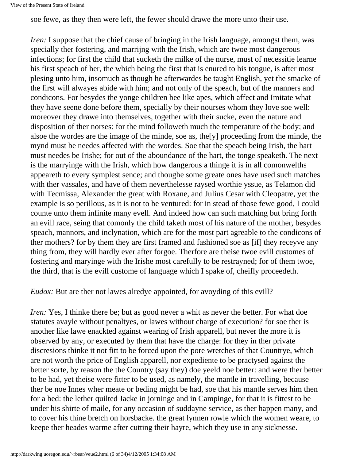soe fewe, as they then were left, the fewer should drawe the more unto their use.

*Iren:* I suppose that the chief cause of bringing in the Irish language, amongst them, was specially ther fostering, and marrijng with the Irish, which are twoe most dangerous infections; for first the child that sucketh the milke of the nurse, must of necessitie learne his first speach of her, the which being the first that is enured to his tongue, is after most plesing unto him, insomuch as though he afterwardes be taught English, yet the smacke of the first will alwayes abide with him; and not only of the speach, but of the manners and condicons. For besydes the yonge children bee like apes, which affect and Imitate what they have seene done before them, specially by their nourses whom they love soe well: moreover they drawe into themselves, together with their sucke, even the nature and disposition of ther norses: for the mind followeth much the temperature of the body; and alsoe the wordes are the image of the minde, soe as, the[y] proceeding from the minde, the mynd must be needes affected with the wordes. Soe that the speach being Irish, the hart must needes be Irishe; for out of the aboundance of the hart, the tonge speaketh. The next is the marryinge with the Irish, which how dangerous a thinge it is in all comonwelths appeareth to every symplest sence; and thoughe some greate ones have used such matches with ther vassales, and have of them neverthelesse raysed worthie yssue, as Telamon did with Tecmissa, Alexander the great with Roxane, and Julius Cesar with Cleopatre, yet the example is so perillous, as it is not to be ventured: for in stead of those fewe good, I could counte unto them infinite many evell. And indeed how can such matching but bring forth an evill race, seing that comonly the child taketh most of his nature of the mother, besydes speach, mannors, and inclynation, which are for the most part agreable to the condicons of ther mothers? for by them they are first framed and fashioned soe as [if] they receyve any thing from, they will hardly ever after forgoe. Therfore are theise twoe evill customes of fostering and maryinge with the Irishe most carefully to be restrayned; for of them twoe, the third, that is the evill custome of language which I spake of, cheifly proceedeth.

*Eudox:* But are ther not lawes alredye appointed, for avoyding of this evill?

*Iren:* Yes, I thinke there be; but as good never a whit as never the better. For what doe statutes avayle without penaltyes, or lawes without charge of execution? for soe ther is another like lawe enackted against wearing of Irish apparell, but never the more it is observed by any, or executed by them that have the charge: for they in ther private discresions thinke it not fitt to be forced upon the pore wretches of that Countrye, which are not worth the price of English apparell, nor expediente to be practysed against the better sorte, by reason the the Country (say they) doe yeeld noe better: and were ther better to be had, yet theise were fitter to be used, as namely, the mantle in travelling, because ther be noe Innes wher meate or beding might be had, soe that his mantle serves him then for a bed: the lether quilted Jacke in jorninge and in Campinge, for that it is fittest to be under his shirte of maile, for any occasion of suddayne service, as ther happen many, and to cover his thine bretch on horsbacke. the great lynnen rowle which the women weare, to keepe ther heades warme after cutting their hayre, which they use in any sicknesse.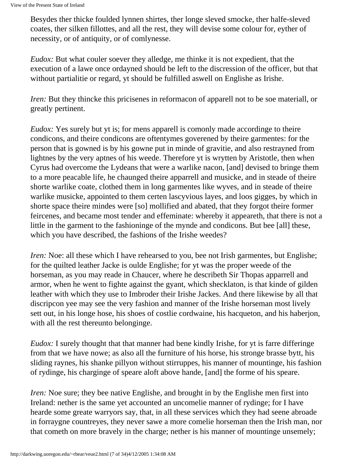Besydes ther thicke foulded lynnen shirtes, ther longe sleved smocke, ther halfe-sleved coates, ther silken fillottes, and all the rest, they will devise some colour for, eyther of necessity, or of antiquity, or of comlynesse.

*Eudox:* But what couler soever they alledge, me thinke it is not expedient, that the execution of a lawe once ordayned should be left to the discression of the officer, but that without partialitie or regard, yt should be fulfilled aswell on Englishe as Irishe.

*Iren:* But they thincke this pricisenes in reformacon of apparell not to be soe materiall, or greatly pertinent.

*Eudox:* Yes surely but yt is; for mens apparell is comonly made accordinge to theire condicons, and theire condicons are oftentymes goverened by theire garmentes: for the person that is gowned is by his gowne put in minde of gravitie, and also restrayned from lightnes by the very aptnes of his weede. Therefore yt is wrytten by Aristotle, then when Cyrus had overcome the Lydeans that were a warlike nacon, [and] devised to bringe them to a more peacable life, he chaunged theire apparrell and musicke, and in steade of theire shorte warlike coate, clothed them in long garmentes like wyves, and in steade of theire warlike musicke, appointed to them certen lascyvious layes, and loos gigges, by which in shorte space theire mindes were [so] mollified and abated, that they forgot theire former feircenes, and became most tender and effeminate: whereby it appeareth, that there is not a little in the garment to the fashioninge of the mynde and condicons. But bee [all] these, which you have described, the fashions of the Irishe weedes?

*Iren:* Noe: all these which I have rehearsed to you, bee not Irish garmentes, but Englishe; for the quilted leather Jacke is oulde Englishe; for yt was the proper weede of the horseman, as you may reade in Chaucer, where he describeth Sir Thopas apparrell and armor, when he went to fighte against the gyant, which shecklaton, is that kinde of gilden leather with which they use to Imbroder their Irishe Jackes. And there likewise by all that discripcon yee may see the very fashion and manner of the Irishe horseman most lively sett out, in his longe hose, his shoes of costlie cordwaine, his hacqueton, and his haberjon, with all the rest thereunto belonginge.

*Eudox:* I surely thought that that manner had bene kindly Irishe, for yt is farre differinge from that we have nowe; as also all the furniture of his horse, his stronge brasse bytt, his sliding raynes, his shanke pillyon without stirruppes, his manner of mountinge, his fashion of rydinge, his charginge of speare aloft above hande, [and] the forme of his speare.

*Iren:* Noe sure; they bee native Englishe, and brought in by the Englishe men first into Ireland: nether is the same yet accounted an uncomelie manner of rydinge; for I have hearde some greate warryors say, that, in all these services which they had seene abroade in forraygne countreyes, they never sawe a more comelie horseman then the Irish man, nor that cometh on more bravely in the charge; nether is his manner of mountinge unsemely;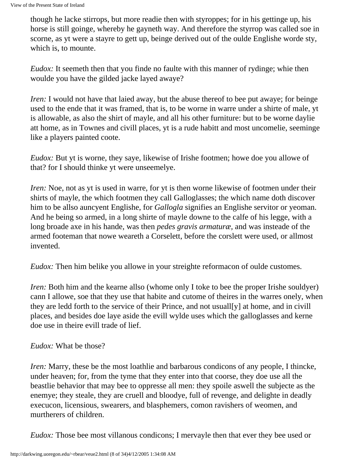though he lacke stirrops, but more readie then with styroppes; for in his gettinge up, his horse is still goinge, whereby he gayneth way. And therefore the styrrop was called soe in scorne, as yt were a stayre to gett up, beinge derived out of the oulde Englishe worde sty, which is, to mounte.

*Eudox:* It seemeth then that you finde no faulte with this manner of rydinge; whie then woulde you have the gilded jacke layed awaye?

*Iren:* I would not have that laied away, but the abuse thereof to bee put awaye; for beinge used to the ende that it was framed, that is, to be worne in warre under a shirte of male, yt is allowable, as also the shirt of mayle, and all his other furniture: but to be worne daylie att home, as in Townes and civill places, yt is a rude habitt and most uncomelie, seeminge like a players painted coote.

*Eudox:* But yt is worne, they saye, likewise of Irishe footmen; howe doe you allowe of that? for I should thinke yt were unseemelye.

*Iren:* Noe, not as yt is used in warre, for yt is then worne likewise of footmen under their shirts of mayle, the which footmen they call Galloglasses; the which name doth discover him to be allso auncyent Englishe, for *Gallogla* signifies an Englishe servitor or yeoman. And he being so armed, in a long shirte of mayle downe to the calfe of his legge, with a long broade axe in his hande, was then *pedes gravis armaturæ,* and was insteade of the armed footeman that nowe weareth a Corselett, before the corslett were used, or allmost invented.

*Eudox:* Then him belike you allowe in your streighte reformacon of oulde customes.

*Iren:* Both him and the kearne allso (whome only I toke to bee the proper Irishe souldyer) cann I allowe, soe that they use that habite and cutome of theires in the warres onely, when they are ledd forth to the service of their Prince, and not usuall[y] at home, and in civill places, and besides doe laye aside the evill wylde uses which the galloglasses and kerne doe use in theire evill trade of lief.

## *Eudox:* What be those?

*Iren:* Marry, these be the most loathlie and barbarous condicons of any people, I thincke, under heaven; for, from the tyme that they enter into that coorse, they doe use all the beastlie behavior that may bee to oppresse all men: they spoile aswell the subjecte as the enemye; they steale, they are cruell and bloodye, full of revenge, and delighte in deadly execucon, licensious, swearers, and blasphemers, comon ravishers of weomen, and murtherers of children.

*Eudox:* Those bee most villanous condicons; I mervayle then that ever they bee used or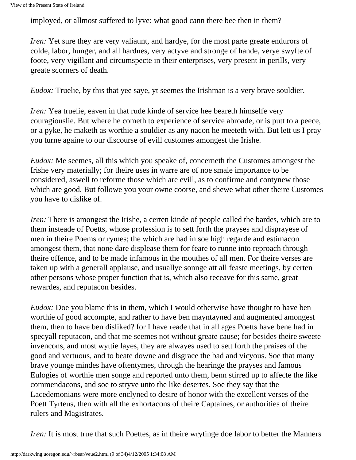imployed, or allmost suffered to lyve: what good cann there bee then in them?

*Iren:* Yet sure they are very valiaunt, and hardye, for the most parte greate endurors of colde, labor, hunger, and all hardnes, very actyve and stronge of hande, verye swyfte of foote, very vigillant and circumspecte in their enterprises, very present in perills, very greate scorners of death.

*Eudox:* Truelie, by this that yee saye, yt seemes the Irishman is a very brave souldier.

*Iren:* Yea truelie, eaven in that rude kinde of service hee beareth himselfe very couragiouslie. But where he cometh to experience of service abroade, or is putt to a peece, or a pyke, he maketh as worthie a souldier as any nacon he meeteth with. But lett us I pray you turne againe to our discourse of evill customes amongest the Irishe.

*Eudox:* Me seemes, all this which you speake of, concerneth the Customes amongest the Irishe very materially; for theire uses in warre are of noe smale importance to be considered, aswell to reforme those which are evill, as to confirme and contynew those which are good. But followe you your owne coorse, and shewe what other theire Customes you have to dislike of.

*Iren:* There is amongest the Irishe, a certen kinde of people called the bardes, which are to them insteade of Poetts, whose profession is to sett forth the prayses and disprayese of men in theire Poems or rymes; the which are had in soe high regarde and estimacon amongest them, that none dare displease them for feare to runne into reproach through theire offence, and to be made infamous in the mouthes of all men. For theire verses are taken up with a generall applause, and usuallye sonnge att all feaste meetings, by certen other persons whose proper function that is, which also receave for this same, great rewardes, and reputacon besides.

*Eudox:* Doe you blame this in them, which I would otherwise have thought to have ben worthie of good accompte, and rather to have ben mayntayned and augmented amongest them, then to have ben disliked? for I have reade that in all ages Poetts have bene had in specyall reputacon, and that me seemes not without greate cause; for besides theire sweete invencons, and most wyttie layes, they are alwayes used to sett forth the praises of the good and vertuous, and to beate downe and disgrace the bad and vicyous. Soe that many brave younge mindes have oftentymes, through the hearinge the prayses and famous Eulogies of worthie men songe and reported unto them, benn stirred up to affecte the like commendacons, and soe to stryve unto the like desertes. Soe they say that the Lacedemonians were more enclyned to desire of honor with the excellent verses of the Poett Tyrteus, then with all the exhortacons of theire Captaines, or authorities of theire rulers and Magistrates.

*Iren:* It is most true that such Poettes, as in theire wrytinge doe labor to better the Manners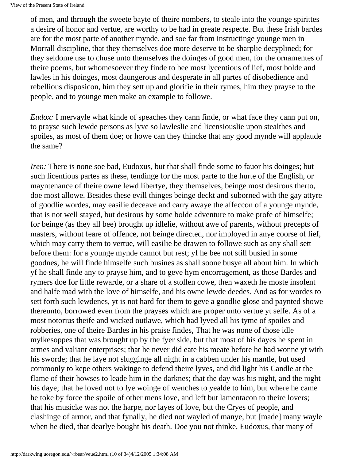of men, and through the sweete bayte of theire nombers, to steale into the younge spirittes a desire of honor and vertue, are worthy to be had in greate respecte. But these Irish bardes are for the most parte of another mynde, and soe far from instructinge younge men in Morrall discipline, that they themselves doe more deserve to be sharplie decyplined; for they seldome use to chuse unto themselves the doinges of good men, for the ornamentes of theire poems, but whomesoever they finde to bee most lycentious of lief, most bolde and lawles in his doinges, most daungerous and desperate in all partes of disobedience and rebellious disposicon, him they sett up and glorifie in their rymes, him they prayse to the people, and to younge men make an example to followe.

*Eudox:* I mervayle what kinde of speaches they cann finde, or what face they cann put on, to prayse such lewde persons as lyve so lawleslie and licensiouslie upon stealthes and spoiles, as most of them doe; or howe can they thincke that any good mynde will applaude the same?

*Iren:* There is none soe bad, Eudoxus, but that shall finde some to fauor his doinges; but such licentious partes as these, tendinge for the most parte to the hurte of the English, or mayntenance of theire owne lewd libertye, they themselves, beinge most desirous therto, doe most allowe. Besides these evill thinges beinge deckt and suborned with the gay attyre of goodlie wordes, may easilie deceave and carry awaye the affeccon of a younge mynde, that is not well stayed, but desirous by some bolde adventure to make profe of himselfe; for beinge (as they all bee) brought up idlelie, without awe of parents, without precepts of masters, without feare of offence, not beinge directed, nor imployed in anye coorse of lief, which may carry them to vertue, will easilie be drawen to followe such as any shall sett before them: for a younge mynde cannot but rest; yf he bee not still busied in some goodnes, he will finde himselfe such busines as shall soone busye all about him. In which yf he shall finde any to prayse him, and to geve hym encorragement, as those Bardes and rymers doe for little rewarde, or a share of a stollen cowe, then waxeth he moste insolent and halfe mad with the love of himselfe, and his owne lewde deedes. And as for wordes to sett forth such lewdenes, yt is not hard for them to geve a goodlie glose and paynted showe thereunto, borrowed even from the prayses which are proper unto vertue yt selfe. As of a most notorius theife and wicked outlawe, which had lyved all his tyme of spoiles and robberies, one of theire Bardes in his praise findes, That he was none of those idle mylkesoppes that was brought up by the fyer side, but that most of his dayes he spent in armes and valiant enterprises; that he never did eate his meate before he had wonne yt with his sworde; that he laye not slugginge all night in a cabben under his mantle, but used commonly to kepe others wakinge to defend theire lyves, and did light his Candle at the flame of their howses to leade him in the darknes; that the day was his night, and the night his daye; that he loved not to lye woinge of wenches to yealde to him, but where he came he toke by force the spoile of other mens love, and left but lamentacon to theire lovers; that his musicke was not the harpe, nor layes of love, but the Cryes of people, and clashinge of armor, and that fynally, he died not wayled of manye, but [made] many wayle when he died, that dearlye bought his death. Doe you not thinke, Eudoxus, that many of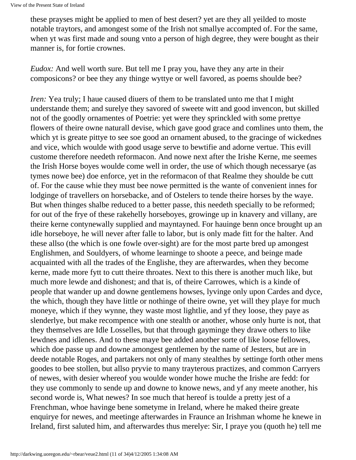these prayses might be applied to men of best desert? yet are they all yeilded to moste notable traytors, and amongest some of the Irish not smallye accompted of. For the same, when yt was first made and soung vnto a person of high degree, they were bought as their manner is, for fortie crownes.

*Eudox:* And well worth sure. But tell me I pray you, have they any arte in their composicons? or bee they any thinge wyttye or well favored, as poems shoulde bee?

*Iren:* Yea truly; I haue caused diuers of them to be translated unto me that I might understande them; and surelye they savored of sweete witt and good invencon, but skilled not of the goodly ornamentes of Poetrie: yet were they sprinckled with some prettye flowers of theire owne naturall devise, which gave good grace and comlines unto them, the which yt is greate pittye to see soe good an ornament abused, to the gracinge of wickednes and vice, which woulde with good usage serve to bewtifie and adorne vertue. This evill custome therefore needeth reformacon. And nowe next after the Irishe Kerne, me seemes the Irish Horse boyes woulde come well in order, the use of which though necessarye (as tymes nowe bee) doe enforce, yet in the reformacon of that Realme they shoulde be cutt of. For the cause whie they must bee nowe permitted is the wante of convenient innes for lodginge of travellers on horsebacke, and of Ostelers to tende theire horses by the waye. But when thinges shalbe reduced to a better passe, this needeth specially to be reformed; for out of the frye of these rakehelly horseboyes, growinge up in knavery and villany, are theire kerne contynewally supplied and mayntayned. For hauinge benn once brought up an idle horseboye, he will never after falle to labor, but is only made fitt for the halter. And these allso (the which is one fowle over-sight) are for the most parte bred up amongest Englishmen, and Souldyers, of whome learninge to shoote a peece, and beinge made acquainted with all the trades of the Englishe, they are afterwardes, when they become kerne, made more fytt to cutt theire throates. Next to this there is another much like, but much more lewde and dishonest; and that is, of theire Carrowes, which is a kinde of people that wander up and downe gentlemens howses, lyvinge only upon Cardes and dyce, the which, though they have little or nothinge of theire owne, yet will they playe for much moneye, which if they wynne, they waste most lightlie, and yf they loose, they paye as slenderlye, but make recompence with one stealth or another, whose only hurte is not, that they themselves are Idle Losselles, but that through gayminge they drawe others to like lewdnes and idlenes. And to these maye bee added another sorte of like loose fellowes, which doe passe up and downe amongest gentlemen by the name of Jesters, but are in deede notable Roges, and partakers not only of many stealthes by settinge forth other mens goodes to bee stollen, but allso pryvie to many trayterous practizes, and common Carryers of newes, with desier whereof you woulde wonder howe muche the Irishe are fedd: for they use commonly to sende up and downe to knowe news, and yf any meete another, his second worde is, What newes? In soe much that hereof is toulde a pretty jest of a Frenchman, whoe havinge bene sometyme in Ireland, where he maked theire greate enquirye for newes, and meetinge afterwardes in Fraunce an Irishman whome he knewe in Ireland, first saluted him, and afterwardes thus merelye: Sir, I praye you (quoth he) tell me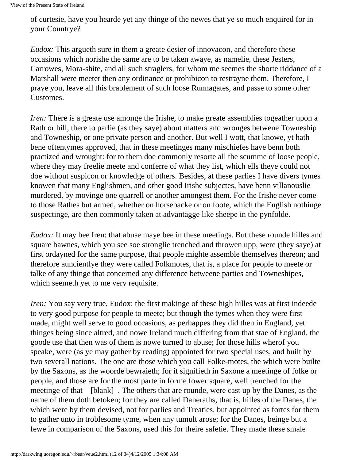of curtesie, have you hearde yet any thinge of the newes that ye so much enquired for in your Countrye?

*Eudox:* This argueth sure in them a greate desier of innovacon, and therefore these occasions which norishe the same are to be taken awaye, as namelie, these Jesters, Carrowes, Mora-shite, and all such straglers, for whom me seemes the shorte riddance of a Marshall were meeter then any ordinance or prohibicon to restrayne them. Therefore, I praye you, leave all this brablement of such loose Runnagates, and passe to some other Customes.

*Iren:* There is a greate use amonge the Irishe, to make greate assemblies togeather upon a Rath or hill, there to parlie (as they saye) about matters and wronges betwene Towneship and Towneship, or one private person and another. But well I wott, that knowe, yt hath bene oftentymes approved, that in these meetinges many mischiefes have benn both practized and wrought: for to them doe commonly resorte all the scumme of loose people, where they may freelie meete and conferre of what they list, which ells theye could not doe without suspicon or knowledge of others. Besides, at these parlies I have divers tymes knowen that many Englishmen, and other good Irishe subjectes, have benn villanouslie murdered, by movinge one quarrell or another amongest them. For the Irishe never come to those Rathes but armed, whether on horsebacke or on foote, which the English nothinge suspectinge, are then commonly taken at advantagge like sheepe in the pynfolde.

*Eudox:* It may bee Iren: that abuse maye bee in these meetings. But these rounde hilles and square bawnes, which you see soe stronglie trenched and throwen upp, were (they saye) at first ordayned for the same purpose, that people mighte assemble themselves thereon; and therefore auncientlye they were called Folkmotes, that is, a place for people to meete or talke of any thinge that concerned any difference betweene parties and Towneshipes, which seemeth yet to me very requisite.

*Iren:* You say very true, Eudox: the first makinge of these high hilles was at first indeede to very good purpose for people to meete; but though the tymes when they were first made, might well serve to good occasions, as perhappes they did then in England, yet thinges being since altred, and nowe Ireland much differing from that stae of England, the goode use that then was of them is nowe turned to abuse; for those hills wherof you speake, were (as ye may gather by reading) appointed for two special uses, and built by two severall nations. The one are those which you call Folke-motes, the which were builte by the Saxons, as the woorde bewraieth; for it signifieth in Saxone a meetinge of folke or people, and those are for the most parte in forme fower square, well trenched for the meetinge of that [blank]. The others that are rounde, were cast up by the Danes, as the name of them doth betoken; for they are called Daneraths, that is, hilles of the Danes, the which were by them devised, not for parlies and Treaties, but appointed as fortes for them to gather unto in troblesome tyme, when any tumult arose; for the Danes, beinge but a fewe in comparison of the Saxons, used this for theire safetie. They made these smale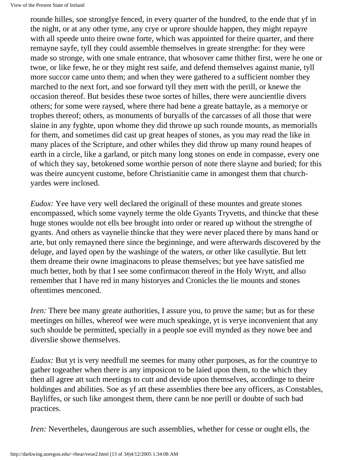rounde hilles, soe stronglye fenced, in every quarter of the hundred, to the ende that yf in the night, or at any other tyme, any crye or uprore shoulde happen, they might repayre with all speede unto theire owne forte, which was appointed for theire quarter, and there remayne sayfe, tyll they could assemble themselves in greate strengthe: for they were made so stronge, with one smale entrance, that whosover came thither first, were he one or twoe, or like fewe, he or they might rest saife, and defend themselves against manie, tyll more succor came unto them; and when they were gathered to a sufficient nomber they marched to the next fort, and soe forward tyll they mett with the perill, or knewe the occasion thereof. But besides these twoe sortes of hilles, there were auncientlie divers others; for some were raysed, where there had bene a greate battayle, as a memorye or trophes thereof; others, as monuments of buryalls of the carcasses of all those that were slaine in any fyghte, upon whome they did throwe up such rounde mounts, as memorialls for them, and sometimes did cast up great heapes of stones, as you may read the like in many places of the Scripture, and other whiles they did throw up many round heapes of earth in a circle, like a garland, or pitch many long stones on ende in compasse, every one of which they say, betokened some worthie person of note there slayne and buried; for this was theire auncyent custome, before Christianitie came in amongest them that churchyardes were inclosed.

*Eudox:* Yee have very well declared the originall of these mountes and greate stones encompassed, which some vaynely terme the olde Gyants Tryvetts, and thincke that these huge stones woulde not ells bee brought into order or reared up without the strengthe of gyants. And others as vaynelie thincke that they were never placed there by mans hand or arte, but only remayned there since the beginninge, and were afterwards discovered by the deluge, and layed open by the washinge of the waters, or other like casullytie. But lett them dreame their owne imaginacons to please themselves; but yee have satisfied me much better, both by that I see some confirmacon thereof in the Holy Wrytt, and allso remember that I have red in many historyes and Cronicles the lie mounts and stones oftentimes menconed.

*Iren:* There bee many greate authorities, I assure you, to prove the same; but as for these meetinges on hilles, whereof wee were much speakinge, yt is verye inconvenient that any such shoulde be permitted, specially in a people soe evill mynded as they nowe bee and diverslie showe themselves.

*Eudox:* But yt is very needfull me seemes for many other purposes, as for the countrye to gather togeather when there is any imposicon to be laied upon them, to the which they then all agree att such meetings to cutt and devide upon themselves, accordinge to theire holdinges and abilities. Soe as yf att these assemblies there bee any officers, as Constables, Bayliffes, or such like amongest them, there cann be noe perill or doubte of such bad practices.

*Iren:* Nevertheles, daungerous are such assemblies, whether for cesse or ought ells, the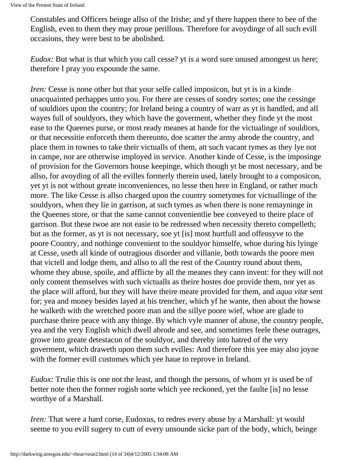Constables and Officers beinge allso of the Irishe; and yf there happen there to bee of the English, even to them they may proue perillous. Therefore for avoydinge of all such evill occasions, they were best to be abolished.

*Eudox:* But what is that which you call cesse? yt is a word sure unused amongest us here; therefore I pray you expounde the same.

*Iren:* Cesse is none other but that your selfe called imposicon, but yt is in a kinde unacquainted perhappes unto you. For there are cesses of sondry sortes; one the cessinge of souldiors upon the country; for Ireland being a country of warr as yt is handled, and all wayes full of souldyors, they which have the goverment, whether they finde yt the most ease to the Queenes purse, or most ready meanes at hande for the victualinge of souldiors, or that necessitie enforceth them thereunto, doe scatter the army abrode the country, and place them in townes to take their victualls of them, att such vacant tymes as they lye not in campe, nor are otherwise imployed in service. Another kinde of Cesse, is the imposinge of provision for the Governors house keepinge, which though yt be most necessary, and be allso, for avoyding of all the evilles formerly therein used, lately brought to a composicon, yet yt is not without greate inconveniences, no lesse then here in England, or rather much more. The like Cesse is allso charged upon the country sometymes for victuallinge of the souldyors, when they lie in garrison, at such tymes as when there is none remayninge in the Queenes store, or that the same cannot convenientlie bee conveyed to theire place of garrison. But these twoe are not easie to be redressed when necessity thereto compelleth; but as the former, as yt is not necessary, soe yt [is] most hurtfull and offensyve to the poore Country, and nothinge convenient to the souldyor himselfe, whoe during his lyinge at Cesse, useth all kinde of outragious disorder and villanie, both towards the poore men that victell and lodge them, and allso to all the rest of the Country round about them, whome they abuse, spoile, and afflicte by all the meanes they cann invent: for they will not only content themselves with such victualls as theire hostes doe provide them, nor yet as the place will afford, but they will have theire meate provided for them, and *aqua vitæ* sent for; yea and money besides layed at his trencher, which yf he wante, then about the howse he walketh with the wretched poore man and the sillye poore wief, whoe are glade to purchase theire peace with any thinge. By which vyle manner of abuse, the country people, yea and the very English which dwell abrode and see, and sometimes feele these outrages, growe into greate detestacon of the souldyor, and thereby into hatred of the very goverment, which draweth upon them such evilles: And therefore this yee may also joyne with the former evill customes which yee haue to reprove in Ireland.

*Eudox:* Trulie this is one not the least, and though the persons, of whom yt is used be of better note then the former rogish sorte which yee reckoned, yet the faulte [is] no lesse worthye of a Marshall.

*Iren:* That were a hard corse, Eudoxus, to redres every abuse by a Marshall: yt would seeme to you evill sugery to cutt of every unsounde sicke part of the body, which, beinge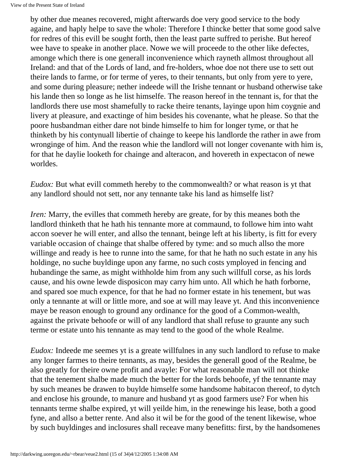by other due meanes recovered, might afterwards doe very good service to the body againe, and haply helpe to save the whole: Therefore I thincke better that some good salve for redres of this evill be sought forth, then the least parte suffred to perishe. But hereof wee have to speake in another place. Nowe we will proceede to the other like defectes, amonge which there is one generall inconvenience which rayneth allmost throughout all Ireland: and that of the Lords of land, and fre-holders, whoe doe not there use to sett out theire lands to farme, or for terme of yeres, to their tennants, but only from yere to yere, and some during pleasure; nether indeede will the Irishe tennant or husband otherwise take his lande then so longe as he list himselfe. The reason hereof in the tennant is, for that the landlords there use most shamefully to racke theire tenants, layinge upon him coygnie and livery at pleasure, and exactinge of him besides his covenante, what he please. So that the poore husbandman either dare not binde himselfe to him for longer tyme, or that he thinketh by his contynuall libertie of chainge to keepe his landlorde the rather in awe from wronginge of him. And the reason whie the landlord will not longer covenante with him is, for that he daylie looketh for chainge and alteracon, and hovereth in expectacon of newe worldes.

*Eudox:* But what evill commeth hereby to the commonwealth? or what reason is yt that any landlord should not sett, nor any tennante take his land as himselfe list?

*Iren:* Marry, the evilles that commeth hereby are greate, for by this meanes both the landlord thinketh that he hath his tennante more at commaund, to followe him into waht accon soever he will enter, and allso the tennant, beinge left at his liberty, is fitt for every variable occasion of chainge that shalbe offered by tyme: and so much allso the more willinge and ready is hee to runne into the same, for that he hath no such estate in any his holdinge, no suche buyldinge upon any farme, no such costs ymployed in fencing and hubandinge the same, as might withholde him from any such willfull corse, as his lords cause, and his owne lewde disposicon may carry him unto. All which he hath forborne, and spared soe much expence, for that he had no former estate in his tenement, but was only a tennante at will or little more, and soe at will may leave yt. And this inconvenience maye be reason enough to ground any ordinance for the good of a Common-wealth, against the private behoofe or will of any landlord that shall refuse to graunte any such terme or estate unto his tennante as may tend to the good of the whole Realme.

*Eudox:* Indeede me seemes yt is a greate willfulnes in any such landlord to refuse to make any longer farmes to theire tennants, as may, besides the generall good of the Realme, be also greatly for theire owne profit and avayle: For what reasonable man will not thinke that the tenement shalbe made much the better for the lords behoofe, yf the tennante may by such meanes be drawen to buylde himselfe some handsome habitacon thereof, to dytch and enclose his grounde, to manure and husband yt as good farmers use? For when his tennants terme shalbe expired, yt will yeilde him, in the renewinge his lease, both a good fyne, and allso a better rente. And also it wil be for the good of the tenent likewise, whoe by such buyldinges and inclosures shall receave many benefitts: first, by the handsomenes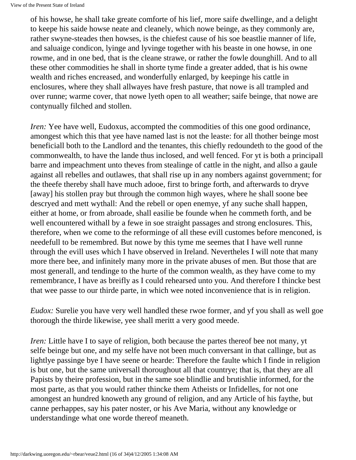of his howse, he shall take greate comforte of his lief, more saife dwellinge, and a delight to keepe his saide howse neate and cleanely, which nowe beinge, as they commonly are, rather swyne-steades then howses, is the chiefest cause of his soe beastlie manner of life, and saluaige condicon, lyinge and lyvinge together with his beaste in one howse, in one rowme, and in one bed, that is the cleane strawe, or rather the fowle dounghill. And to all these other commodities he shall in shorte tyme finde a greater added, that is his owne wealth and riches encreased, and wonderfully enlarged, by keepinge his cattle in enclosures, where they shall allwayes have fresh pasture, that nowe is all trampled and over runne; warme cover, that nowe lyeth open to all weather; saife beinge, that nowe are contynually filched and stollen.

*Iren:* Yee have well, Eudoxus, accompted the commodities of this one good ordinance, amongest which this that yee have named last is not the leaste: for all thother beinge most beneficiall both to the Landlord and the tenantes, this chiefly redoundeth to the good of the commonwealth, to have the lande thus inclosed, and well fenced. For yt is both a principall barre and impeachment unto theves from stealinge of cattle in the night, and allso a gaule against all rebelles and outlawes, that shall rise up in any nombers against government; for the theefe thereby shall have much adooe, first to bringe forth, and afterwards to dryve [away] his stollen pray but through the common high wayes, where he shall soone bee descryed and mett wythall: And the rebell or open enemye, yf any suche shall happen, either at home, or from abroade, shall easilie be founde when he commeth forth, and be well encountered withall by a fewe in soe straight passages and strong enclosures. This, therefore, when we come to the reforminge of all these evill customes before menconed, is needefull to be remembred. But nowe by this tyme me seemes that I have well runne through the evill uses which I have observed in Ireland. Nevertheles I will note that many more there bee, and infinitely many more in the private abuses of men. But those that are most generall, and tendinge to the hurte of the common wealth, as they have come to my remembrance, I have as breifly as I could rehearsed unto you. And therefore I thincke best that wee passe to our thirde parte, in which wee noted inconvenience that is in religion.

*Eudox:* Surelie you have very well handled these rwoe former, and yf you shall as well goe thorough the thirde likewise, yee shall meritt a very good meede.

*Iren:* Little have I to saye of religion, both because the partes thereof bee not many, yt selfe beinge but one, and my selfe have not been much conversant in that callinge, but as lightlye passinge bye I have seene or hearde: Therefore the faulte which I finde in religion is but one, but the same universall thoroughout all that countrye; that is, that they are all Papists by theire profession, but in the same soe blindlie and brutishlie informed, for the most parte, as that you would rather thincke them Atheists or Infidelles, for not one amongest an hundred knoweth any ground of religion, and any Article of his faythe, but canne perhappes, say his pater noster, or his Ave Maria, without any knowledge or understandinge what one worde thereof meaneth.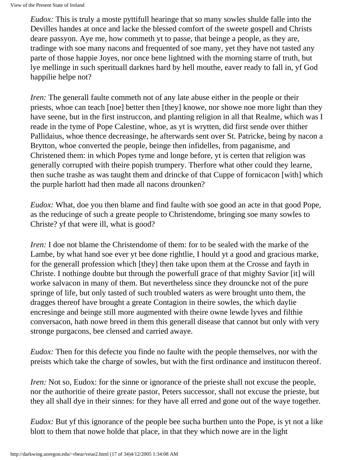*Eudox:* This is truly a moste pyttifull hearinge that so many sowles shulde falle into the Devilles handes at once and lacke the blessed comfort of the sweete gospell and Christs deare passyon. Aye me, how commeth yt to passe, that beinge a people, as they are, tradinge with soe many nacons and frequented of soe many, yet they have not tasted any parte of those happie Joyes, nor once bene lightned with the morning starre of truth, but lye mellinge in such sperituall darknes hard by hell mouthe, eaver ready to fall in, yf God happilie helpe not?

*Iren:* The generall faulte commeth not of any late abuse either in the people or their priests, whoe can teach [noe] better then [they] knowe, nor showe noe more light than they have seene, but in the first instruccon, and planting religion in all that Realme, which was I reade in the tyme of Pope Calestine, whoe, as yt is wrytten, did first sende over thither Pallidaius, whoe thence decreasinge, he afterwards sent over St. Patricke, being by nacon a Brytton, whoe converted the people, beinge then infidelles, from paganisme, and Christened them: in which Popes tyme and longe before, yt is certen that religion was generally corrupted with theire popish trumpery. Therfore what other could they learne, then suche trashe as was taught them and drincke of that Cuppe of fornicacon [with] which the purple harlott had then made all nacons drounken?

*Eudox:* What, doe you then blame and find faulte with soe good an acte in that good Pope, as the reducinge of such a greate people to Christendome, bringing soe many sowles to Christe? yf that were ill, what is good?

*Iren:* I doe not blame the Christendome of them: for to be sealed with the marke of the Lambe, by what hand soe ever yt bee done rightlie, I hould yt a good and gracious marke, for the generall profession which [they] then take upon them at the Crosse and fayth in Christe. I nothinge doubte but through the powerfull grace of that mighty Savior [it] will worke salvacon in many of them. But nevertheless since they drouncke not of the pure springe of life, but only tasted of such troubled waters as were brought unto them, the dragges thereof have brought a greate Contagion in theire sowles, the which daylie encresinge and beinge still more augmented with theire owne lewde lyves and filthie conversacon, hath nowe breed in them this generall disease that cannot but only with very stronge purgacons, bee clensed and carried awaye.

*Eudox:* Then for this defecte you finde no faulte with the people themselves, nor with the preists which take the charge of sowles, but with the first ordinance and institucon thereof.

*Iren:* Not so, Eudox: for the sinne or ignorance of the prieste shall not excuse the people, nor the authoritie of theire greate pastor, Peters successor, shall not excuse the prieste, but they all shall dye in their sinnes: for they have all erred and gone out of the waye together.

*Eudox:* But yf this ignorance of the people bee sucha burthen unto the Pope, is yt not a like blott to them that nowe holde that place, in that they which nowe are in the light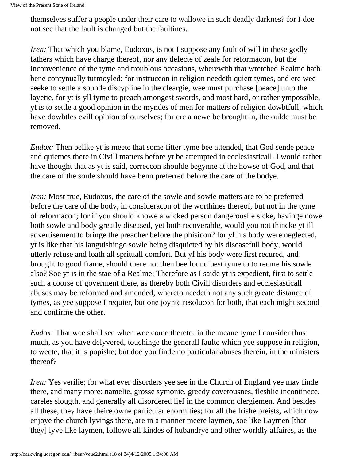themselves suffer a people under their care to wallowe in such deadly darknes? for I doe not see that the fault is changed but the faultines.

*Iren:* That which you blame, Eudoxus, is not I suppose any fault of will in these godly fathers which have charge thereof, nor any defecte of zeale for reformacon, but the inconvenience of the tyme and troublous occasions, wherewith that wretched Realme hath bene contynually turmoyled; for instruccon in religion needeth quiett tymes, and ere wee seeke to settle a sounde discypline in the cleargie, wee must purchase [peace] unto the layetie, for yt is yll tyme to preach amongest swords, and most hard, or rather ympossible, yt is to settle a good opinion in the myndes of men for matters of religion dowbtfull, which have dowbtles evill opinion of ourselves; for ere a newe be brought in, the oulde must be removed.

*Eudox:* Then belike yt is meete that some fitter tyme bee attended, that God sende peace and quietnes there in Civill matters before yt be attempted in ecclesiasticall. I would rather have thought that as yt is said, correccon shoulde begynne at the howse of God, and that the care of the soule should have benn preferred before the care of the bodye.

*Iren:* Most true, Eudoxus, the care of the sowle and sowle matters are to be preferred before the care of the body, in consideracon of the worthines thereof, but not in the tyme of reformacon; for if you should knowe a wicked person dangerouslie sicke, havinge nowe both sowle and body greatly diseased, yet both recoverable, would you not thincke yt ill advertisement to bringe the preacher before the phisicon? for yf his body were neglected, yt is like that his languishinge sowle being disquieted by his diseasefull body, would utterly refuse and loath all sprituall comfort. But yf his body were first recured, and brought to good frame, should there not then bee found best tyme to to recure his sowle also? Soe yt is in the stae of a Realme: Therefore as I saide yt is expedient, first to settle such a coorse of goverment there, as thereby both Civill disorders and ecclesiasticall abuses may be reformed and amended, whereto needeth not any such greate distance of tymes, as yee suppose I requier, but one joynte resolucon for both, that each might second and confirme the other.

*Eudox:* That wee shall see when wee come thereto: in the meane tyme I consider thus much, as you have delyvered, touchinge the generall faulte which yee suppose in religion, to weete, that it is popishe; but doe you finde no particular abuses therein, in the ministers thereof?

*Iren:* Yes verilie; for what ever disorders yee see in the Church of England yee may finde there, and many more: namelie, grosse symonie, greedy covetousnes, fleshlie incontinece, careles slougth, and generally all disordered lief in the common clergiemen. And besides all these, they have theire owne particular enormities; for all the Irishe preists, which now enjoye the church lyvings there, are in a manner meere laymen, soe like Laymen [that they] lyve like laymen, followe all kindes of hubandrye and other worldly affaires, as the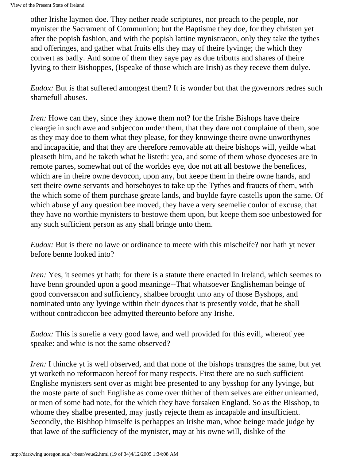other Irishe laymen doe. They nether reade scriptures, nor preach to the people, nor mynister the Sacrament of Communion; but the Baptisme they doe, for they christen yet after the popish fashion, and with the popish lattine mynistracon, only they take the tythes and offeringes, and gather what fruits ells they may of theire lyvinge; the which they convert as badly. And some of them they saye pay as due tributts and shares of theire lyving to their Bishoppes, (Ispeake of those which are Irish) as they receve them dulye.

*Eudox:* But is that suffered amongest them? It is wonder but that the governors redres such shamefull abuses.

*Iren:* Howe can they, since they knowe them not? for the Irishe Bishops have theire cleargie in such awe and subjeccon under them, that they dare not complaine of them, soe as they may doe to them what they please, for they knowinge theire owne unworthynes and incapacitie, and that they are therefore removable att theire bishops will, yeilde what pleaseth him, and he taketh what he listeth: yea, and some of them whose dyoceses are in remote partes, somewhat out of the worldes eye, doe not att all bestowe the benefices, which are in theire owne devocon, upon any, but keepe them in theire owne hands, and sett theire owne servants and horseboyes to take up the Tythes and fraucts of them, with the which some of them purchase greate lands, and buylde fayre castells upon the same. Of which abuse yf any question bee moved, they have a very seemelie coulor of excuse, that they have no worthie mynisters to bestowe them upon, but keepe them soe unbestowed for any such sufficient person as any shall bringe unto them.

*Eudox:* But is there no lawe or ordinance to meete with this mischeife? nor hath yt never before benne looked into?

*Iren:* Yes, it seemes yt hath; for there is a statute there enacted in Ireland, which seemes to have benn grounded upon a good meaninge--That whatsoever Englisheman beinge of good conversacon and sufficiency, shalbee brought unto any of those Byshops, and nominated unto any lyvinge within their dyoces that is presently voide, that he shall without contradiccon bee admytted thereunto before any Irishe.

*Eudox:* This is surelie a very good lawe, and well provided for this evill, whereof yee speake: and whie is not the same observed?

*Iren:* I thincke yt is well observed, and that none of the bishops transgres the same, but yet yt worketh no reformacon hereof for many respects. First there are no such sufficient Englishe mynisters sent over as might bee presented to any bysshop for any lyvinge, but the moste parte of such Englishe as come over thither of them selves are either unlearned, or men of some bad note, for the which they have forsaken England. So as the Bisshop, to whome they shalbe presented, may justly rejecte them as incapable and insufficient. Secondly, the Bishhop himselfe is perhappes an Irishe man, whoe beinge made judge by that lawe of the sufficiency of the mynister, may at his owne will, dislike of the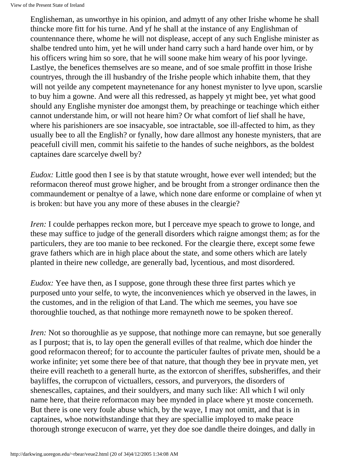Englisheman, as unworthye in his opinion, and admytt of any other Irishe whome he shall thincke more fitt for his turne. And yf he shall at the instance of any Englishman of countennance there, whome he will not displease, accept of any such Englishe minister as shalbe tendred unto him, yet he will under hand carry such a hard hande over him, or by his officers wring him so sore, that he will soone make him weary of his poor lyvinge. Lastlye, the benefices themselves are so meane, and of soe smale proffitt in those Irishe countryes, through the ill husbandry of the Irishe people which inhabite them, that they will not yeilde any competent maynetenance for any honest mynister to lyve upon, scarslie to buy him a gowne. And were all this redressed, as happely yt might bee, yet what good should any Englishe mynister doe amongst them, by preachinge or teachinge which either cannot understande him, or will not heare him? Or what comfort of lief shall he have, where his parishioners are soe insacyable, soe intractable, soe ill-affected to him, as they usually bee to all the English? or fynally, how dare allmost any honeste mynisters, that are peacefull civill men, commit his saifetie to the handes of suche neighbors, as the boldest captaines dare scarcelye dwell by?

*Eudox:* Little good then I see is by that statute wrought, howe ever well intended; but the reformacon thereof must growe higher, and be brought from a stronger ordinance then the commaundement or penaltye of a lawe, which none dare enforme or complaine of when yt is broken: but have you any more of these abuses in the cleargie?

*Iren:* I coulde perhappes reckon more, but I perceave mye speach to growe to longe, and these may suffice to judge of the generall disorders which raigne amongst them; as for the particulers, they are too manie to bee reckoned. For the cleargie there, except some fewe grave fathers which are in high place about the state, and some others which are lately planted in theire new colledge, are generally bad, lycentious, and most disordered.

*Eudox:* Yee have then, as I suppose, gone through these three first partes which ye purposed unto your selfe, to wyte, the inconveniences which ye observed in the lawes, in the customes, and in the religion of that Land. The which me seemes, you have soe thoroughlie touched, as that nothinge more remayneth nowe to be spoken thereof.

*Iren:* Not so thoroughlie as ye suppose, that nothinge more can remayne, but soe generally as I purpost; that is, to lay open the generall evilles of that realme, which doe hinder the good reformacon thereof; for to accounte the particuler faultes of private men, should be a worke infinite; yet some there bee of that nature, that though they bee in pryvate men, yet theire evill reacheth to a generall hurte, as the extorcon of sheriffes, subsheriffes, and their bayliffes, the corrupcon of victuallers, cessors, and purveryors, the disorders of shenescalles, captaines, and their souldyers, and many such like: All which I wil only name here, that theire reformacon may bee mynded in place where yt moste concerneth. But there is one very foule abuse which, by the waye, I may not omitt, and that is in captaines, whoe notwithstandinge that they are speciallie imployed to make peace thorough stronge execucon of warre, yet they doe soe dandle theire doinges, and dally in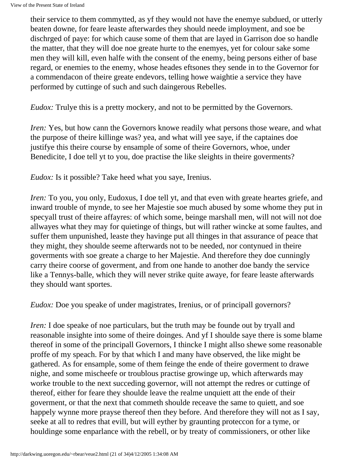their service to them commytted, as yf they would not have the enemye subdued, or utterly beaten downe, for feare leaste afterwardes they should neede imployment, and soe be dischrged of paye: for which cause some of them that are layed in Garrison doe so handle the matter, that they will doe noe greate hurte to the enemyes, yet for colour sake some men they will kill, even halfe with the consent of the enemy, being persons either of base regard, or enemies to the enemy, whose heades eftsones they sende in to the Governor for a commendacon of theire greate endevors, telling howe waightie a service they have performed by cuttinge of such and such daingerous Rebelles.

*Eudox:* Trulye this is a pretty mockery, and not to be permitted by the Governors.

*Iren:* Yes, but how cann the Governors knowe readily what persons those weare, and what the purpose of theire killinge was? yea, and what will yee saye, if the captaines doe justifye this theire course by ensample of some of theire Governors, whoe, under Benedicite, I doe tell yt to you, doe practise the like sleights in theire goverments?

*Eudox:* Is it possible? Take heed what you saye, Irenius.

*Iren:* To you, you only, Eudoxus, I doe tell yt, and that even with greate heartes griefe, and inward trouble of mynde, to see her Majestie soe much abused by some whome they put in specyall trust of theire affayres: of which some, beinge marshall men, will not will not doe allwayes what they may for quietinge of things, but will rather wincke at some faultes, and suffer them unpunished, leaste they havinge put all thinges in that assurance of peace that they might, they shoulde seeme afterwards not to be needed, nor contynued in theire goverments with soe greate a charge to her Majestie. And therefore they doe cunningly carry theire coorse of goverment, and from one hande to another doe bandy the service like a Tennys-balle, which they will never strike quite awaye, for feare leaste afterwards they should want sportes.

*Eudox:* Doe you speake of under magistrates, Irenius, or of principall governors?

*Iren:* I doe speake of noe particulars, but the truth may be founde out by tryall and reasonable insighte into some of theire doinges. And yf I shoulde saye there is some blame thereof in some of the principall Governors, I thincke I might allso shewe some reasonable proffe of my speach. For by that which I and many have observed, the like might be gathered. As for ensample, some of them feinge the ende of theire goverment to drawe nighe, and some mischeefe or troublous practise growinge up, which afterwards may worke trouble to the next succeding governor, will not attempt the redres or cuttinge of thereof, either for feare they shoulde leave the realme unquiett att the ende of their goverment, or that the next that commeth shoulde receave the same to quiett, and soe happely wynne more prayse thereof then they before. And therefore they will not as I say, seeke at all to redres that evill, but will eyther by graunting proteccon for a tyme, or houldinge some enparlance with the rebell, or by treaty of commissioners, or other like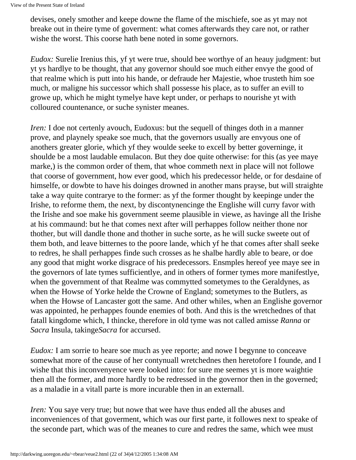devises, onely smother and keepe downe the flame of the mischiefe, soe as yt may not breake out in theire tyme of goverment: what comes afterwards they care not, or rather wishe the worst. This coorse hath bene noted in some governors.

*Eudox:* Surelie Irenius this, yf yt were true, should bee worthye of an heauy judgment: but yt ys hardlye to be thought, that any governor should soe much either envye the good of that realme which is putt into his hande, or defraude her Majestie, whoe trusteth him soe much, or maligne his successor which shall possesse his place, as to suffer an evill to growe up, which he might tymelye have kept under, or perhaps to nourishe yt with colloured countenance, or suche synister meanes.

*Iren*: I doe not certenly avouch, Eudoxus: but the sequell of thinges doth in a manner prove, and playnely speake soe much, that the governors usually are envyous one of anothers greater glorie, which yf they woulde seeke to excell by better governinge, it shoulde be a most laudable emulacon. But they doe quite otherwise: for this (as yee maye marke,) is the common order of them, that whoe commeth next in place will not followe that coorse of government, how ever good, which his predecessor helde, or for desdaine of himselfe, or dowbte to have his doinges drowned in another mans prayse, but will straighte take a way quite contrarye to the former: as yf the former thought by keepinge under the Irishe, to reforme them, the next, by discontynencinge the Englishe will curry favor with the Irishe and soe make his government seeme plausible in viewe, as havinge all the Irishe at his commaund: but he that comes next after will perhappes follow neither thone nor thother, but will dandle thone and thother in suche sorte, as he will sucke sweete out of them both, and leave bitternes to the poore lande, which yf he that comes after shall seeke to redres, he shall perhappes finde such crosses as he shalbe hardly able to beare, or doe any good that might worke disgrace of his predecessors. Ensmples hereof yee maye see in the governors of late tymes sufficientlye, and in others of former tymes more manifestlye, when the government of that Realme was commytted sometymes to the Geraldynes, as when the Howse of Yorke helde the Crowne of England; sometymes to the Butlers, as when the Howse of Lancaster gott the same. And other whiles, when an Englishe governor was appointed, he perhappes founde enemies of both. And this is the wretchednes of that fatall kingdome which, I thincke, therefore in old tyme was not called amisse *Ranna* or *Sacra* Insula, takinge*Sacra* for accursed.

*Eudox:* I am sorrie to heare soe much as yee reporte; and nowe I begynne to conceave somewhat more of the cause of her contynuall wretchednes then heretofore I founde, and I wishe that this inconvenyence were looked into: for sure me seemes yt is more waightie then all the former, and more hardly to be redressed in the governor then in the governed; as a maladie in a vitall parte is more incurable then in an externall.

*Iren:* You saye very true; but nowe that wee have thus ended all the abuses and inconveniences of that goverment, which was our first parte, it followes next to speake of the seconde part, which was of the meanes to cure and redres the same, which wee must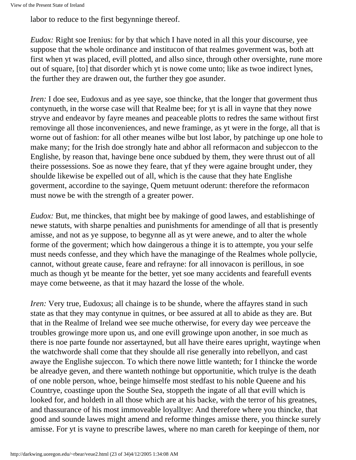labor to reduce to the first begynninge thereof.

*Eudox:* Right soe Irenius: for by that which I have noted in all this your discourse, yee suppose that the whole ordinance and institucon of that realmes goverment was, both att first when yt was placed, evill plotted, and allso since, through other oversighte, rune more out of square, [to] that disorder which yt is nowe come unto; like as twoe indirect lynes, the further they are drawen out, the further they goe asunder.

*Iren:* I doe see, Eudoxus and as yee saye, soe thincke, that the longer that goverment thus contynueth, in the worse case will that Realme bee; for yt is all in vayne that they nowe stryve and endeavor by fayre meanes and peaceable plotts to redres the same without first removinge all those inconveniences, and newe framinge, as yt were in the forge, all that is worne out of fashion: for all other meanes wilbe but lost labor, by patchinge up one hole to make many; for the Irish doe strongly hate and abhor all reformacon and subjeccon to the Englishe, by reason that, havinge bene once subdued by them, they were thrust out of all theire possessions. Soe as nowe they feare, that yf they were againe brought under, they shoulde likewise be expelled out of all, which is the cause that they hate Englishe goverment, accordine to the sayinge, Quem metuunt oderunt: therefore the reformacon must nowe be with the strength of a greater power.

*Eudox:* But, me thinckes, that might bee by makinge of good lawes, and establishinge of newe statuts, with sharpe penalties and punishments for amendinge of all that is presently amisse, and not as ye suppose, to begynne all as yt were anewe, and to alter the whole forme of the goverment; which how daingerous a thinge it is to attempte, you your selfe must needs confesse, and they which have the managinge of the Realmes whole pollycie, cannot, without greate cause, feare and refrayne: for all innovacon is perillous, in soe much as though yt be meante for the better, yet soe many accidents and fearefull events maye come betweene, as that it may hazard the losse of the whole.

*Iren:* Very true, Eudoxus; all chainge is to be shunde, where the affayres stand in such state as that they may contynue in quitnes, or bee assured at all to abide as they are. But that in the Realme of Ireland wee see muche otherwise, for every day wee perceave the troubles growinge more upon us, and one evill growinge upon another, in soe much as there is noe parte founde nor assertayned, but all have theire eares upright, waytinge when the watchworde shall come that they shoulde all rise generally into rebellyon, and cast awaye the Englishe sujeccon. To which there nowe little wanteth; for I thincke the worde be alreadye geven, and there wanteth nothinge but opportunitie, which trulye is the death of one noble person, whoe, beinge himselfe most stedfast to his noble Queene and his Countrye, coastinge upon the Southe Sea, stoppeth the ingate of all that evill which is looked for, and holdeth in all those which are at his backe, with the terror of his greatnes, and thassurance of his most immoveable loyalltye: And therefore where you thincke, that good and sounde lawes might amend and reforme thinges amisse there, you thincke surely amisse. For yt is vayne to prescribe lawes, where no man careth for keepinge of them, nor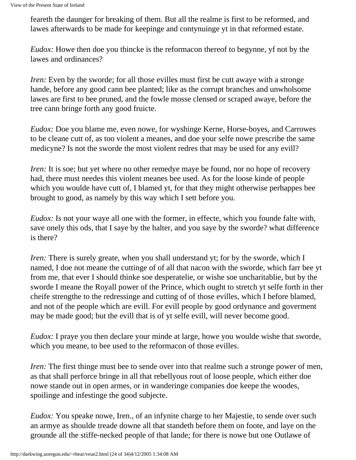feareth the daunger for breaking of them. But all the realme is first to be reformed, and lawes afterwards to be made for keepinge and contynuinge yt in that reformed estate.

*Eudox:* Howe then doe you thincke is the reformacon thereof to begynne, yf not by the lawes and ordinances?

*Iren*: Even by the sworde; for all those evilles must first be cutt awaye with a stronge hande, before any good cann bee planted; like as the corrupt branches and unwholsome lawes are first to bee pruned, and the fowle mosse clensed or scraped awaye, before the tree cann bringe forth any good fruicte.

*Eudox:* Doe you blame me, even nowe, for wyshinge Kerne, Horse-boyes, and Carrowes to be cleane cutt of, as too violent a meanes, and doe your selfe nowe prescribe the same medicyne? Is not the sworde the most violent redres that may be used for any evill?

*Iren:* It is soe; but yet where no other remedye maye be found, nor no hope of recovery had, there must needes this violent meanes bee used. As for the loose kinde of people which you woulde have cutt of, I blamed yt, for that they might otherwise perhappes bee brought to good, as namely by this way which I sett before you.

*Eudox:* Is not your waye all one with the former, in effecte, which you founde falte with, save onely this ods, that I saye by the halter, and you saye by the sworde? what difference is there?

*Iren:* There is surely greate, when you shall understand yt; for by the sworde, which I named, I doe not meane the cuttinge of of all that nacon with the sworde, which farr bee yt from me, that ever I should thinke soe desperatelie, or wishe soe uncharitablie, but by the sworde I meane the Royall power of the Prince, which ought to stretch yt selfe forth in ther cheife strengthe to the redressinge and cutting of of those evilles, which I before blamed, and not of the people which are evill. For evill people by good ordynance and goverment may be made good; but the evill that is of yt selfe evill, will never become good.

*Eudox:* I praye you then declare your minde at large, howe you woulde wishe that sworde, which you meane, to bee used to the reformacon of those evilles.

*Iren:* The first thinge must bee to sende over into that realme such a stronge power of men, as that shall perforce bringe in all that rebellyous rout of loose people, which either doe nowe stande out in open armes, or in wanderinge companies doe keepe the woodes, spoilinge and infestinge the good subjecte.

*Eudox:* You speake nowe, Iren., of an infynite charge to her Majestie, to sende over such an armye as shoulde treade downe all that standeth before them on foote, and laye on the grounde all the stiffe-necked people of that lande; for there is nowe but one Outlawe of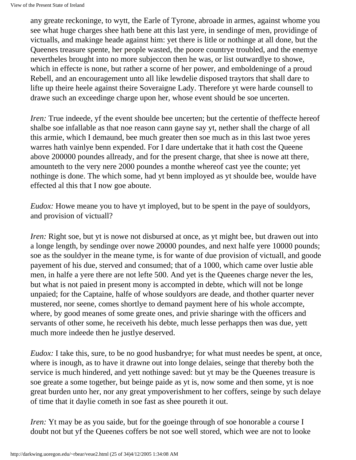any greate reckoninge, to wytt, the Earle of Tyrone, abroade in armes, against whome you see what huge charges shee hath bene att this last yere, in sendinge of men, providinge of victualls, and makinge heade against him: yet there is litle or nothinge at all done, but the Queenes treasure spente, her people wasted, the poore countrye troubled, and the enemye nevertheles brought into no more subjeccon then he was, or list outwardlye to showe, which in effecte is none, but rather a scorne of her power, and emboldeninge of a proud Rebell, and an encouragement unto all like lewdelie disposed traytors that shall dare to lifte up theire heele against theire Soveraigne Lady. Therefore yt were harde counsell to drawe such an exceedinge charge upon her, whose event should be soe uncerten.

*Iren:* True indeede, yf the event shoulde bee uncerten; but the certentie of theffecte hereof shalbe soe infallable as that noe reason cann gayne say yt, nether shall the charge of all this armie, which I demaund, bee much greater then soe much as in this last twoe yeres warres hath vainlye benn expended. For I dare undertake that it hath cost the Queene above 200000 poundes allready, and for the present charge, that shee is nowe att there, amounteth to the very nere 2000 poundes a monthe whereof cast yee the counte; yet nothinge is done. The which some, had yt benn imployed as yt shoulde bee, woulde have effected al this that I now goe aboute.

*Eudox:* Howe meane you to have yt imployed, but to be spent in the paye of souldyors, and provision of victuall?

*Iren:* Right soe, but yt is nowe not disbursed at once, as yt might bee, but drawen out into a longe length, by sendinge over nowe 20000 poundes, and next halfe yere 10000 pounds; soe as the souldyer in the meane tyme, is for wante of due provision of victuall, and goode payement of his due, sterved and consumed; that of a 1000, which came over lustie able men, in halfe a yere there are not lefte 500. And yet is the Queenes charge never the les, but what is not paied in present mony is accompted in debte, which will not be longe unpaied; for the Captaine, halfe of whose souldyors are deade, and thother quarter never mustered, nor seene, comes shortlye to demand payment here of his whole accompte, where, by good meanes of some greate ones, and privie sharinge with the officers and servants of other some, he receiveth his debte, much lesse perhapps then was due, yett much more indeede then he justlye deserved.

*Eudox:* I take this, sure, to be no good husbandrye; for what must needes be spent, at once, where is inough, as to have it drawne out into longe delaies, seinge that thereby both the service is much hindered, and yett nothinge saved: but yt may be the Queenes treasure is soe greate a some together, but beinge paide as yt is, now some and then some, yt is noe great burden unto her, nor any great ympoverishment to her coffers, seinge by such delaye of time that it daylie cometh in soe fast as shee poureth it out.

*Iren:* Yt may be as you saide, but for the goeinge through of soe honorable a course I doubt not but yf the Queenes coffers be not soe well stored, which wee are not to looke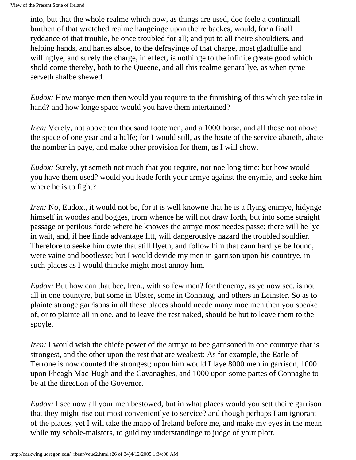into, but that the whole realme which now, as things are used, doe feele a continuall burthen of that wretched realme hangeinge upon theire backes, would, for a finall ryddance of that trouble, be once troubled for all; and put to all theire shouldiers, and helping hands, and hartes alsoe, to the defrayinge of that charge, most gladfullie and willinglye; and surely the charge, in effect, is nothinge to the infinite greate good which shold come thereby, both to the Queene, and all this realme genarallye, as when tyme serveth shalbe shewed.

*Eudox:* How manye men then would you require to the finnishing of this which yee take in hand? and how longe space would you have them intertained?

*Iren:* Verely, not above ten thousand footemen, and a 1000 horse, and all those not above the space of one year and a halfe; for I would still, as the heate of the service abateth, abate the nomber in paye, and make other provision for them, as I will show.

*Eudox:* Surely, yt semeth not much that you require, nor noe long time: but how would you have them used? would you leade forth your armye against the enymie, and seeke him where he is to fight?

*Iren:* No, Eudox., it would not be, for it is well knowne that he is a flying enimye, hidynge himself in woodes and bogges, from whence he will not draw forth, but into some straight passage or perilous forde where he knowes the armye most needes passe; there will he lye in wait, and, if hee finde advantage fitt, will dangerouslye hazard the troubled souldier. Therefore to seeke him owte that still flyeth, and follow him that cann hardlye be found, were vaine and bootlesse; but I would devide my men in garrison upon his countrye, in such places as I would thincke might most annoy him.

*Eudox:* But how can that bee, Iren., with so few men? for thenemy, as ye now see, is not all in one countyre, but some in Ulster, some in Connaug, and others in Leinster. So as to plainte stronge garrisons in all these places should neede many moe men then you speake of, or to plainte all in one, and to leave the rest naked, should be but to leave them to the spoyle.

*Iren:* I would wish the chiefe power of the armye to bee garrisoned in one countrye that is strongest, and the other upon the rest that are weakest: As for example, the Earle of Terrone is now counted the strongest; upon him would I laye 8000 men in garrison, 1000 upon Pheagh Mac-Hugh and the Cavanaghes, and 1000 upon some partes of Connaghe to be at the direction of the Governor.

*Eudox:* I see now all your men bestowed, but in what places would you sett theire garrison that they might rise out most convenientlye to service? and though perhaps I am ignorant of the places, yet I will take the mapp of Ireland before me, and make my eyes in the mean while my schole-maisters, to guid my understandinge to judge of your plott.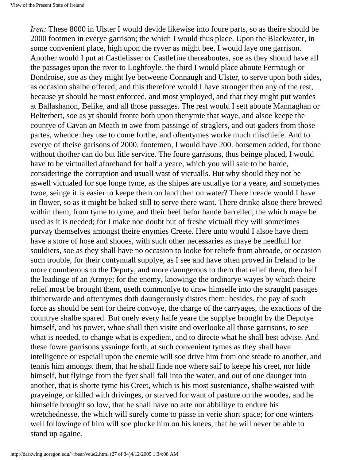*Iren:* These 8000 in Ulster I would devide likewise into foure parts, so as theire should be 2000 footmen in everye garrison; the which I would thus place. Upon the Blackwater, in some convenient place, high upon the ryver as might bee, I would laye one garrison. Another would I put at Castlelisser or Castlefine thereaboutes, soe as they should have all the passages upon the river to Loghfoyle. the third I would place aboute Fermaugh or Bondroise, soe as they might lye betweene Connaugh and Ulster, to serve upon both sides, as occasion shalbe offered; and this therefore would I have stronger then any of the rest, because yt should be most enforced, and most ymployed, and that they might put wardes at Ballashanon, Belike, and all those passages. The rest would I sett aboute Mannaghan or Belterbert, soe as yt should fronte both upon thenymie that waye, and alsoe keepe the countye of Cavan an Meath in awe from passinge of straglers, and out gaders from those partes, whence they use to come forthe, and oftentymes worke much mischiefe. And to everye of theise garisons of 2000. footemen, I would have 200. horsemen added, for thone without thother can do but litle service. The foure garrisons, thus beinge placed, I would have to be victualled aforehand for half a yeare, which you will saie to be harde, consideringe the corruption and usuall wast of victualls. But why should they not be aswell victualed for soe longe tyme, as the shipes are usuallye for a yeare, and sometymes twoe, seinge it is easier to keepe them on land then on water? There breade would I have in flower, so as it might be baked still to serve there want. There drinke alsoe there brewed within them, from tyme to tyme, and their beef befor hande barrelled, the which maye be used as it is needed; for I make noe doubt but of freshe victuall they will sometimes purvay themselves amongst theire enymies Creete. Here unto would I alsoe have them have a store of hose and shooes, with such other necessaries as maye be needfull for souldiers, soe as they shall have no occasion to looke for reliefe from abroade, or occasion such trouble, for their contynuall supplye, as I see and have often proved in Ireland to be more coumberous to the Deputy, and more daungerous to them that relief them, then half the leadinge of an Armye; for the enemy, knowinge the ordinarye wayes by which theire relief most be brought them, useth commonlye to draw himselfe into the straught pasages thitherwarde and oftentymes doth daungerously distres them: besides, the pay of such force as should be sent for theire convoye, the charge of the carryages, the exactions of the countrye shalbe spared. But onely every halfe yeare the supplye brought by the Deputye himself, and his power, whoe shall then visite and overlooke all those garrisons, to see what is needed, to change what is expedient, and to directe what he shall best advise. And these fowre garrisons yssuinge forth, at such convenient tymes as they shall have intelligence or espeiall upon the enemie will soe drive him from one steade to another, and tennis him amongst them, that he shall finde noe where saif to keepe his creet, nor hide himself, but flyinge from the fyer shall fall into the water, and out of one daunger into another, that is shorte tyme his Creet, which is his most susteniance, shalbe waisted with prayeinge, or killed with drivinges, or starved for want of pasture on the woodes, and he himselfe brought so low, that he shall have no arte nor abbilitye to endure his wretchednesse, the which will surely come to passe in verie short space; for one winters well followinge of him will soe plucke him on his knees, that he will never be able to stand up againe.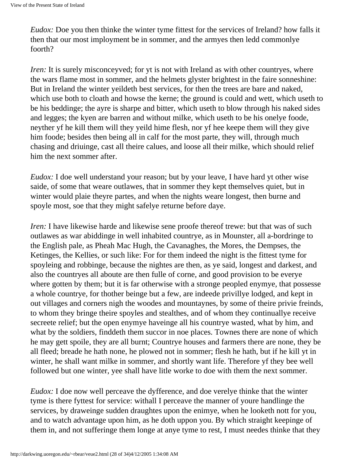*Eudox:* Doe you then thinke the winter tyme fittest for the services of Ireland? how falls it then that our most imployment be in sommer, and the armyes then ledd commonlye foorth?

*Iren:* It is surely misconceyved; for yt is not with Ireland as with other countryes, where the wars flame most in sommer, and the helmets glyster brightest in the faire sonneshine: But in Ireland the winter yeildeth best services, for then the trees are bare and naked, which use both to cloath and howse the kerne; the ground is could and wett, which useth to be his beddinge; the ayre is sharpe and bitter, which useth to blow through his naked sides and legges; the kyen are barren and without milke, which useth to be his onelye foode, neyther yf he kill them will they yeild hime flesh, nor yf hee keepe them will they give him foode; besides then being all in calf for the most parte, they will, through much chasing and driuinge, cast all theire calues, and loose all their milke, which should relief him the next sommer after.

*Eudox:* I doe well understand your reason; but by your leave, I have hard yt other wise saide, of some that weare outlawes, that in sommer they kept themselves quiet, but in winter would plaie theyre partes, and when the nights weare longest, then burne and spoyle most, soe that they might safelye returne before daye.

*Iren:* I have likewise harde and likewise sene proofe thereof trewe: but that was of such outlawes as war abiddinge in well inhabited countrye, as in Mounster, all a-bordringe to the English pale, as Pheah Mac Hugh, the Cavanaghes, the Mores, the Dempses, the Ketinges, the Kellies, or such like: For for them indeed the night is the fittest tyme for spoyleing and robbinge, because the nightes are then, as ye said, longest and darkest, and also the countryes all aboute are then fulle of corne, and good provision to be everye where gotten by them; but it is far otherwise with a stronge peopled enymye, that possesse a whole countrye, for thother beinge but a few, are indeede privillye lodged, and kept in out villages and corners nigh the woodes and mountaynes, by some of theire privie freinds, to whom they bringe theire spoyles and stealthes, and of whom they continuallye receive secreete relief; but the open enymye haveinge all his countrye wasted, what by him, and what by the soldiers, finddeth them succor in noe places. Townes there are none of which he may gett spoile, they are all burnt; Countrye houses and farmers there are none, they be all fleed; breade he hath none, he plowed not in sommer; flesh he hath, but if he kill yt in winter, he shall want milke in sommer, and shortly want life. Therefore yf they bee well followed but one winter, yee shall have litle worke to doe with them the next sommer.

*Eudox:* I doe now well perceave the dyfference, and doe verelye thinke that the winter tyme is there fyttest for service: withall I perceave the manner of youre handlinge the services, by draweinge sudden draughtes upon the enimye, when he looketh nott for you, and to watch advantage upon him, as he doth uppon you. By which straight keepinge of them in, and not sufferinge them longe at anye tyme to rest, I must needes thinke that they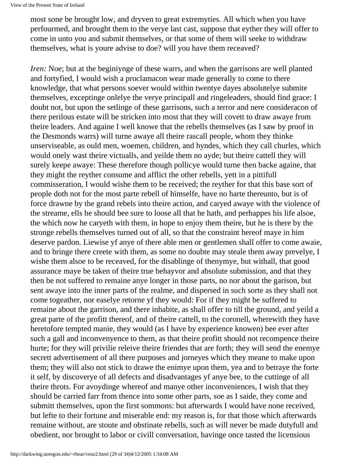most sone be brought low, and dryven to great extremyties. All which when you have perfourmed, and brought them to the verye last cast, suppose that eyther they will offer to come in unto you and submit themselves, or that some of them will seeke to withdraw themselves, what is youre advise to doe? will you have them receaved?

*Iren:* Noe; but at the beginiynge of these warrs, and when the garrisons are well planted and fortyfied, I would wish a proclamacon wear made generally to come to there knowledge, that what persons soever would within twentye dayes absolutelye submite themselves, exceptinge onlelye the verye principall and ringeleaders, should find grace: I doubt not, but upon the setlinge of these garrisons, such a terror and nere consideracon of there perilous estate will be stricken into most that they will covett to draw awaye from theire leaders. And againe I well knowe that the rebells themselves (as I saw by proof in the Desmonds warrs) will turne awaye all theire rascall people, whom they thinke unserviseable, as ould men, woemen, children, and hyndes, which they call churles, which would onely wast theire victualls, and yeilde them no ayde; but theire cattell they will surely keepe awaye: These therefore though pollicye would turne then backe againe, that they might the reyther consume and afflict the other rebells, yett in a pittifull commisseration, I would wishe them to be received; the reyther for that this base sort of people doth not for the most parte rebell of himselfe, have no harte thereunto, but is of force drawne by the grand rebels into theire action, and caryed awaye with the violence of the streame, ells he should bee sure to loose all that he hath, and perhappes his life alsoe, the which now he caryeth with them, in hope to enjoy them theire, but he is there by the stronge rebells themselves turned out of all, so that the constraint hereof maye in him deserve pardon. Liewise yf anye of there able men or gentlemen shall offer to come awaie, and to bringe there creete with them, as some no doubte may steale them away prevelye, I wishe them alsoe to be receaved, for the disablinge of thenymye, but withall, that good assurance maye be taken of theire true behayvor and absolute submission, and that they then be not suffered to remaine anye longer in those parts, no nor about the garison, but sent awaye into the inner parts of the realme, and dispersed in such sorte as they shall not come togeather, nor easelye retorne yf they would: For if they might be suffered to remaine about the garrison, and there inhabite, as shall offer to till the ground, and yeild a great parte of the profitt thereof, and of theire cattell, to the coronell, wherewith they have heretofore tempted manie, they would (as I have by experience knowen) bee ever after such a gall and inconvenyence to them, as that theire profitt should not recompence theire hurte; for they will privilie releive theire friendes that are forth; they will send the enemye secrett advertisement of all there purposes and jorneyes which they meane to make upon them; they will also not stick to drawe the enimye upon them, yea and to betraye the forte it self, by discoverye of all defects and disadvantages yf anye bee, to the cuttinge of all theire throts. For avoydinge whereof and manye other inconveniences, I wish that they should be carried farr from thence into some other parts, soe as I saide, they come and submitt themselves, upon the first sommons: but afterwards I would have none received, but lefte to their fortune and miserable end: my reason is, for that those which afterwards remaine without, are stoute and obstinate rebells, such as will never be made dutyfull and obedient, nor brought to labor or civill conversation, havinge once tasted the licensious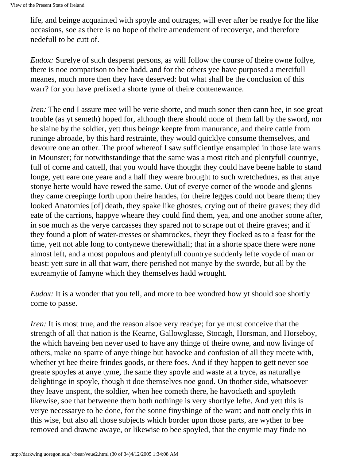life, and beinge acquainted with spoyle and outrages, will ever after be readye for the like occasions, soe as there is no hope of theire amendement of recoverye, and therefore nedefull to be cutt of.

*Eudox:* Surelye of such desperat persons, as will follow the course of theire owne follye, there is noe comparison to bee hadd, and for the others yee have purposed a mercifull meanes, much more then they have deserved: but what shall be the conclusion of this warr? for you have prefixed a shorte tyme of theire contenewance.

*Iren:* The end I assure mee will be verie shorte, and much soner then cann bee, in soe great trouble (as yt semeth) hoped for, although there should none of them fall by the sword, nor be slaine by the soldier, yett thus beinge keepte from manurance, and theire cattle from runinge abroade, by this hard restrainte, they would quicklye consume themselves, and devoure one an other. The proof whereof I saw sufficientlye ensampled in those late warrs in Mounster; for notwithstandinge that the same was a most ritch and plentyfull countrye, full of corne and cattell, that you would have thought they could have beene hable to stand longe, yett eare one yeare and a half they weare brought to such wretchednes, as that anye stonye herte would have rewed the same. Out of everye corner of the woode and glenns they came creepinge forth upon theire handes, for theire legges could not beare them; they looked Anatomies [of] death, they spake like ghostes, crying out of theire graves; they did eate of the carrions, happye wheare they could find them, yea, and one another soone after, in soe much as the verye carcasses they spared not to scrape out of theire graves; and if they found a plott of water-cresses or shamrockes, theyr they flocked as to a feast for the time, yett not able long to contynewe therewithall; that in a shorte space there were none almost left, and a most populous and plentyfull countrye suddenly lefte voyde of man or beast: yett sure in all that warr, there perished not manye by the sworde, but all by the extreamytie of famyne which they themselves hadd wrought.

*Eudox:* It is a wonder that you tell, and more to bee wondred how yt should soe shortly come to passe.

*Iren:* It is most true, and the reason alsoe very readye; for ye must conceive that the strength of all that nation is the Kearne, Gallowglasse, Stocagh, Horsman, and Horseboy, the which haveing ben never used to have any thinge of theire owne, and now livinge of others, make no sparre of anye thinge but havocke and confusion of all they meete with, whether yt bee theire frindes goods, or there foes. And if they happen to gett never soe greate spoyles at anye tyme, the same they spoyle and waste at a tryce, as naturallye delightinge in spoyle, though it doe themselves noe good. On thother side, whatsoever they leave unspent, the soldier, when hee cometh there, he havocketh and spoyleth likewise, soe that betweene them both nothinge is very shortlye lefte. And yett this is verye necessarye to be done, for the sonne finyshinge of the warr; and nott onely this in this wise, but also all those subjects which border upon those parts, are wyther to bee removed and drawne awaye, or likewise to bee spoyled, that the enymie may finde no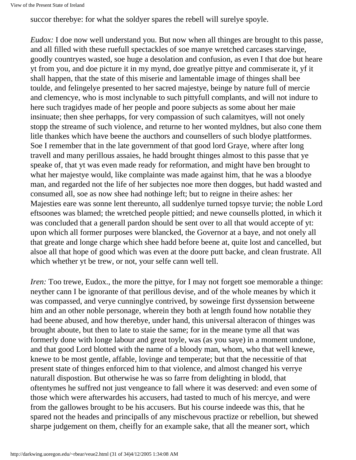succor therebye: for what the soldyer spares the rebell will surelye spoyle.

*Eudox:* I doe now well understand you. But now when all thinges are brought to this passe, and all filled with these ruefull spectackles of soe manye wretched carcases starvinge, goodly countryes wasted, soe huge a desolation and confusion, as even I that doe but heare yt from you, and doe picture it in my mynd, doe greatlye pittye and commiserate it, yf it shall happen, that the state of this miserie and lamentable image of thinges shall bee toulde, and felingelye presented to her sacred majestye, beinge by nature full of mercie and clemencye, who is most inclynable to such pittyfull complants, and will not indure to here such tragidyes made of her people and poore subjects as some about her maie insinuate; then shee perhapps, for very compassion of such calamityes, will not onely stopp the streame of such violence, and returne to her wonted myldnes, but also cone them litle thankes which have beene the aucthors and counsellers of such blodye plattformes. Soe I remember that in the late government of that good lord Graye, where after long travell and many perillous assaies, he hadd brought thinges almost to this passe that ye speake of, that yt was even made ready for reformation, and might have ben brought to what her majestye would, like complainte was made against him, that he was a bloodye man, and regarded not the life of her subjectes noe more then dogges, but hadd wasted and consumed all, soe as now shee had nothinge left; but to reigne in theire ashes: her Majesties eare was sonne lent thereunto, all suddenlye turned topsye turvie; the noble Lord eftsoones was blamed; the wretched people pittied; and newe counsells plotted, in which it was concluded that a generall pardon should be sent over to all that would accepte of yt: upon which all former purposes were blancked, the Governor at a baye, and not onely all that greate and longe charge which shee hadd before beene at, quite lost and cancelled, but alsoe all that hope of good which was even at the doore putt backe, and clean frustrate. All which whether yt be trew, or not, your selfe cann well tell.

*Iren:* Too trewe, Eudox., the more the pittye, for I may not forgett soe memorable a thinge: neyther cann I be ignorante of that perillous devise, and of the whole meanes by which it was compassed, and verye cunninglye contrived, by soweinge first dyssension betweene him and an other noble personage, wherein they both at length found how notablie they had beene abused, and how therebye, under hand, this universal alteracon of thinges was brought aboute, but then to late to staie the same; for in the meane tyme all that was formerly done with longe labour and great toyle, was (as you saye) in a moment undone, and that good Lord blotted with the name of a bloody man, whom, who that well knewe, knewe to be most gentle, affable, lovinge and temperate; but that the necessitie of that present state of thinges enforced him to that violence, and almost changed his verrye naturall dispostion. But otherwise he was so farre from delighting in blodd, that oftentymes he suffred not just vengeance to fall where it was deserved: and even some of those which were afterwardes his accusers, had tasted to much of his mercye, and were from the gallowes brought to be his accusers. But his course indeede was this, that he spared not the heades and principalls of any mischevous practize or rebellion, but shewed sharpe judgement on them, cheifly for an example sake, that all the meaner sort, which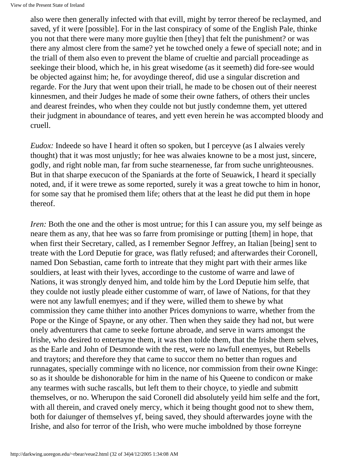also were then generally infected with that evill, might by terror thereof be reclaymed, and saved, yf it were [possible]. For in the last conspiracy of some of the English Pale, thinke you not that there were many more guyltie then [they] that felt the punishment? or was there any almost clere from the same? yet he towched onely a fewe of speciall note; and in the triall of them also even to prevent the blame of crueltie and parciall proceadinge as seekinge their blood, which he, in his great wisedome (as it seemeth) did fore-see would be objected against him; he, for avoydinge thereof, did use a singular discretion and regarde. For the Jury that went upon their triall, he made to be chosen out of their neerest kinnesmen, and their Judges he made of some their owne fathers, of others their uncles and dearest freindes, who when they coulde not but justly condemne them, yet uttered their judgment in aboundance of teares, and yett even herein he was accompted bloody and cruell.

*Eudox:* Indeede so have I heard it often so spoken, but I perceyve (as I alwaies verely thought) that it was most unjustly; for hee was alwaies knowne to be a most just, sincere, godly, and right noble man, far from suche stearnenesse, far from suche unrighteousnes. But in that sharpe execucon of the Spaniards at the forte of Seuawick, I heard it specially noted, and, if it were trewe as some reported, surely it was a great towche to him in honor, for some say that he promised them life; others that at the least he did put them in hope thereof.

*Iren:* Both the one and the other is most untrue; for this I can assure you, my self beinge as neare them as any, that hee was so farre from promisinge or putting [them] in hope, that when first their Secretary, called, as I remember Segnor Jeffrey, an Italian [being] sent to treate with the Lord Deputie for grace, was flatly refused; and afterwardes their Coronell, named Don Sebastian, came forth to intreate that they might part with their armes like souldiers, at least with their lyves, accordinge to the custome of warre and lawe of Nations, it was strongly denyed him, and tolde him by the Lord Deputie him selfe, that they coulde not iustly pleade either customme of warr, of lawe of Nations, for that they were not any lawfull enemyes; and if they were, willed them to shewe by what commission they came thither into another Prices domynions to warre, whether from the Pope or the Kinge of Spayne, or any other. Then when they saide they had not, but were onely adventurers that came to seeke fortune abroade, and serve in warrs amongst the Irishe, who desired to entertayne them, it was then tolde them, that the Irishe them selves, as the Earle and John of Desmonde with the rest, were no lawfull enemyes, but Rebells and traytors; and therefore they that came to succor them no better than rogues and runnagates, specially comminge with no licence, nor commission from their owne Kinge: so as it shoulde be dishonorable for him in the name of his Queene to condicon or make any tearmes with suche rascalls, but left them to their choyce, to yiedle and submitt themselves, or no. Wherupon the said Coronell did absolutely yeild him selfe and the fort, with all therein, and craved onely mercy, which it being thought good not to shew them, both for daiunger of themselves yf, being saved, they should afterwardes joyne with the Irishe, and also for terror of the Irish, who were muche imboldned by those forreyne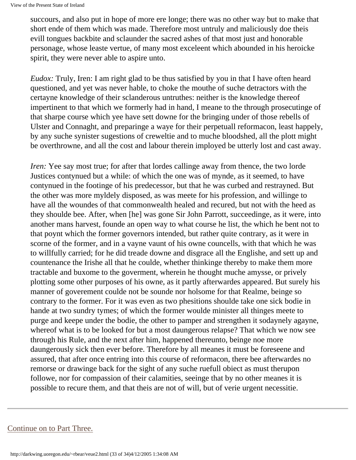succours, and also put in hope of more ere longe; there was no other way but to make that short ende of them which was made. Therefore most untruly and maliciously doe theis evill tongues backbite and sclaunder the sacred ashes of that most just and honorable personage, whose leaste vertue, of many most exceleent which abounded in his heroicke spirit, they were never able to aspire unto.

*Eudox:* Truly, Iren: I am right glad to be thus satisfied by you in that I have often heard questioned, and yet was never hable, to choke the mouthe of suche detractors with the certayne knowledge of their sclanderous untruthes: neither is the knowledge thereof impertinent to that which we formerly had in hand, I meane to the through prosecutinge of that sharpe course which yee have sett downe for the bringing under of those rebells of Ulster and Connaght, and preparinge a waye for their perpetuall reformacon, least happely, by any suche synister sugestions of creweltie and to muche bloodshed, all the plott might be overthrowne, and all the cost and labour therein imployed be utterly lost and cast away.

*Iren:* Yee say most true; for after that lordes callinge away from thence, the two lorde Justices contynued but a while: of which the one was of mynde, as it seemed, to have contynued in the footinge of his predecessor, but that he was curbed and restrayned. But the other was more myldely disposed, as was meete for his profession, and willinge to have all the woundes of that commonwealth healed and recured, but not with the heed as they shoulde bee. After, when [he] was gone Sir John Parrott, succeedinge, as it were, into another mans harvest, founde an open way to what course he list, the which he bent not to that poynt which the former governors intended, but rather quite contrary, as it were in scorne of the former, and in a vayne vaunt of his owne councells, with that which he was to willfully carried; for he did treade downe and disgrace all the Englishe, and sett up and countenance the Irishe all that he coulde, whether thinkinge thereby to make them more tractable and buxome to the goverment, wherein he thought muche amysse, or prively plotting some other purposes of his owne, as it partly afterwardes appeared. But surely his manner of goverement coulde not be sounde nor holsome for that Realme, beinge so contrary to the former. For it was even as two phesitions shoulde take one sick bodie in hande at two sundry tymes; of which the former woulde minister all thinges meete to purge and keepe under the bodie, the other to pamper and strengthen it sodaynely agayne, whereof what is to be looked for but a most daungerous relapse? That which we now see through his Rule, and the next after him, happened thereunto, beinge noe more daungerously sick then ever before. Therefore by all meanes it must be foreseene and assured, that after once entring into this course of reformacon, there bee afterwardes no remorse or drawinge back for the sight of any suche ruefull obiect as must therupon followe, nor for compassion of their calamities, seeinge that by no other meanes it is possible to recure them, and that theis are not of will, but of verie urgent necessitie.

## [Continue on to Part Three.](#page-75-0)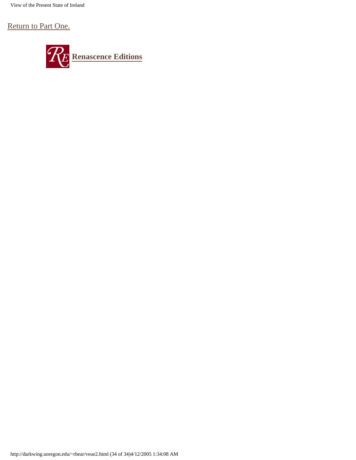View of the Present State of Ireland

[Return to Part One.](#page-0-0)

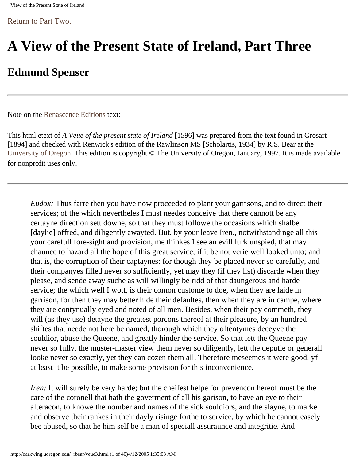## <span id="page-75-0"></span>**A View of the Present State of Ireland, Part Three**

## **Edmund Spenser**

Note on the [Renascence Editions](http://darkwing.uoregon.edu/~rbear/ren.htm) text:

This html etext of *A Veue of the present state of Ireland* [1596] was prepared from the text found in Grosart [1894] and checked with Renwick's edition of the Rawlinson MS [Scholartis, 1934] by R.S. Bear at the [University of Oregon.](http://www.uoregon.edu/) This edition is copyright © The University of Oregon, January, 1997. It is made available for nonprofit uses only.

*Eudox:* Thus farre then you have now proceeded to plant your garrisons, and to direct their services; of the which nevertheles I must needes conceive that there cannott be any certayne direction sett downe, so that they must followe the occasions which shalbe [daylie] offred, and diligently awayted. But, by your leave Iren., notwithstandinge all this your carefull fore-sight and provision, me thinkes I see an evill lurk unspied, that may chaunce to hazard all the hope of this great service, if it be not verie well looked unto; and that is, the corruption of their captaynes: for though they be placed never so carefully, and their companyes filled never so sufficiently, yet may they (if they list) discarde when they please, and sende away suche as will willingly be ridd of that daungerous and harde service; the which well I wott, is their comon custome to doe, when they are laide in garrison, for then they may better hide their defaultes, then when they are in campe, where they are contynually eyed and noted of all men. Besides, when their pay commeth, they will (as they use) detayne the greatest porcons thereof at their pleasure, by an hundred shiftes that neede not here be named, thorough which they oftentymes deceyve the souldior, abuse the Queene, and greatly hinder the service. So that lett the Queene pay never so fully, the muster-master view them never so diligently, lett the deputie or generall looke never so exactly, yet they can cozen them all. Therefore meseemes it were good, yf at least it be possible, to make some provision for this inconvenience.

*Iren:* It will surely be very harde; but the cheifest helpe for prevencon hereof must be the care of the coronell that hath the goverment of all his garison, to have an eye to their alteracon, to knowe the nomber and names of the sick souldiors, and the slayne, to marke and observe their rankes in their dayly risinge forthe to service, by which he cannot easely bee abused, so that he him self be a man of speciall assuraunce and integritie. And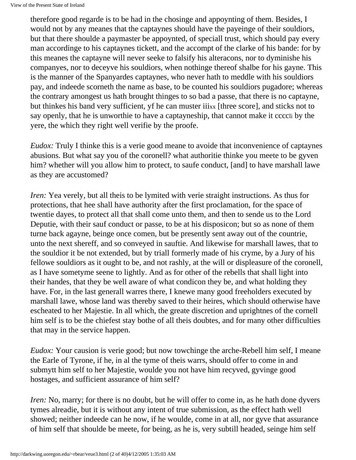therefore good regarde is to be had in the chosinge and appoynting of them. Besides, I would not by any meanes that the captaynes should have the payeinge of their souldiors, but that there shoulde a paymaster be appoynted, of speciall trust, which should pay every man accordinge to his captaynes tickett, and the accompt of the clarke of his bande: for by this meanes the captayne will never seeke to falsify his alteracons, nor to dyminishe his companyes, nor to deceyve his souldiors, when nothinge thereof shalbe for his gayne. This is the manner of the Spanyardes captaynes, who never hath to meddle with his souldiors pay, and indeede scorneth the name as base, to be counted his souldiors pugadore; whereas the contrary amongest us hath brought thinges to so bad a passe, that there is no captayne, but thinkes his band very sufficient, yf he can muster iiixx [three score], and sticks not to say openly, that he is unworthie to have a captayneship, that cannot make it ccccli by the yere, the which they right well verifie by the proofe.

*Eudox:* Truly I thinke this is a verie good meane to avoide that inconvenience of captaynes abusions. But what say you of the coronell? what authoritie thinke you meete to be gyven him? whether will you allow him to protect, to saufe conduct, [and] to have marshall lawe as they are accustomed?

*Iren:* Yea verely, but all theis to be lymited with verie straight instructions. As thus for protections, that hee shall have authority after the first proclamation, for the space of twentie dayes, to protect all that shall come unto them, and then to sende us to the Lord Deputie, with their sauf conduct or passe, to be at his disposicon; but so as none of them turne back agayne, beinge once comen, but be presently sent away out of the countrie, unto the next shereff, and so conveyed in sauftie. And likewise for marshall lawes, that to the souldior it be not extended, but by triall formerly made of his cryme, by a Jury of his fellowe souldiors as it ought to be, and not rashly, at the will or displeasure of the coronell, as I have sometyme seene to lightly. And as for other of the rebells that shall light into their handes, that they be well aware of what condicon they be, and what holding they have. For, in the last generall warres there, I knewe many good freeholders executed by marshall lawe, whose land was thereby saved to their heires, which should otherwise have escheated to her Majestie. In all which, the greate discretion and uprightnes of the cornell him self is to be the chiefest stay bothe of all theis doubtes, and for many other difficulties that may in the service happen.

*Eudox:* Your causion is verie good; but now towchinge the arche-Rebell him self, I meane the Earle of Tyrone, if he, in al the tyme of theis warrs, should offer to come in and submytt him self to her Majestie, woulde you not have him recyved, gyvinge good hostages, and sufficient assurance of him self?

*Iren:* No, marry; for there is no doubt, but he will offer to come in, as he hath done dyvers tymes alreadie, but it is without any intent of true submission, as the effect hath well showed; neither indeede can he now, if he woulde, come in at all, nor gyve that assurance of him self that shoulde be meete, for being, as he is, very subtill headed, seinge him self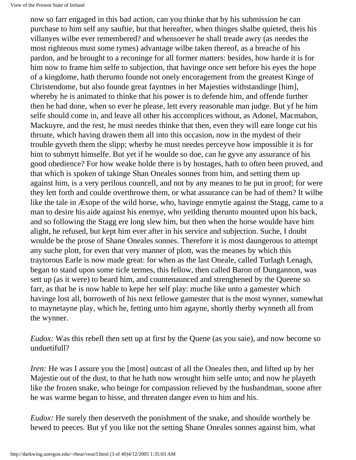now so farr engaged in this bad action, can you thinke that by his submission he can purchase to him self any sauftie, but that hereafter, when thinges shalbe quieted, theis his villanyes wilbe ever remembered? and whensoever he shall treade awry (as needes the most righteous must some tymes) advantage wilbe taken thereof, as a breache of his pardon, and he brought to a reconinge for all former matters: besides, how harde it is for him now to frame him selfe to subjection, that havinge once sett before his eyes the hope of a kingdome, hath therunto founde not onely encoragement from the greatest Kinge of Christendome, but also founde great fayntnes in her Majesties withstandinge [him], whereby he is animated to thinke that his power is to defende him, and offende further then he had done, when so ever he please, lett every reasonable man judge. But yf he him selfe should come in, and leave all other his accomplices without, as Adonel, Macmahon, Mackuyre, and the rest, he must needes thinke that then, even they will eare longe cut his throate, which having drawen them all into this occasion, now in the mydest of their trouble gyveth them the slipp; wherby he must needes perceyve how impossible it is for him to submytt himselfe. But yet if he woulde so doe, can he gyve any assurance of his good obedience? For how weake holde there is by hostages, hath to often been proved, and that which is spoken of takinge Shan Oneales sonnes from him, and setting them up against him, is a very perilous councell, and not by any meanes to be put in proof; for were they lett forth and coulde overthrowe them, or what assurance can be had of them? It wilbe like the tale in Æsope of the wild horse, who, havinge enmytie against the Stagg, came to a man to desire his aide against his enemye, who yeilding therunto mounted upon his back, and so following the Stagg ere long slew him, but then when the horse woulde have him alight, he refused, but kept him ever after in his service and subjection. Suche, I doubt woulde be the prose of Shane Oneales sonnes. Therefore it is most daungerous to attempt any suche plott, for even that very manner of plott, was the meanes by which this traytorous Earle is now made great: for when as the last Oneale, called Turlagh Lenagh, began to stand upon some ticle termes, this fellow, then called Baron of Dungannon, was sett up (as it were) to beard him, and countenaunced and strenghened by the Queene so farr, as that he is now hable to kepe her self play: muche like unto a gamester which havinge lost all, borroweth of his next fellowe gamester that is the most wynner, somewhat to maynetayne play, which he, fetting unto him agayne, shortly therby wynneth all from the wynner.

*Eudox:* Was this rebell then sett up at first by the Quene (as you saie), and now become so unduetifull?

*Iren:* He was I assure you the [most] outcast of all the Oneales then, and lifted up by her Majestie out of the dust, to that he hath now wrought him selfe unto; and now he playeth like the frozen snake, who beinge for compassion relieved by the husbandman, soone after he was warme began to hisse, and threaten danger even to him and his.

*Eudox:* He surely then deserveth the ponishment of the snake, and shoulde worthely be hewed to peeces. But yf you like not the setting Shane Oneales sonnes against him, what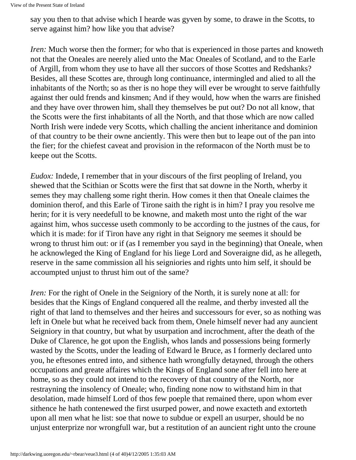say you then to that advise which I hearde was gyven by some, to drawe in the Scotts, to serve against him? how like you that advise?

*Iren:* Much worse then the former; for who that is experienced in those partes and knoweth not that the Oneales are neerely alied unto the Mac Oneales of Scotland, and to the Earle of Argill, from whom they use to have all ther succors of those Scottes and Redshanks? Besides, all these Scottes are, through long continuance, intermingled and alied to all the inhabitants of the North; so as ther is no hope they will ever be wrought to serve faithfully against ther ould frends and kinsmen; And if they would, how when the warrs are finished and they have over throwen him, shall they themselves be put out? Do not all know, that the Scotts were the first inhabitants of all the North, and that those which are now called North Irish were indede very Scotts, which challing the ancient inheritance and dominion of that country to be their owne anciently. This were then but to leape out of the pan into the fier; for the chiefest caveat and provision in the reformacon of the North must be to keepe out the Scotts.

*Eudox:* Indede, I remember that in your discours of the first peopling of Ireland, you shewed that the Scithian or Scotts were the first that sat downe in the North, wherby it semes they may challeng some right therin. How comes it then that Oneale claimes the dominion therof, and this Earle of Tirone saith the right is in him? I pray you resolve me herin; for it is very needefull to be knowne, and maketh most unto the right of the war against him, whos successe useth commonly to be according to the justnes of the caus, for which it is made: for if Tiron have any right in that Seignory me seemes it should be wrong to thrust him out: or if (as I remember you sayd in the beginning) that Oneale, when he acknowleged the King of England for his liege Lord and Soveraigne did, as he allegeth, reserve in the same commission all his seigniories and rights unto him self, it should be accoumpted unjust to thrust him out of the same?

*Iren:* For the right of Onele in the Seigniory of the North, it is surely none at all: for besides that the Kings of England conquered all the realme, and therby invested all the right of that land to themselves and ther heires and successours for ever, so as nothing was left in Onele but what he received back from them, Onele himself never had any auncient Seigniory in that country, but what by usurpation and incrochment, after the death of the Duke of Clarence, he got upon the English, whos lands and possessions being formerly wasted by the Scotts, under the leading of Edward le Bruce, as I formerly declared unto you, he eftesones entred into, and sithence hath wrongfully detayned, through the others occupations and greate affaires which the Kings of England sone after fell into here at home, so as they could not intend to the recovery of that country of the North, nor restrayning the insolency of Oneale; who, finding none now to withstand him in that desolation, made himself Lord of thos few poeple that remained there, upon whom ever sithence he hath contenewed the first usurped power, and nowe exacteth and extorteth upon all men what he list: soe that nowe to subdue or expell an usurper, should be no unjust enterprize nor wrongfull war, but a restitution of an auncient right unto the croune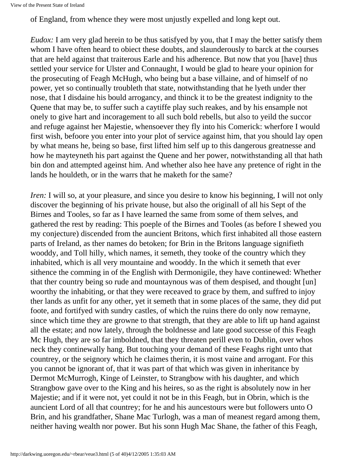of England, from whence they were most unjustly expelled and long kept out.

*Eudox:* I am very glad herein to be thus satisfyed by you, that I may the better satisfy them whom I have often heard to obiect these doubts, and slaunderously to barck at the courses that are held against that traiterous Earle and his adherence. But now that you [have] thus settled your service for Ulster and Connaught, I would be glad to heare your opinion for the prosecuting of Feagh McHugh, who being but a base villaine, and of himself of no power, yet so continually troubleth that state, notwithstanding that he lyeth under ther nose, that I disdaine his bould arrogancy, and thinck it to be the greatest indignity to the Quene that may be, to suffer such a caytiffe play such reakes, and by his ensample not onely to give hart and incoragement to all such bold rebells, but also to yeild the succor and refuge against her Majestie, whensoever they fly into his Comerick: wherfore I would first wish, befoore you enter into your plot of service against him, that you should lay open by what means he, being so base, first lifted him self up to this dangerous greatnesse and how he mayteyneth his part against the Quene and her power, notwithstanding all that hath bin don and attempted ageinst him. And whether also hee have any pretence of right in the lands he houldeth, or in the warrs that he maketh for the same?

*Iren:* I will so, at your pleasure, and since you desire to know his beginning, I will not only discover the beginning of his private house, but also the originall of all his Sept of the Birnes and Tooles, so far as I have learned the same from some of them selves, and gathered the rest by reading: This poeple of the Birnes and Tooles (as before I shewed you my conjecture) discended from the auncient Britons, which first inhabited all those eastern parts of Ireland, as ther names do betoken; for Brin in the Britons language signifieth wooddy, and Toll hilly, which names, it semeth, they tooke of the country which they inhabited, which is all very mountaine and wooddy. In the which it semeth that ever sithence the comming in of the English with Dermonigile, they have continewed: Whether that ther country being so rude and mountaynous was of them despised, and thought [un] woorthy the inhabiting, or that they were receaved to grace by them, and suffred to injoy ther lands as unfit for any other, yet it semeth that in some places of the same, they did put foote, and fortifyed with sundry castles, of which the ruins there do only now remayne, since which time they are growne to that strength, that they are able to lift up hand against all the estate; and now lately, through the boldnesse and late good successe of this Feagh Mc Hugh, they are so far imboldned, that they threaten perill even to Dublin, over whos neck they continewally hang. But touching your demand of these Feaghs right unto that countrey, or the seignory which he claimes therin, it is most vaine and arrogant. For this you cannot be ignorant of, that it was part of that which was given in inheritance by Dermot McMurrogh, Kinge of Leinster, to Strangbow with his daughter, and which Strangbow gave over to the King and his heires, so as the right is absolutely now in her Majestie; and if it were not, yet could it not be in this Feagh, but in Obrin, which is the auncient Lord of all that countrey; for he and his auncestours were but followers unto O Brin, and his grandfather, Shane Mac Turlogh, was a man of meanest regard among them, neither having wealth nor power. But his sonn Hugh Mac Shane, the father of this Feagh,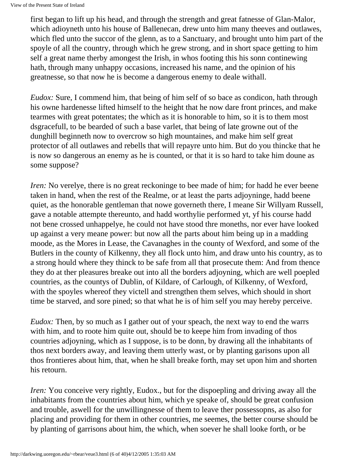first began to lift up his head, and through the strength and great fatnesse of Glan-Malor, which adioyneth unto his house of Ballenecan, drew unto him many theeves and outlawes, which fled unto the succor of the glenn, as to a Sanctuary, and brought unto him part of the spoyle of all the country, through which he grew strong, and in short space getting to him self a great name therby amongest the Irish, in whos footing this his sonn continewing hath, through many unhappy occasions, increased his name, and the opinion of his greatnesse, so that now he is become a dangerous enemy to deale withall.

*Eudox:* Sure, I commend him, that being of him self of so bace as condicon, hath through his owne hardenesse lifted himself to the height that he now dare front princes, and make tearmes with great potentates; the which as it is honorable to him, so it is to them most dsgracefull, to be bearded of such a base varlet, that being of late growne out of the dunghill beginneth now to overcrow so high mountaines, and make him self great protector of all outlawes and rebells that will repayre unto him. But do you thincke that he is now so dangerous an enemy as he is counted, or that it is so hard to take him doune as some suppose?

*Iren:* No verelye, there is no great reckoninge to bee made of him; for hadd he ever beene taken in hand, when the rest of the Realme, or at least the parts adjoyninge, hadd beene quiet, as the honorable gentleman that nowe governeth there, I meane Sir Willyam Russell, gave a notable attempte thereunto, and hadd worthylie performed yt, yf his course hadd not bene crossed unhappelye, he could not have stood thre moneths, nor ever have looked up against a very meane power: but now all the parts about him being up in a madding moode, as the Mores in Lease, the Cavanaghes in the county of Wexford, and some of the Butlers in the county of Kilkenny, they all flock unto him, and draw unto his country, as to a strong hould where they thinck to be safe from all that prosecute them: And from thence they do at ther pleasures breake out into all the borders adjoyning, which are well poepled countries, as the countys of Dublin, of Kildare, of Carlough, of Kilkenny, of Wexford, with the spoyles whereof they victell and strengthen them selves, which should in short time be starved, and sore pined; so that what he is of him self you may hereby perceive.

*Eudox:* Then, by so much as I gather out of your speach, the next way to end the warrs with him, and to roote him quite out, should be to keepe him from invading of thos countries adjoyning, which as I suppose, is to be donn, by drawing all the inhabitants of thos next borders away, and leaving them utterly wast, or by planting garisons upon all thos frontieres about him, that, when he shall breake forth, may set upon him and shorten his retourn.

*Iren:* You conceive very rightly, Eudox., but for the dispoepling and driving away all the inhabitants from the countries about him, which ye speake of, should be great confusion and trouble, aswell for the unwillingnesse of them to leave ther possessopns, as also for placing and providing for them in other countries, me seemes, the better course should be by planting of garrisons about him, the which, when soever he shall looke forth, or be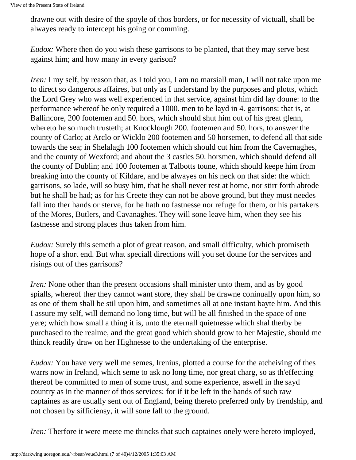drawne out with desire of the spoyle of thos borders, or for necessity of victuall, shall be alwayes ready to intercept his going or comming.

*Eudox:* Where then do you wish these garrisons to be planted, that they may serve best against him; and how many in every garison?

*Iren:* I my self, by reason that, as I told you, I am no marsiall man, I will not take upon me to direct so dangerous affaires, but only as I understand by the purposes and plotts, which the Lord Grey who was well experienced in that service, against him did lay doune: to the performance whereof he only required a 1000. men to be layd in 4. garrisons: that is, at Ballincore, 200 footemen and 50. hors, which should shut him out of his great glenn, whereto he so much trusteth; at Knocklough 200. footemen and 50. hors, to answer the county of Carlo; at Arclo or Wicklo 200 footemen and 50 horsemen, to defend all that side towards the sea; in Shelalagh 100 footemen which should cut him from the Cavernaghes, and the county of Wexford; and about the 3 castles 50. horsmen, which should defend all the county of Dublin; and 100 footemen at Talbotts toune, which should keepe him from breaking into the county of Kildare, and be alwayes on his neck on that side: the which garrisons, so lade, will so busy him, that he shall never rest at home, nor stirr forth abrode but he shall be had; as for his Creete they can not be above ground, but they must needes fall into ther hands or sterve, for he hath no fastnesse nor refuge for them, or his partakers of the Mores, Butlers, and Cavanaghes. They will sone leave him, when they see his fastnesse and strong places thus taken from him.

*Eudox:* Surely this semeth a plot of great reason, and small difficulty, which promiseth hope of a short end. But what speciall directions will you set doune for the services and risings out of thes garrisons?

*Iren:* None other than the present occasions shall minister unto them, and as by good spialls, whereof ther they cannot want store, they shall be drawne coninually upon him, so as one of them shall be stil upon him, and sometimes all at one instant bayte him. And this I assure my self, will demand no long time, but will be all finished in the space of one yere; which how small a thing it is, unto the eternall quietnesse which shal therby be purchased to the realme, and the great good which should grow to her Majestie, should me thinck readily draw on her Highnesse to the undertaking of the enterprise.

*Eudox:* You have very well me semes, Irenius, plotted a course for the atcheiving of thes warrs now in Ireland, which seme to ask no long time, nor great charg, so as th'effecting thereof be committed to men of some trust, and some experience, aswell in the sayd country as in the manner of thos services; for if it be left in the hands of such raw captaines as are usually sent out of England, being thereto preferred only by frendship, and not chosen by sifficiensy, it will sone fall to the ground.

*Iren:* Therfore it were meete me thincks that such captaines onely were hereto imployed,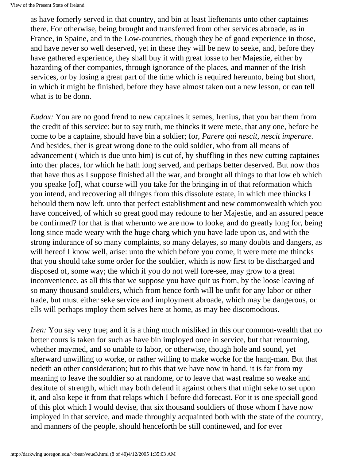as have fomerly served in that country, and bin at least lieftenants unto other captaines there. For otherwise, being brought and transferred from other services abroade, as in France, in Spaine, and in the Low-countries, though they be of good experience in those, and have never so well deserved, yet in these they will be new to seeke, and, before they have gathered experience, they shall buy it with great losse to her Majestie, either by hazarding of ther companies, through ignorance of the places, and manner of the Irish services, or by losing a great part of the time which is required hereunto, being but short, in which it might be finished, before they have almost taken out a new lesson, or can tell what is to be donn.

*Eudox:* You are no good frend to new captaines it semes, Irenius, that you bar them from the credit of this service: but to say truth, me thincks it were mete, that any one, before he come to be a captaine, should have bin a soldier; for, *Parere qui nescit, nescit imperare.*  And besides, ther is great wrong done to the ould soldier, who from all means of advancement ( which is due unto him) is cut of, by shuffling in thes new cutting captaines into ther places, for which he hath long served, and perhaps better deserved. But now thos that have thus as I suppose finished all the war, and brought all things to that low eb which you speake [of], what course will you take for the bringing in of that reformation which you intend, and recovering all thinges from this dissolute estate, in which mee thincks I behould them now left, unto that perfect establishment and new commonwealth which you have conceived, of which so great good may redoune to her Majestie, and an assured peace be confirmed? for that is that wherunto we are now to looke, and do greatly long for, being long since made weary with the huge charg which you have lade upon us, and with the strong indurance of so many complaints, so many delayes, so many doubts and dangers, as will hereof I know well, arise: unto the which before you come, it were mete me thincks that you should take some order for the souldier, which is now first to be discharged and disposed of, some way; the which if you do not well fore-see, may grow to a great inconvenience, as all this that we suppose you have quit us from, by the loose leaving of so many thousand souldiers, which from hence forth will be unfit for any labor or other trade, but must either seke service and imployment abroade, which may be dangerous, or ells will perhaps imploy them selves here at home, as may bee discomodious.

*Iren:* You say very true; and it is a thing much misliked in this our common-wealth that no better cours is taken for such as have bin imployed once in service, but that retourning, whether maymed, and so unable to labor, or otherwise, though hole and sound, yet afterward unwilling to worke, or rather willing to make worke for the hang-man. But that nedeth an other consideration; but to this that we have now in hand, it is far from my meaning to leave the souldier so at randome, or to leave that wast realme so weake and destitute of strength, which may both defend it against others that might seke to set upon it, and also kepe it from that relaps which I before did forecast. For it is one speciall good of this plot which I would devise, that six thousand souldiers of those whom I have now imployed in that service, and made throughly acquainted both with the state of the country, and manners of the people, should henceforth be still continewed, and for ever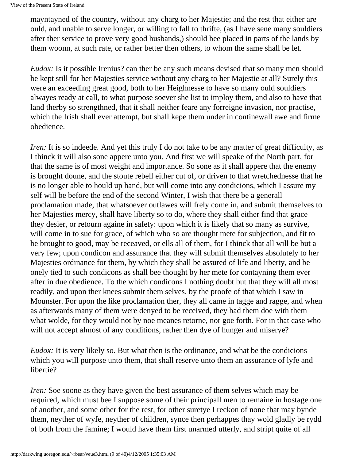mayntayned of the country, without any charg to her Majestie; and the rest that either are ould, and unable to serve longer, or willing to fall to thrifte, (as I have sene many souldiers after ther service to prove very good husbands,) should bee placed in parts of the lands by them woonn, at such rate, or rather better then others, to whom the same shall be let.

*Eudox:* Is it possible Irenius? can ther be any such means devised that so many men should be kept still for her Majesties service without any charg to her Majestie at all? Surely this were an exceeding great good, both to her Heighnesse to have so many ould souldiers alwayes ready at call, to what purpose soever she list to imploy them, and also to have that land therby so strengthned, that it shall neither feare any forreigne invasion, nor practise, which the Irish shall ever attempt, but shall kepe them under in continewall awe and firme obedience.

*Iren:* It is so indeede. And yet this truly I do not take to be any matter of great difficulty, as I thinck it will also sone appere unto you. And first we will speake of the North part, for that the same is of most weight and importance. So sone as it shall appere that the enemy is brought doune, and the stoute rebell either cut of, or driven to that wretchednesse that he is no longer able to hould up hand, but will come into any condicions, which I assure my self will be before the end of the second Winter, I wish that there be a generall proclamation made, that whatsoever outlawes will frely come in, and submit themselves to her Majesties mercy, shall have liberty so to do, where they shall either find that grace they desier, or retourn againe in safety: upon which it is likely that so many as survive, will come in to sue for grace, of which who so are thought mete for subjection, and fit to be brought to good, may be receaved, or ells all of them, for I thinck that all will be but a very few; upon condicon and assurance that they will submit themselves absolutely to her Majesties ordinance for them, by which they shall be assured of life and liberty, and be onely tied to such condicons as shall bee thought by her mete for contayning them ever after in due obedience. To the which condicons I nothing doubt but that they will all most readily, and upon ther knees submit them selves, by the proofe of that which I saw in Mounster. For upon the like proclamation ther, they all came in tagge and ragge, and when as afterwards many of them were denyed to be received, they bad them doe with them what wolde, for they would not by noe meanes retorne, nor goe forth. For in that case who will not accept almost of any conditions, rather then dye of hunger and miserye?

*Eudox:* It is very likely so. But what then is the ordinance, and what be the condicions which you will purpose unto them, that shall reserve unto them an assurance of lyfe and libertie?

*Iren:* Soe soone as they have given the best assurance of them selves which may be required, which must bee I suppose some of their principall men to remaine in hostage one of another, and some other for the rest, for other suretye I reckon of none that may bynde them, neyther of wyfe, neyther of children, synce then perhappes thay wold gladly be rydd of both from the famine; I would have them first unarmed utterly, and stript quite of all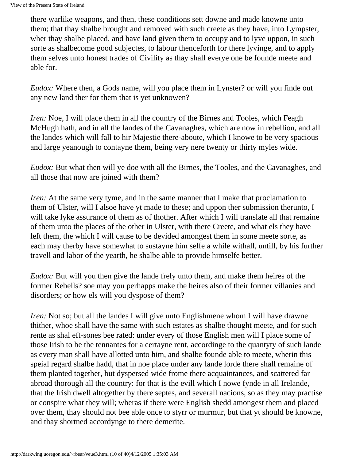there warlike weapons, and then, these conditions sett downe and made knowne unto them; that thay shalbe brought and removed with such creete as they have, into Lympster, wher thay shalbe placed, and have land given them to occupy and to lyve uppon, in such sorte as shalbecome good subjectes, to labour thenceforth for there lyvinge, and to apply them selves unto honest trades of Civility as thay shall everye one be founde meete and able for.

*Eudox:* Where then, a Gods name, will you place them in Lynster? or will you finde out any new land ther for them that is yet unknowen?

*Iren:* Noe, I will place them in all the country of the Birnes and Tooles, which Feagh McHugh hath, and in all the landes of the Cavanaghes, which are now in rebellion, and all the landes which will fall to hir Majestie there-aboute, which I knowe to be very spacious and large yeanough to contayne them, being very nere twenty or thirty myles wide.

*Eudox:* But what then will ye doe with all the Birnes, the Tooles, and the Cavanaghes, and all those that now are joined with them?

*Iren:* At the same very tyme, and in the same manner that I make that proclamation to them of Ulster, will I alsoe have yt made to these; and uppon ther submission therunto, I will take lyke assurance of them as of thother. After which I will translate all that remaine of them unto the places of the other in Ulster, with there Creete, and what els they have left them, the which I will cause to be devided amongest them in some meete sorte, as each may therby have somewhat to sustayne him selfe a while withall, untill, by his further travell and labor of the yearth, he shalbe able to provide himselfe better.

*Eudox:* But will you then give the lande frely unto them, and make them heires of the former Rebells? soe may you perhapps make the heires also of their former villanies and disorders; or how els will you dyspose of them?

*Iren:* Not so; but all the landes I will give unto Englishmene whom I will have drawne thither, whoe shall have the same with such estates as shalbe thought meete, and for such rente as shal eft-sones bee rated: under every of those English men will I place some of those Irish to be the tennantes for a certayne rent, accordinge to the quantyty of such lande as every man shall have allotted unto him, and shalbe founde able to meete, wherin this speial regard shalbe hadd, that in noe place under any lande lorde there shall remaine of them planted together, but dyspersed wide frome there acquaintances, and scattered far abroad thorough all the country: for that is the evill which I nowe fynde in all Irelande, that the Irish dwell altogether by there septes, and severall nacions, so as they may practise or conspire what they will; wheras if there were English shedd amongest them and placed over them, thay should not bee able once to styrr or murmur, but that yt should be knowne, and thay shortned accordynge to there demerite.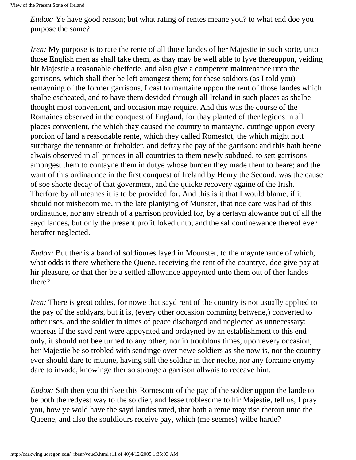*Eudox:* Ye have good reason; but what rating of rentes meane you? to what end doe you purpose the same?

*Iren:* My purpose is to rate the rente of all those landes of her Majestie in such sorte, unto those English men as shall take them, as thay may be well able to lyve thereuppon, yeiding hir Majestie a reasonable cheiferie, and also give a competent maintenance unto the garrisons, which shall ther be left amongest them; for these soldiors (as I told you) remayning of the former garrisons, I cast to mantaine uppon the rent of those landes which shalbe escheated, and to have them devided through all Ireland in such places as shalbe thought most convenient, and occasion may require. And this was the course of the Romaines observed in the conquest of England, for thay planted of ther legions in all places convenient, the which thay caused the country to mantayne, cuttinge uppon every porcion of land a reasonable rente, which they called Romestot, the which might nott surcharge the tennante or freholder, and defray the pay of the garrison: and this hath beene alwais observed in all princes in all countries to them newly subdued, to sett garrisons amongest them to contayne them in dutye whose burden they made them to beare; and the want of this ordinaunce in the first conquest of Ireland by Henry the Second, was the cause of soe shorte decay of that goverment, and the quicke recovery againe of the Irish. Therfore by all meanes it is to be provided for. And this is it that I would blame, if it should not misbecom me, in the late plantying of Munster, that noe care was had of this ordinaunce, nor any strenth of a garrison provided for, by a certayn alowance out of all the sayd landes, but only the present profit loked unto, and the saf continewance thereof ever herafter neglected.

*Eudox:* But ther is a band of soldioures layed in Mounster, to the mayntenance of which, what odds is there whethere the Quene, receiving the rent of the countrye, doe give pay at hir pleasure, or that ther be a settled allowance appoynted unto them out of ther landes there?

*Iren:* There is great oddes, for nowe that sayd rent of the country is not usually applied to the pay of the soldyars, but it is, (every other occasion comming betwene,) converted to other uses, and the soldier in times of peace discharged and neglected as unnecessary; whereas if the sayd rent were appoynted and ordayned by an establishment to this end only, it should not bee turned to any other; nor in troublous times, upon every occasion, her Majestie be so trobled with sendinge over newe soldiers as she now is, nor the country ever should dare to mutine, having still the soldiar in ther necke, nor any forraine enymy dare to invade, knowinge ther so stronge a garrison allwais to receave him.

*Eudox:* Sith then you thinkee this Romescott of the pay of the soldier uppon the lande to be both the redyest way to the soldier, and lesse troblesome to hir Majestie, tell us, I pray you, how ye wold have the sayd landes rated, that both a rente may rise therout unto the Queene, and also the souldiours receive pay, which (me seemes) wilbe harde?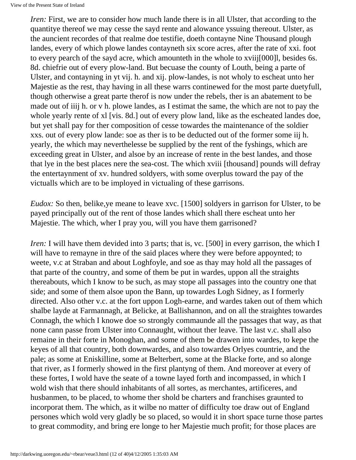*Iren:* First, we are to consider how much lande there is in all Ulster, that according to the quantitye thereof we may cesse the sayd rente and alowance yssuing thereout. Ulster, as the auncient recordes of that realme doe testifie, doeth contayne Nine Thousand plough landes, every of which plowe landes contayneth six score acres, after the rate of xxi. foot to every pearch of the sayd acre, which amounteth in the whole to xviij[000]l, besides 6s. 8d. chiefrie out of every plow-land. But becuase the county of Louth, being a parte of Ulster, and contayning in yt vij. h. and xij. plow-landes, is not wholy to escheat unto her Majestie as the rest, thay having in all these warrs continewed for the most parte duetyfull, though otherwise a great parte therof is now under the rebels, ther is an abatement to be made out of iiij h. or v h. plowe landes, as I estimat the same, the which are not to pay the whole yearly rente of xl [vis. 8d.] out of every plow land, like as the escheated landes doe, but yet shall pay for ther composition of cesse towardes the maintenance of the soldier xxs. out of every plow lande: soe as ther is to be deducted out of the former some iij h. yearly, the which may neverthelesse be supplied by the rent of the fyshings, which are exceeding great in Ulster, and alsoe by an increase of rente in the best landes, and those that lye in the best places nere the sea-cost. The which xviii [thousand] pounds will defray the entertaynment of xv. hundred soldyers, with some overplus toward the pay of the victualls which are to be imployed in victualing of these garrisons.

*Eudox:* So then, belike, ye meane to leave xvc. [1500] soldyers in garrison for Ulster, to be payed principally out of the rent of those landes which shall there escheat unto her Majestie. The which, wher I pray you, will you have them garrisoned?

*Iren:* I will have them devided into 3 parts; that is, vc. [500] in every garrison, the which I will have to remayne in thre of the said places where they were before appoynted; to weete, v.c at Straban and about Loghfoyle, and soe as thay may hold all the passages of that parte of the country, and some of them be put in wardes, uppon all the straights thereabouts, which I know to be such, as may stope all passages into the country one that side; and some of them alsoe upon the Bann, up towardes Logh Sidney, as I formerly directed. Also other v.c. at the fort uppon Logh-earne, and wardes taken out of them which shalbe layde at Farmannagh, at Belicke, at Ballishannon, and on all the straightes towardes Connagh, the which I knowe doe so strongly commaunde all the passages that way, as that none cann passe from Ulster into Connaught, without ther leave. The last v.c. shall also remaine in their forte in Monoghan, and some of them be drawen into wardes, to kepe the keyes of all that country, both downwardes, and also towardes Orlyes countrie, and the pale; as some at Eniskilline, some at Belterbert, some at the Blacke forte, and so alonge that river, as I formerly showed in the first plantyng of them. And moreover at every of these fortes, I wold have the seate of a towne layed forth and incompassed, in which I wold wish that there should inhabitants of all sortes, as merchantes, artificeres, and husbanmen, to be placed, to whome ther shold be charters and franchises graunted to incorporat them. The which, as it wilbe no matter of difficulty toe draw out of England persones which wold very gladly be so placed, so would it in short space turne those partes to great commodity, and bring ere longe to her Majestie much profit; for those places are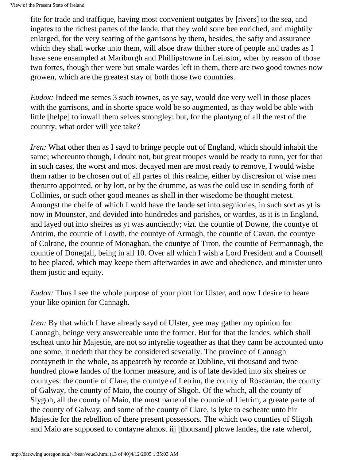fite for trade and traffique, having most convenient outgates by [rivers] to the sea, and ingates to the richest partes of the lande, that they wold sone bee enriched, and mightily enlarged, for the very seating of the garrisons by them, besides, the safty and assurance which they shall worke unto them, will alsoe draw thither store of people and trades as I have sene ensampled at Mariburgh and Phillipstowne in Leinstor, wher by reason of those two fortes, though ther were but smale wardes left in them, there are two good townes now growen, which are the greatest stay of both those two countries.

*Eudox:* Indeed me semes 3 such townes, as ye say, would doe very well in those places with the garrisons, and in shorte space wold be so augmented, as thay wold be able with little [helpe] to inwall them selves strongley: but, for the plantyng of all the rest of the country, what order will yee take?

*Iren:* What other then as I sayd to bringe people out of England, which should inhabit the same; whereunto though, I doubt not, but great troupes would be ready to runn, yet for that in such cases, the worst and most decayed men are most ready to remove, I would wishe them rather to be chosen out of all partes of this realme, either by discresion of wise men therunto appointed, or by lott, or by the drumme, as was the ould use in sending forth of Collinies, or such other good meanes as shall in ther wisedome be thought metest. Amongst the cheife of which I wold have the lande set into segniories, in such sort as yt is now in Mounster, and devided into hundredes and parishes, or wardes, as it is in England, and layed out into sheires as yt was aunciently; *vizt.* the countie of Downe, the countye of Antrim, the countie of Lowth, the countye of Armagh, the countie of Cavan, the countye of Colrane, the countie of Monaghan, the countye of Tiron, the countie of Fermannagh, the countie of Donegall, being in all 10. Over all which I wish a Lord President and a Counsell to bee placed, which may keepe them afterwardes in awe and obedience, and minister unto them justic and equity.

*Eudox:* Thus I see the whole purpose of your plott for Ulster, and now I desire to heare your like opinion for Cannagh.

*Iren:* By that which I have already sayd of Ulster, yee may gather my opinion for Cannagh, beinge very answereable unto the former. But for that the landes, which shall escheat unto hir Majestie, are not so intyrelie togeather as that they cann be accounted unto one some, it nedeth that they be considered severally. The province of Cannagh contayneth in the whole, as appeareth by recorde at Dubline, vii thousand and twoe hundred plowe landes of the former measure, and is of late devided into six sheires or countyes: the countie of Clare, the countye of Letrim, the county of Roscaman, the county of Galway, the county of Maio, the county of Sligoh. Of the which, all the county of Slygoh, all the county of Maio, the most parte of the countie of Lietrim, a greate parte of the county of Galway, and some of the county of Clare, is lyke to escheate unto hir Majestie for the rebellion of there present possessors. The which two counties of Sligoh and Maio are supposed to contayne almost iij [thousand] plowe landes, the rate wherof,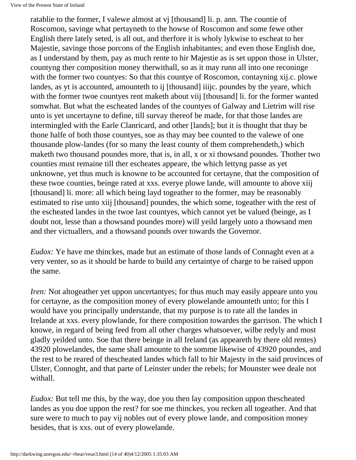ratablie to the former, I valewe almost at vj [thousand] li. p. ann. The countie of Roscomon, savinge what pertayneth to the howse of Roscomon and some fewe other English there lately seted, is all out, and therfore it is wholy lykwise to escheat to her Majestie, savinge those porcons of the English inhabitantes; and even those English doe, as I understand by them, pay as much rente to hir Majestie as is set uppon those in Ulster, countyng ther composition money therwithall, so as it may runn all into one reconinge with the former two countyes: So that this countye of Roscomon, contayning xij.c. plowe landes, as yt is accounted, amounteth to ij [thousand] iiijc. poundes by the yeare, which with the former twoe countyes rent maketh about viij [thousand] li. for the former wanted somwhat. But what the escheated landes of the countyes of Galway and Lietrim will rise unto is yet uncertayne to define, till survay thereof be made, for that those landes are intermingled with the Earle Clanricard, and other [lands]; but it is thought that thay be thone halfe of both those countyes, soe as thay may bee counted to the valewe of one thousande plow-landes (for so many the least county of them comprehendeth,) which maketh two thousand poundes more, that is, in all, x or xi thowsand poundes. Thother two counties must remaine till ther escheates appeare, the which lettyng passe as yet unknowne, yet thus much is knowne to be accounted for certayne, that the composition of these twoe counties, beinge rated at xxs. everye plowe lande, will amounte to above xiij [thousand] li. more: all which being layd togeather to the former, may be reasonably estimated to rise unto xiij [thousand] poundes, the which some, togeather with the rest of the escheated landes in the twoe last countyes, which cannot yet be valued (beinge, as I doubt not, lesse than a thowsand poundes more) will yeild largely unto a thowsand men and ther victuallers, and a thowsand pounds over towards the Governor.

*Eudox:* Ye have me thinckes, made but an estimate of those lands of Connaght even at a very venter, so as it should be harde to build any certaintye of charge to be raised uppon the same.

*Iren*: Not altogeather yet uppon uncertantyes; for thus much may easily appeare unto you for certayne, as the composition money of every plowelande amounteth unto; for this I would have you principally understande, that my purpose is to rate all the landes in Irelande at xxs. every plowlande, for there composition towardes the garrison. The which I knowe, in regard of being feed from all other charges whatsoever, wilbe redyly and most gladly yeilded unto. Soe that there beinge in all Ireland (as appeareth by there old rentes) 43920 plowelandes, the same shall amounte to the somme likewise of 43920 poundes, and the rest to be reared of thescheated landes which fall to hir Majesty in the said provinces of Ulster, Connoght, and that parte of Leinster under the rebels; for Mounster wee deale not withall.

*Eudox:* But tell me this, by the way, doe you then lay composition uppon thescheated landes as you doe uppon the rest? for soe me thinckes, you recken all togeather. And that sure were to much to pay vij nobles out of every plowe lande, and composition money besides, that is xxs. out of every plowelande.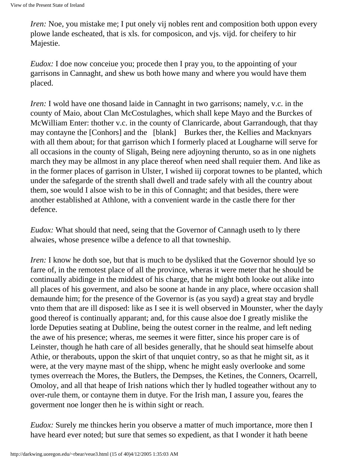*Iren:* Noe, you mistake me; I put onely vij nobles rent and composition both uppon every plowe lande escheated, that is xls. for composicon, and vjs. vijd. for cheifery to hir Majestie.

*Eudox:* I doe now conceiue you; procede then I pray you, to the appointing of your garrisons in Cannaght, and shew us both howe many and where you would have them placed.

*Iren:* I wold have one thosand laide in Cannaght in two garrisons; namely, v.c. in the county of Maio, about Clan McCostulaghes, which shall kepe Mayo and the Burckes of McWilliam Enter: thother v.c. in the county of Clanricarde, about Garrandough, that thay may contayne the [Conhors] and the [blank] Burkes ther, the Kellies and Macknyars with all them about; for that garrison which I formerly placed at Lougharne will serve for all occasions in the county of Sligah, Being nere adjoyning therunto, so as in one nighets march they may be allmost in any place thereof when need shall requier them. And like as in the former places of garrison in Ulster, I wished iij corporat townes to be planted, which under the safegarde of the strenth shall dwell and trade safely with all the country about them, soe would I alsoe wish to be in this of Connaght; and that besides, there were another established at Athlone, with a convenient warde in the castle there for ther defence.

*Eudox:* What should that need, seing that the Governor of Cannagh useth to ly there alwaies, whose presence wilbe a defence to all that towneship.

*Iren:* I know he doth soe, but that is much to be dysliked that the Governor should lye so farre of, in the remotest place of all the province, wheras it were meter that he should be continually abidinge in the middest of his charge, that he might both looke out alike into all places of his goverment, and also be soone at hande in any place, where occasion shall demaunde him; for the presence of the Governor is (as you sayd) a great stay and brydle vnto them that are ill disposed: like as I see it is well observed in Mounster, wher the dayly good thereof is continually apparant; and, for this cause alsoe doe I greatly mislike the lorde Deputies seating at Dubline, being the outest corner in the realme, and left neding the awe of his presence; wheras, me seemes it were fitter, since his proper care is of Leinster, though he hath care of all besides generally, that he should seat himselfe about Athie, or therabouts, uppon the skirt of that unquiet contry, so as that he might sit, as it were, at the very mayne mast of the shipp, whenc he might easly overlooke and some tymes overreach the Mores, the Butlers, the Dempses, the Ketines, the Conners, Ocarrell, Omoloy, and all that heape of Irish nations which ther ly hudled togeather without any to over-rule them, or contayne them in dutye. For the Irish man, I assure you, feares the goverment noe longer then he is within sight or reach.

*Eudox:* Surely me thinckes herin you observe a matter of much importance, more then I have heard ever noted; but sure that semes so expedient, as that I wonder it hath beene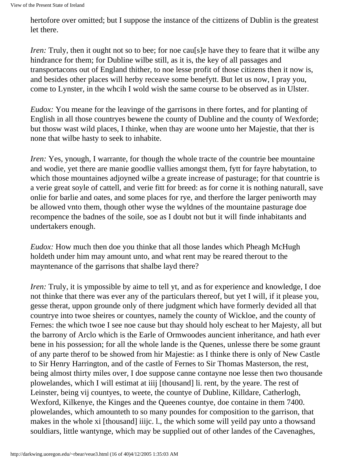hertofore over omitted; but I suppose the instance of the cittizens of Dublin is the greatest let there.

*Iren:* Truly, then it ought not so to bee; for noe cau[s]e have they to feare that it wilbe any hindrance for them; for Dubline wilbe still, as it is, the key of all passages and transportacons out of England thither, to noe lesse profit of those citizens then it now is, and besides other places will herby receave some benefytt. But let us now, I pray you, come to Lynster, in the whcih I wold wish the same course to be observed as in Ulster.

*Eudox:* You meane for the leavinge of the garrisons in there fortes, and for planting of English in all those countryes bewene the county of Dubline and the county of Wexforde; but thosw wast wild places, I thinke, when thay are woone unto her Majestie, that ther is none that wilbe hasty to seek to inhabite.

*Iren:* Yes, ynough, I warrante, for though the whole tracte of the countrie bee mountaine and wodie, yet there are manie goodlie vallies amongst them, fytt for fayre habytation, to which those mountaines adjoyned wilbe a greate increase of pasturage; for that countrie is a verie great soyle of cattell, and verie fitt for breed: as for corne it is nothing naturall, save onlie for barlie and oates, and some places for rye, and therfore the larger peniworth may be allowed vnto them, though other wyse the wyldnes of the mountaine pasturage doe recompence the badnes of the soile, soe as I doubt not but it will finde inhabitants and undertakers enough.

*Eudox:* How much then doe you thinke that all those landes which Pheagh McHugh holdeth under him may amount unto, and what rent may be reared therout to the mayntenance of the garrisons that shalbe layd there?

*Iren:* Truly, it is ympossible by aime to tell yt, and as for experience and knowledge, I doe not thinke that there was ever any of the particulars thereof, but yet I will, if it please you, gesse therat, uppon grounde only of there judgment which have formerly devided all that countrye into twoe sheires or countyes, namely the county of Wickloe, and the county of Fernes: the which twoe I see noe cause but thay should holy escheat to her Majesty, all but the barrony of Arclo which is the Earle of Ormwoodes auncient inheritance, and hath ever bene in his possession; for all the whole lande is the Quenes, unlesse there be some graunt of any parte therof to be showed from hir Majestie: as I thinke there is only of New Castle to Sir Henry Harrington, and of the castle of Fernes to Sir Thomas Masterson, the rest, being almost thirty miles over, I doe suppose canne contayne noe lesse then two thousande plowelandes, which I will estimat at iiij [thousand] li. rent, by the yeare. The rest of Leinster, being vij countyes, to weete, the countye of Dubline, Killdare, Catherlogh, Wexford, Kilkenye, the Kinges and the Queenes countye, doe containe in them 7400. plowelandes, which amounteth to so many poundes for composition to the garrison, that makes in the whole xi [thousand] iiijc. l., the which some will yeild pay unto a thowsand souldiars, little wantynge, which may be supplied out of other landes of the Cavenaghes,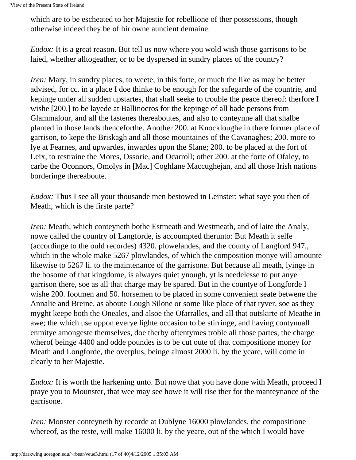which are to be escheated to her Majestie for rebellione of ther possessions, though otherwise indeed they be of hir owne auncient demaine.

*Eudox:* It is a great reason. But tell us now where you wold wish those garrisons to be laied, whether alltogeather, or to be dyspersed in sundry places of the country?

*Iren:* Mary, in sundry places, to weete, in this forte, or much the like as may be better advised, for cc. in a place I doe thinke to be enough for the safegarde of the countrie, and kepinge under all sudden upstartes, that shall seeke to trouble the peace thereof: therfore I wishe [200.] to be layede at Ballinocros for the kepinge of all bade persons from Glammalour, and all the fastenes thereaboutes, and also to conteynne all that shalbe planted in those lands thenceforthe. Another 200. at Knockloughe in there former place of garrison, to kepe the Briskagh and all those mountaines of the Cavanaghes; 200. more to lye at Fearnes, and upwardes, inwardes upon the Slane; 200. to be placed at the fort of Leix, to restraine the Mores, Ossorie, and Ocarroll; other 200. at the forte of Ofaley, to carbe the Oconnors, Omolys in [Mac] Coghlane Maccughejan, and all those Irish nations borderinge thereaboute.

*Eudox:* Thus I see all your thousande men bestowed in Leinster: what saye you then of Meath, which is the firste parte?

*Iren:* Meath, which conteyneth bothe Estmeath and Westmeath, and of laite the Analy, nowe called the country of Langforde, is accoumpted therunto: But Meath it selfe (accordinge to the ould recordes) 4320. plowelandes, and the county of Langford 947., which in the whole make 5267 plowlandes, of which the composition monye will amounte likewise to 5267 li. to the maintenance of the garrisone. But because all meath, lyinge in the bosome of that kingdome, is alwayes quiet ynough, yt is needelesse to put anye garrison there, soe as all that charge may be spared. But in the countye of Longforde I wishe 200. footmen and 50. horsemen to be placed in some convenient seate betwene the Annalie and Breine, as aboute Lough Silone or some like place of that ryver, soe as they myght keepe both the Oneales, and alsoe the Ofarralles, and all that outskirte of Meathe in awe; the which use uppon everye lighte occasion to be stirringe, and having contynuall enmitye amongeste themselves, doe therby oftentymes troble all those partes, the charge wherof beinge 4400 and odde poundes is to be cut oute of that compositione money for Meath and Longforde, the overplus, beinge almost 2000 li. by the yeare, will come in clearly to her Majestie.

*Eudox:* It is worth the harkening unto. But nowe that you have done with Meath, proceed I praye you to Mounster, that wee may see howe it will rise ther for the manteynance of the garrisone.

*Iren:* Monster conteyneth by recorde at Dublyne 16000 plowlandes, the compositione whereof, as the reste, will make 16000 li. by the yeare, out of the which I would have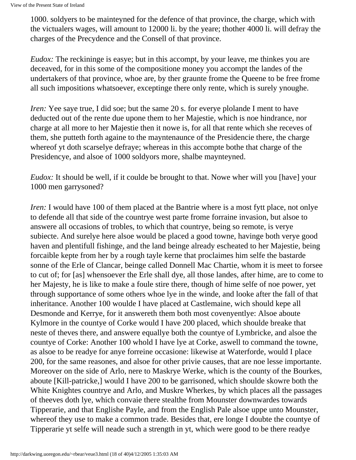1000. soldyers to be mainteyned for the defence of that province, the charge, which with the victualers wages, will amount to 12000 li. by the yeare; thother 4000 li. will defray the charges of the Precydence and the Consell of that province.

*Eudox:* The reckininge is easye; but in this accompt, by your leave, me thinkes you are deceaved, for in this some of the compositione money you accompt the landes of the undertakers of that province, whoe are, by ther graunte frome the Queene to be free frome all such impositions whatsoever, exceptinge there only rente, which is surely ynoughe.

*Iren:* Yee saye true, I did soe; but the same 20 s. for everye plolande I ment to have deducted out of the rente due upone them to her Majestie, which is noe hindrance, nor charge at all more to her Majestie then it nowe is, for all that rente which she receves of them, she putteth forth againe to the mayntenaunce of the Presidencie there, the charge whereof yt doth scarselye defraye; whereas in this accompte bothe that charge of the Presidencye, and alsoe of 1000 soldyors more, shalbe maynteyned.

*Eudox:* It should be well, if it coulde be brought to that. Nowe wher will you [have] your 1000 men garrysoned?

*Iren:* I would have 100 of them placed at the Bantrie where is a most fytt place, not onlye to defende all that side of the countrye west parte frome forraine invasion, but alsoe to answere all occasions of trobles, to which that countrye, being so remote, is verye subiecte. And surelye here alsoe would be placed a good towne, havinge both verye good haven and plentifull fishinge, and the land beinge already escheated to her Majestie, being forcaible kepte from her by a rough tayle kerne that proclaimes him selfe the bastarde sonne of the Erle of Clancar, beinge called Donnell Mac Chartie, whom it is meet to forsee to cut of; for [as] whensoever the Erle shall dye, all those landes, after hime, are to come to her Majesty, he is like to make a foule stire there, though of hime selfe of noe power, yet through supportance of some others whoe lye in the winde, and looke after the fall of that inheritance. Another 100 woulde I have placed at Castlemaine, wich should kepe all Desmonde and Kerrye, for it answereth them both most covenyentlye: Alsoe aboute Kylmore in the countye of Corke would I have 200 placed, which shoulde breake that neste of theves there, and answere equallye both the countye of Lymbricke, and alsoe the countye of Corke: Another 100 whold I have lye at Corke, aswell to command the towne, as alsoe to be readye for anye forreine occasione: likewise at Waterforde, would I place 200, for the same reasones, and alsoe for other privie causes, that are noe lesse importante. Moreover on the side of Arlo, nere to Maskrye Werke, which is the county of the Bourkes, aboute [Kill-patricke,] would I have 200 to be garrisoned, which shoulde skowre both the White Knightes countrye and Arlo, and Muskre Wherkes, by which places all the passages of theeves doth lye, which convaie there stealthe from Mounster downwardes towards Tipperarie, and that Englishe Payle, and from the English Pale alsoe uppe unto Mounster, whereof they use to make a common trade. Besides that, ere longe I doubte the countye of Tipperarie yt selfe will neade such a strength in yt, which were good to be there readye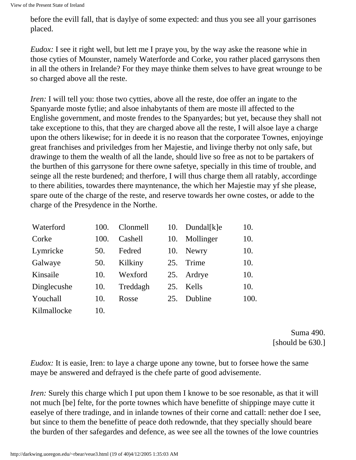before the evill fall, that is daylye of some expected: and thus you see all your garrisones placed.

*Eudox:* I see it right well, but lett me I praye you, by the way aske the reasone whie in those cyties of Mounster, namely Waterforde and Corke, you rather placed garrysons then in all the others in Irelande? For they maye thinke them selves to have great wrounge to be so charged above all the reste.

*Iren:* I will tell you: those two cytties, above all the reste, doe offer an ingate to the Spanyarde moste fytlie; and alsoe inhabytants of them are moste ill affected to the Englishe government, and moste frendes to the Spanyardes; but yet, because they shall not take exceptione to this, that they are charged above all the reste, I will alsoe laye a charge upon the others likewise; for in deede it is no reason that the corporatee Townes, enjoyinge great franchises and priviledges from her Majestie, and livinge therby not only safe, but drawinge to them the wealth of all the lande, should live so free as not to be partakers of the burthen of this garrysone for there owne safetye, specially in this time of trouble, and seinge all the reste burdened; and therfore, I will thus charge them all ratably, accordinge to there abilities, towardes there mayntenance, the which her Majestie may yf she please, spare oute of the charge of the reste, and reserve towards her owne costes, or adde to the charge of the Presydence in the Northe.

| Waterford   | 100. | Clonmell | 10. | Dundal[k]e | 10.  |
|-------------|------|----------|-----|------------|------|
| Corke       | 100. | Cashell  | 10. | Mollinger  | 10.  |
| Lymricke    | 50.  | Fedred   | 10. | Newry      | 10.  |
| Galwaye     | 50.  | Kilkiny  | 25. | Trime      | 10.  |
| Kinsaile    | 10.  | Wexford  |     | 25. Ardrye | 10.  |
| Dinglecushe | 10.  | Treddagh | 25. | Kells      | 10.  |
| Youchall    | 10.  | Rosse    | 25. | Dubline    | 100. |
| Kilmallocke | 10.  |          |     |            |      |

Suma 490. [should be 630.]

*Eudox:* It is easie, Iren: to laye a charge upone any towne, but to forsee howe the same maye be answered and defrayed is the chefe parte of good advisemente.

*Iren:* Surely this charge which I put upon them I knowe to be soe resonable, as that it will not much [be] felte, for the porte townes which have benefitte of shippinge maye cutte it easelye of there tradinge, and in inlande townes of their corne and cattall: nether doe I see, but since to them the benefitte of peace doth redownde, that they specially should beare the burden of ther safegardes and defence, as wee see all the townes of the lowe countries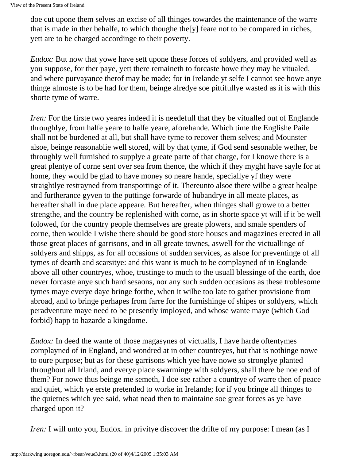doe cut upone them selves an excise of all thinges towardes the maintenance of the warre that is made in ther behalfe, to which thoughe the[y] feare not to be compared in riches, yett are to be charged accordinge to their poverty.

*Eudox:* But now that yowe have sett upone these forces of soldyers, and provided well as you suppose, for ther paye, yett there remaineth to forcaste howe they may be vitualed, and where purvayance therof may be made; for in Irelande yt selfe I cannot see howe anye thinge almoste is to be had for them, beinge alredye soe pittifullye wasted as it is with this shorte tyme of warre.

*Iren:* For the firste two yeares indeed it is needefull that they be vitualled out of Englande throughlye, from halfe yeare to halfe yeare, aforehande. Which time the Englishe Paile shall not be burdened at all, but shall have tyme to recover them selves; and Mounster alsoe, beinge reasonablie well stored, will by that tyme, if God send sesonable wether, be throughly well furnished to supplye a greate parte of that charge, for I knowe there is a great plentye of corne sent over sea from thence, the which if they myght have sayle for at home, they would be glad to have money so neare hande, speciallye yf they were straightlye restrayned from transportinge of it. Thereunto alsoe there wilbe a great healpe and furtherance gyven to the puttinge forwarde of hubandrye in all meate places, as hereafter shall in due place appeare. But hereafter, when thinges shall growe to a better strengthe, and the country be replenished with corne, as in shorte space yt will if it be well folowed, for the country people themselves are greate plowers, and smale spenders of corne, then woulde I wishe there should be good store houses and magazines erected in all those great places of garrisons, and in all greate townes, aswell for the victuallinge of soldyers and shipps, as for all occasions of sudden services, as alsoe for preventinge of all tymes of dearth and scarsitye: and this want is much to be complayned of in Englande above all other countryes, whoe, trustinge to much to the usuall blessinge of the earth, doe never forcaste anye such hard sesaons, nor any such sudden occasions as these troblesome tymes maye everye daye bringe forthe, when it wilbe too late to gather provisione from abroad, and to bringe perhapes from farre for the furnishinge of shipes or soldyers, which peradventure maye need to be presently imployed, and whose wante maye (which God forbid) happ to hazarde a kingdome.

*Eudox:* In deed the wante of those magasynes of victualls, I have harde oftentymes complayned of in England, and wondred at in other countreyes, but that is nothinge nowe to oure purpose; but as for these garrisons which yee have nowe so stronglye planted throughout all Irland, and everye place swarminge with soldyers, shall there be noe end of them? For nowe thus beinge me semeth, I doe see rather a countrye of warre then of peace and quiet, which ye erste pretended to worke in Irelande; for if you bringe all thinges to the quietnes which yee said, what nead then to maintaine soe great forces as ye have charged upon it?

*Iren:* I will unto you, Eudox. in privitye discover the drifte of my purpose: I mean (as I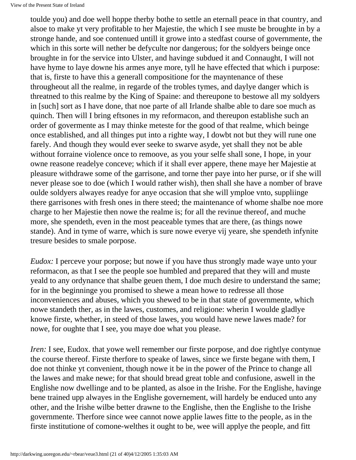toulde you) and doe well hoppe therby bothe to settle an eternall peace in that country, and alsoe to make yt very profitable to her Majestie, the which I see muste be broughte in by a stronge hande, and soe contenued untill it growe into a stedfast course of governmente, the which in this sorte will nether be defyculte nor dangerous; for the soldyers beinge once broughte in for the service into Ulster, and havinge subdued it and Connaught, I will not have hyme to laye downe his armes anye more, tyll he have effected that which i purpose: that is, firste to have this a generall compositione for the mayntenance of these througheout all the realme, in regarde of the trobles tymes, and daylye danger which is threatned to this realme by the King of Spaine: and thereupone to bestowe all my soldyers in [such] sort as I have done, that noe parte of all Irlande shalbe able to dare soe much as quinch. Then will I bring eftsones in my reformacon, and thereupon establishe such an order of govermente as I may thinke meteste for the good of that realme, which beinge once established, and all thinges put into a righte way, I dowbt not but they will rune one farely. And though they would ever seeke to swarve asyde, yet shall they not be able without forraine violence once to remoove, as you your selfe shall sone, I hope, in your owne reasone readelye conceve; which if it shall ever appere, thene maye her Majestie at pleasure withdrawe some of the garrisone, and torne ther paye into her purse, or if she will never please soe to doe (which I would rather wish), then shall she have a nomber of brave oulde soldyers alwayes readye for anye occasion that she will ymploe vnto, suppliinge there garrisones with fresh ones in there steed; the maintenance of whome shalbe noe more charge to her Majestie then nowe the realme is; for all the revinue thereof, and muche more, she spendeth, even in the most peaceable tymes that are there, (as things nowe stande). And in tyme of warre, which is sure nowe everye vij yeare, she spendeth infynite tresure besides to smale porpose.

*Eudox:* I perceve your porpose; but nowe if you have thus strongly made waye unto your reformacon, as that I see the people soe humbled and prepared that they will and muste yeald to any ordynance that shalbe geuen them, I doe much desire to understand the same; for in the beginninge you promised to shewe a mean howe to redresse all those inconveniences and abuses, which you shewed to be in that state of governmente, which nowe standeth ther, as in the lawes, customes, and religione: wherin I woulde gladlye knowe firste, whether, in steed of those lawes, you would have newe lawes made? for nowe, for oughte that I see, you maye doe what you please.

*Iren:* I see, Eudox, that yowe well remember our firste porpose, and doe rightlye contynue the course thereof. Firste therfore to speake of lawes, since we firste begane with them, I doe not thinke yt convenient, though nowe it be in the power of the Prince to change all the lawes and make newe; for that should bread great toble and confusione, aswell in the Englishe now dwellinge and to be planted, as alsoe in the Irishe. For the Englishe, havinge bene trained upp alwayes in the Englishe governement, will hardely be enduced unto any other, and the Irishe wilbe better drawne to the Englishe, then the Englishe to the Irishe governmente. Therfore since wee cannot nowe applie lawes fitte to the people, as in the firste institutione of comone-welthes it ought to be, wee will applye the people, and fitt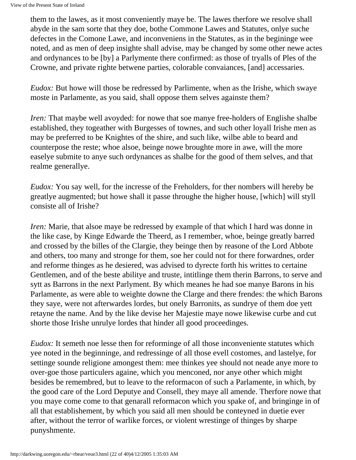them to the lawes, as it most conveniently maye be. The lawes therfore we resolve shall abyde in the sam sorte that they doe, bothe Commone Lawes and Statutes, onlye suche defectes in the Comone Lawe, and inconveniens in the Statutes, as in the begininge wee noted, and as men of deep insighte shall advise, may be changed by some other newe actes and ordynances to be [by] a Parlymente there confirmed: as those of tryalls of Ples of the Crowne, and private righte betwene parties, colorable convaiances, [and] accessaries.

*Eudox:* But howe will those be redressed by Parlimente, when as the Irishe, which swaye moste in Parlamente, as you said, shall oppose them selves againste them?

*Iren:* That maybe well avoyded: for nowe that soe manye free-holders of Englishe shalbe established, they togeather with Burgesses of townes, and such other loyall Irishe men as may be preferred to be Knightes of the shire, and such like, wilbe able to beard and counterpose the reste; whoe alsoe, beinge nowe broughte more in awe, will the more easelye submite to anye such ordynances as shalbe for the good of them selves, and that realme generallye.

*Eudox:* You say well, for the incresse of the Freholders, for ther nombers will hereby be greatlye augmented; but howe shall it passe throughe the higher house, [which] will styll consiste all of Irishe?

*Iren:* Marie, that alsoe maye be redressed by example of that which I hard was donne in the like case, by Kinge Edwarde the Theerd, as I remember, whoe, beinge greatly barred and crossed by the billes of the Clargie, they beinge then by reasone of the Lord Abbote and others, too many and stronge for them, soe her could not for there forwardnes, order and reforme thinges as he desiered, was advised to dyrecte forth his writtes to certaine Gentlemen, and of the beste abilitye and truste, intitlinge them therin Barrons, to serve and sytt as Barrons in the next Parlyment. By which meanes he had soe manye Barons in his Parlamente, as were able to weighte downe the Clarge and there frendes: the which Barons they saye, were not afterwardes lordes, but onely Barronits, as sundrye of them doe yett retayne the name. And by the like devise her Majestie maye nowe likewise curbe and cut shorte those Irishe unrulye lordes that hinder all good proceedinges.

*Eudox:* It semeth noe lesse then for reforminge of all those inconveniente statutes which yee noted in the beginninge, and redressinge of all those evell costomes, and lastelye, for settinge sounde religione amongest them: mee thinkes yee should not neade anye more to over-goe those particulers againe, which you menconed, nor anye other which might besides be remembred, but to leave to the reformacon of such a Parlamente, in which, by the good care of the Lord Deputye and Consell, they maye all amende. Therfore nowe that you maye come come to that genarall reformacon which you spake of, and bringinge in of all that establishement, by which you said all men should be conteyned in duetie ever after, without the terror of warlike forces, or violent wrestinge of thinges by sharpe punyshmente.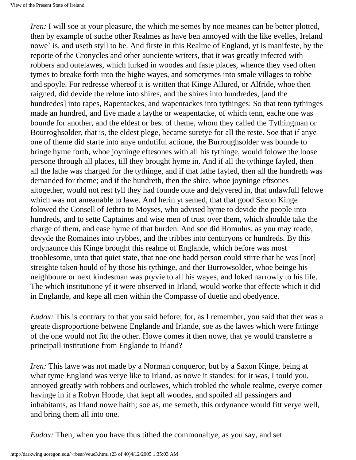*Iren:* I will soe at your pleasure, the which me semes by noe meanes can be better plotted, then by example of suche other Realmes as have ben annoyed with the like evelles, Ireland nowe` is, and useth styll to be. And firste in this Realme of England, yt is manifeste, by the reporte of the Cronycles and other aunciente writers, that it was greatly infected with robbers and outelawes, which lurked in woodes and faste places, whence they vsed often tymes to breake forth into the highe wayes, and sometymes into smale villages to robbe and spoyle. For redresse whereof it is written that Kinge Allured, or Alfride, whoe then raigned, did devide the relme into shires, and the shires into hundredes, [and the hundredes] into rapes, Rapentackes, and wapentackes into tythinges: So that tenn tythinges made an hundred, and five made a laythe or weapentacke, of which tenn, eache one was bounde for another, and the eldest or best of theme, whom they called the Tythingman or Bourroghsolder, that is, the eldest plege, became suretye for all the reste. Soe that if anye one of theme did starte into anye undutiful actione, the Burroughsolder was bounde to bringe hyme forth, whoe joyninge eftesones with all his tythinge, would folowe the loose persone through all places, till they brought hyme in. And if all the tythinge fayled, then all the lathe was charged for the tythinge, and if that lathe fayled, then all the hundreth was demanded for theme; and if the hundreth, then the shire, whoe joyninge eftsones altogether, would not rest tyll they had founde oute and delyvered in, that unlawfull felowe which was not ameanable to lawe. And herin yt semed, that that good Saxon Kinge folowed the Consell of Jethro to Moyses, who advised hyme to devide the people into hundreds, and to sette Captaines and wise men of trust over them, which shoulde take the charge of them, and ease hyme of that burden. And soe did Romulus, as you may reade, devyde the Romaines into trybbes, and the tribbes into centuryons or hundreds. By this ordynaunce this Kinge brought this realme of Englande, which before was most trooblesome, unto that quiet state, that noe one badd person could stirre that he was [not] streighte taken hould of by those his tythinge, and ther Burrowsolder, whoe beinge his neighboure or next kindesman was pryvie to all his wayes, and loked narrowly to his life. The which institutione yf it were observed in Irland, would worke that effecte which it did in Englande, and kepe all men within the Compasse of duetie and obedyence.

*Eudox:* This is contrary to that you said before; for, as I remember, you said that ther was a greate disproportione betwene Englande and Irlande, soe as the lawes which were fittinge of the one would not fitt the other. Howe comes it then nowe, that ye would transferre a principall institutione from Englande to Irland?

*Iren:* This lawe was not made by a Norman conqueror, but by a Saxon Kinge, being at what tyme England was verye like to Irland, as nowe it standes: for it was, I tould you, annoyed greatly with robbers and outlawes, which trobled the whole realme, everye corner havinge in it a Robyn Hoode, that kept all woodes, and spoiled all passingers and inhabitants, as Irland nowe haith; soe as, me semeth, this ordynance would fitt verye well, and bring them all into one.

*Eudox:* Then, when you have thus tithed the commonaltye, as you say, and set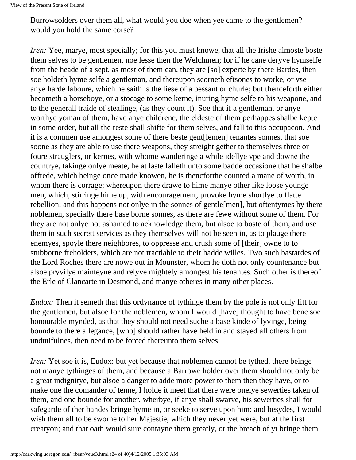Burrowsolders over them all, what would you doe when yee came to the gentlemen? would you hold the same corse?

*Iren:* Yee, marye, most specially; for this you must knowe, that all the Irishe almoste boste them selves to be gentlemen, noe lesse then the Welchmen; for if he cane deryve hymselfe from the heade of a sept, as most of them can, they are [so] experte by there Bardes, then soe holdeth hyme selfe a gentleman, and thereupon scorneth eftsones to worke, or vse anye harde laboure, which he saith is the liese of a pessant or churle; but thenceforth either becometh a horseboye, or a stocage to some kerne, inuring hyme selfe to his weapone, and to the generall traide of stealinge, (as they count it). Soe that if a gentleman, or anye worthye yoman of them, have anye childrene, the eldeste of them perhappes shalbe kepte in some order, but all the reste shall shifte for them selves, and fall to this occupacon. And it is a commen use amongest some of there beste gent[lemen] tenantes sonnes, that soe soone as they are able to use there weapons, they streight gether to themselves three or foure strauglers, or kernes, with whome wanderinge a while idellye vpe and downe the countrye, takinge onlye meate, he at laste falleth unto some badde occasione that he shalbe offrede, which beinge once made knowen, he is thencforthe counted a mane of worth, in whom there is corrage; whereupon there drawe to hime manye other like loose younge men, which, stirringe hime up, with encouragement, provoke hyme shortlye to flatte rebellion; and this happens not onlye in the sonnes of gentle[men], but oftentymes by there noblemen, specially there base borne sonnes, as there are fewe without some of them. For they are not onlye not ashamed to acknowledge them, but alsoe to boste of them, and use them in such secrett services as they themselves will not be seen in, as to plauge there enemyes, spoyle there neighbores, to oppresse and crush some of [their] owne to to stubborne freholders, which are not tractlable to their badde willes. Two such bastardes of the Lord Roches there are nowe out in Mounster, whom he doth not only countenance but alsoe pryvilye mainteyne and relyve mightely amongest his tenantes. Such other is thereof the Erle of Clancarte in Desmond, and manye otheres in many other places.

*Eudox:* Then it semeth that this ordynance of tythinge them by the pole is not only fitt for the gentlemen, but alsoe for the noblemen, whom I would [have] thought to have bene soe honourable mynded, as that they should not need suche a base kinde of lyvinge, being bounde to there allegance, [who] should rather have held in and stayed all others from undutifulnes, then need to be forced thereunto them selves.

*Iren:* Yet soe it is, Eudox: but yet because that noblemen cannot be tythed, there beinge not manye tythinges of them, and because a Barrowe holder over them should not only be a great indignitye, but alsoe a danger to adde more power to them then they have, or to make one the comander of tenne, I holde it meet that there were onelye sewerties taken of them, and one bounde for another, wherbye, if anye shall swarve, his sewerties shall for safegarde of ther bandes bringe hyme in, or seeke to serve upon him: and besydes, I would wish them all to be sworne to her Majestie, which they never yet were, but at the first creatyon; and that oath would sure contayne them greatly, or the breach of yt bringe them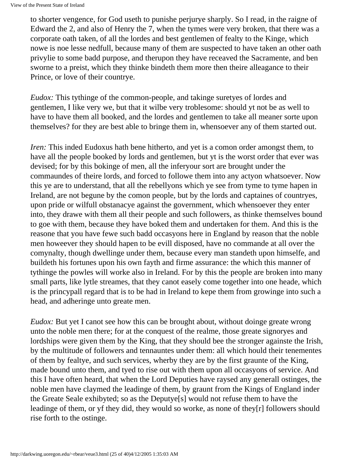to shorter vengence, for God useth to punishe perjurye sharply. So I read, in the raigne of Edward the 2, and also of Henry the 7, when the tymes were very broken, that there was a corporate oath taken, of all the lordes and best gentlemen of fealty to the Kinge, which nowe is noe lesse nedfull, because many of them are suspected to have taken an other oath privylie to some badd purpose, and therupon they have receaved the Sacramente, and ben sworne to a preist, which they thinke bindeth them more then theire alleagance to their Prince, or love of their countrye.

*Eudox:* This tythinge of the common-people, and takinge suretyes of lordes and gentlemen, I like very we, but that it wilbe very troblesome: should yt not be as well to have to have them all booked, and the lordes and gentlemen to take all meaner sorte upon themselves? for they are best able to bringe them in, whensoever any of them started out.

*Iren:* This inded Eudoxus hath bene hitherto, and yet is a comon order amongst them, to have all the people booked by lords and gentlemen, but yt is the worst order that ever was devised; for by this bokinge of men, all the inferyour sort are brought under the commaundes of theire lords, and forced to followe them into any actyon whatsoever. Now this ye are to understand, that all the rebellyons which ye see from tyme to tyme hapen in Ireland, are not begune by the comon people, but by the lords and captaines of countryes, upon pride or wilfull obstanacye against the government, which whensoever they enter into, they drawe with them all their people and such followers, as thinke themselves bound to goe with them, because they have boked them and undertaken for them. And this is the reasone that you have fewe such badd occasyons here in England by reason that the noble men howeever they should hapen to be evill disposed, have no commande at all over the comynalty, though dwellinge under them, because every man standeth upon himselfe, and buildeth his fortunes upon his own fayth and firme assurance: the which this manner of tythinge the powles will worke also in Ireland. For by this the people are broken into many small parts, like lytle streames, that they canot easely come together into one heade, which is the princypall regard that is to be had in Ireland to kepe them from growinge into such a head, and adheringe unto greate men.

*Eudox:* But yet I canot see how this can be brought about, without doinge greate wrong unto the noble men there; for at the conquest of the realme, those greate signoryes and lordships were given them by the King, that they should bee the stronger againste the Irish, by the multitude of followers and tennauntes under them: all which hould their tenementes of them by fealtye, and such services, wherby they are by the first graunte of the King, made bound unto them, and tyed to rise out with them upon all occasyons of service. And this I have often heard, that when the Lord Deputies have raysed any generall ostinges, the noble men have claymed the leadinge of them, by graunt from the Kings of England inder the Greate Seale exhibyted; so as the Deputye[s] would not refuse them to have the leadinge of them, or yf they did, they would so worke, as none of they[r] followers should rise forth to the ostinge.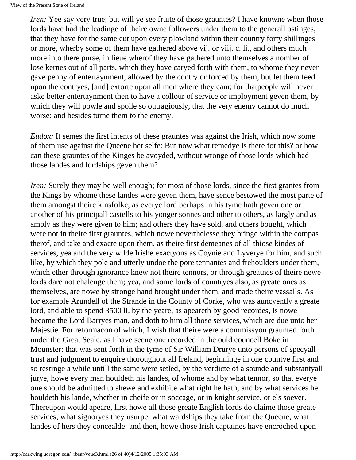*Iren:* Yee say very true; but will ye see fruite of those grauntes? I have knowne when those lords have had the leadinge of theire owne followers under them to the generall ostinges, that they have for the same cut upon every plowland within their country forty shillinges or more, wherby some of them have gathered above vij. or viij. c. li., and others much more into there purse, in lieue wherof they have gathered unto themselves a nomber of lose kernes out of all parts, which they have caryed forth with them, to whome they never gave penny of entertaynment, allowed by the contry or forced by them, but let them feed upon the contryes, [and] extorte upon all men where they cam; for thatpeople will never aske better entertaynment then to have a collour of service or imployment geven them, by which they will powle and spoile so outragiously, that the very enemy cannot do much worse: and besides turne them to the enemy.

*Eudox:* It semes the first intents of these grauntes was against the Irish, which now some of them use against the Queene her selfe: But now what remedye is there for this? or how can these grauntes of the Kinges be avoyded, without wronge of those lords which had those landes and lordships geven them?

*Iren:* Surely they may be well enough; for most of those lords, since the first grantes from the Kings by whome these landes were geven them, have sence bestowed the most parte of them amongst theire kinsfolke, as everye lord perhaps in his tyme hath geven one or another of his principall castells to his yonger sonnes and other to others, as largly and as amply as they were given to him; and others they have sold, and others bought, which were not in theire first grauntes, which nowe neverthelesse they bringe within the compas therof, and take and exacte upon them, as theire first demeanes of all thiose kindes of services, yea and the very wilde Irishe exactyons as Coynie and Lyverye for him, and such like, by which they pole and utterly undoe the pore tennantes and frehoulders under them, which ether through ignorance knew not theire tennors, or through greatnes of theire newe lords dare not chalenge them; yea, and some lords of countryes also, as greate ones as themselves, are nowe by stronge hand brought under them, and made theire vassalls. As for example Arundell of the Strande in the County of Corke, who was auncyently a greate lord, and able to spend 3500 li. by the yeare, as apeareth by good recordes, is nowe become the Lord Barryes man, and doth to him all those services, which are due unto her Majestie. For reformacon of which, I wish that theire were a commissyon graunted forth under the Great Seale, as I have seene one recorded in the ould councell Boke in Mounster: that was sent forth in the tyme of Sir William Drurye unto persons of specyall trust and judgment to enquire thoroughout all Ireland, beginninge in one countye first and so restinge a while untill the same were setled, by the verdicte of a sounde and substantyall jurye, howe every man houldeth his landes, of whome and by what tennor, so that everye one should be admitted to shewe and exhibite what right he hath, and by what services he houldeth his lande, whether in cheife or in soccage, or in knight service, or els soever. Thereupon would apeare, first howe all those greate English lords do claime those greate services, what signoryes they usurpe, what wardships they take from the Queene, what landes of hers they concealde: and then, howe those Irish captaines have encroched upon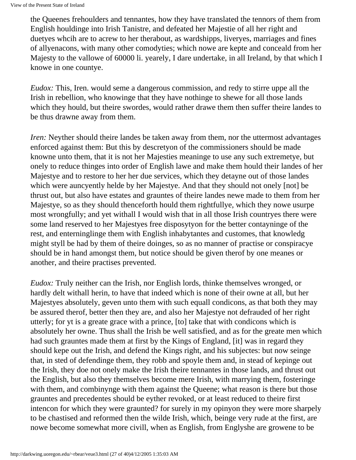the Queenes frehoulders and tennantes, how they have translated the tennors of them from English houldinge into Irish Tanistre, and defeated her Majestie of all her right and duetyes whcih are to acrew to her therabout, as wardshipps, liveryes, marriages and fines of allyenacons, with many other comodyties; which nowe are kepte and conceald from her Majesty to the vallowe of 60000 li. yearely, I dare undertake, in all Ireland, by that which I knowe in one countye.

*Eudox:* This, Iren. would seme a dangerous commission, and redy to stirre uppe all the Irish in rebellion, who knowinge that they have nothinge to shewe for all those lands which they hould, but theire swordes, would rather drawe them then suffer theire landes to be thus drawne away from them.

*Iren:* Neyther should theire landes be taken away from them, nor the uttermost advantages enforced against them: But this by descretyon of the commissioners should be made knowne unto them, that it is not her Majesties meaninge to use any such extremetye, but onely to reduce thinges into order of English lawe and make them hould their landes of her Majestye and to restore to her her due services, which they detayne out of those landes which were auncyently helde by her Majestye. And that they should not onely [not] be thrust out, but also have estates and grauntes of theire landes newe made to them from her Majestye, so as they should thenceforth hould them rightfullye, which they nowe usurpe most wrongfully; and yet withall I would wish that in all those Irish countryes there were some land reserved to her Majestyes free disposytyon for the better contayninge of the rest, and enterninglinge them with English inhabytantes and customes, that knowledg might styll be had by them of theire doinges, so as no manner of practise or conspiracye should be in hand amongst them, but notice should be given therof by one meanes or another, and theire practises prevented.

*Eudox:* Truly neither can the Irish, nor English lords, thinke themselves wronged, or hardly delt withall herin, to have that indeed which is none of their owne at all, but her Majestyes absolutely, geven unto them with such equall condicons, as that both they may be assured therof, better then they are, and also her Majestye not defrauded of her right utterly; for yt is a greate grace with a prince, [to] take that with condicons which is absolutely her owne. Thus shall the Irish be well satisfied, and as for the greate men which had such grauntes made them at first by the Kings of England, [it] was in regard they should kepe out the Irish, and defend the Kings right, and his subjectes: but now seinge that, in sted of defendinge them, they robb and spoyle them and, in stead of kepinge out the Irish, they doe not onely make the Irish theire tennantes in those lands, and thrust out the English, but also they themselves become mere Irish, with marrying them, fosteringe with them, and combinynge with them against the Queene; what reason is there but those grauntes and precedentes should be eyther revoked, or at least reduced to theire first intencon for which they were graunted? for surely in my opinyon they were more sharpely to be chastised and reformed then the wilde Irish, which, beinge very rude at the first, are nowe become somewhat more civill, when as English, from Englyshe are growene to be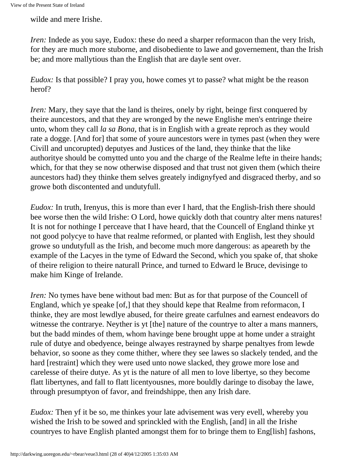wilde and mere Irishe.

*Iren:* Indede as you saye, Eudox: these do need a sharper reformacon than the very Irish, for they are much more stuborne, and disobediente to lawe and governement, than the Irish be; and more mallytious than the English that are dayle sent over.

*Eudox:* Is that possible? I pray you, howe comes yt to passe? what might be the reason herof?

*Iren:* Mary, they saye that the land is theires, onely by right, beinge first conquered by theire auncestors, and that they are wronged by the newe Englishe men's entringe theire unto, whom they call *la sa Bona,* that is in English with a greate reproch as they would rate a dogge. [And for] that some of youre auncestors were in tymes past (when they were Civill and uncorupted) deputyes and Justices of the land, they thinke that the like authoritye should be comytted unto you and the charge of the Realme lefte in theire hands; which, for that they se now otherwise disposed and that trust not given them (which theire auncestors had) they thinke them selves greately indignyfyed and disgraced therby, and so growe both discontented and undutyfull.

*Eudox:* In truth, Irenyus, this is more than ever I hard, that the English-Irish there should bee worse then the wild Irishe: O Lord, howe quickly doth that country alter mens natures! It is not for nothinge I perceave that I have heard, that the Councell of England thinke yt not good polycye to have that realme reformed, or planted with English, lest they should growe so undutyfull as the Irish, and become much more dangerous: as apeareth by the example of the Lacyes in the tyme of Edward the Second, which you spake of, that shoke of theire religion to theire naturall Prince, and turned to Edward le Bruce, devisinge to make him Kinge of Irelande.

*Iren:* No tymes have bene without bad men: But as for that purpose of the Councell of England, which ye speake [of,] that they should kepe that Realme from reformacon, I thinke, they are most lewdlye abused, for theire greate carfulnes and earnest endeavors do witnesse the contrarye. Neyther is yt [the] nature of the countrye to alter a mans manners, but the badd mindes of them, whom havinge bene brought uppe at home under a straight rule of dutye and obedyence, beinge alwayes restrayned by sharpe penaltyes from lewde behavior, so soone as they come thither, where they see lawes so slackely tended, and the hard [restraint] which they were used unto nowe slacked, they growe more lose and carelesse of theire dutye. As yt is the nature of all men to love libertye, so they become flatt libertynes, and fall to flatt licentyousnes, more bouldly daringe to disobay the lawe, through presumptyon of favor, and freindshippe, then any Irish dare.

*Eudox:* Then yf it be so, me thinkes your late advisement was very evell, whereby you wished the Irish to be sowed and sprinckled with the English, [and] in all the Irishe countryes to have English planted amongst them for to bringe them to Eng[lish] fashons,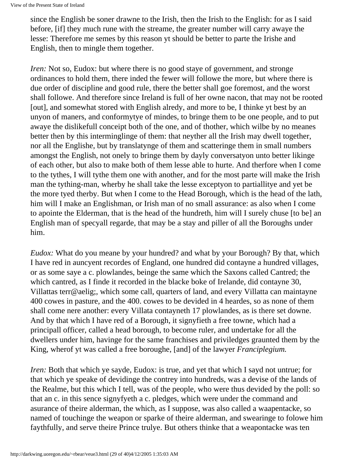since the English be soner drawne to the Irish, then the Irish to the English: for as I said before, [if] they much rune with the streame, the greater number will carry awaye the lesse: Therefore me semes by this reason yt should be better to parte the Irishe and English, then to mingle them together.

*Iren:* Not so, Eudox: but where there is no good staye of government, and stronge ordinances to hold them, there inded the fewer will followe the more, but where there is due order of discipline and good rule, there the better shall goe foremost, and the worst shall followe. And therefore since Ireland is full of her owne nacon, that may not be rooted [out], and somewhat stored with English alredy, and more to be, I thinke yt best by an unyon of maners, and conformytye of mindes, to bringe them to be one people, and to put awaye the dislikefull conceipt both of the one, and of thother, which wilbe by no meanes better then by this interminglinge of them: that neyther all the Irish may dwell together, nor all the Englishe, but by translatynge of them and scatteringe them in small numbers amongst the English, not onely to bringe them by dayly conversatyon unto better likinge of each other, but also to make both of them lesse able to hurte. And therfore when I come to the tythes, I will tythe them one with another, and for the most parte will make the Irish man the tything-man, wherby he shall take the lesse exceptyon to partiallitye and yet be the more tyed therby. But when I come to the Head Borough, which is the head of the lath, him will I make an Englishman, or Irish man of no small assurance: as also when I come to apointe the Elderman, that is the head of the hundreth, him will I surely chuse [to be] an English man of specyall regarde, that may be a stay and piller of all the Boroughs under him.

*Eudox:* What do you meane by your hundred? and what by your Borough? By that, which I have red in auncyent recordes of England, one hundred did contayne a hundred villages, or as some saye a c. plowlandes, beinge the same which the Saxons called Cantred; the which cantred, as I finde it recorded in the blacke boke of Irelande, did contayne 30, Villattas terr@aelig;, which some call, quarters of land, and every Villatta can maintayne 400 cowes in pasture, and the 400. cowes to be devided in 4 heardes, so as none of them shall come nere another: every Villata contayneth 17 plowlandes, as is there set downe. And by that which I have red of a Borough, it signyfieth a free towne, which had a principall officer, called a head borough, to become ruler, and undertake for all the dwellers under him, havinge for the same franchises and priviledges graunted them by the King, wherof yt was called a free boroughe, [and] of the lawyer *Franciplegium.* 

*Iren:* Both that which ye sayde, Eudox: is true, and yet that which I sayd not untrue; for that which ye speake of devidinge the contrey into hundreds, was a devise of the lands of the Realme, but this which I tell, was of the people, who were thus devided by the poll: so that an c. in this sence signyfyeth a c. pledges, which were under the command and asurance of theire alderman, the which, as I suppose, was also called a waapentacke, so named of touchinge the weapon or sparke of theire alderman, and swearinge to folowe him faythfully, and serve theire Prince trulye. But others thinke that a weapontacke was ten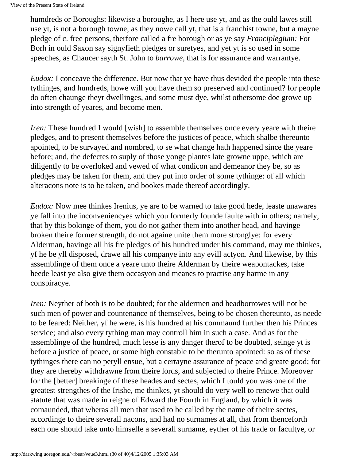humdreds or Boroughs: likewise a boroughe, as I here use yt, and as the ould lawes still use yt, is not a borough towne, as they nowe call yt, that is a franchist towne, but a mayne pledge of c. free persons, therfore called a fre borough or as ye say *Franciplegium:* For Borh in ould Saxon say signyfieth pledges or suretyes, and yet yt is so used in some speeches, as Chaucer sayth St. John to *barrowe,* that is for assurance and warrantye.

*Eudox:* I conceave the difference. But now that ye have thus devided the people into these tythinges, and hundreds, howe will you have them so preserved and continued? for people do often chaunge theyr dwellinges, and some must dye, whilst othersome doe growe up into strength of yeares, and become men.

*Iren:* These hundred I would [wish] to assemble themselves once every yeare with theire pledges, and to present themselves before the justices of peace, which shalbe thereunto apointed, to be survayed and nombred, to se what change hath happened since the yeare before; and, the defectes to suply of those yonge plantes late growne uppe, which are diligently to be overloked and vewed of what condicon and demeanor they be, so as pledges may be taken for them, and they put into order of some tythinge: of all which alteracons note is to be taken, and bookes made thereof accordingly.

*Eudox:* Now mee thinkes Irenius, ye are to be warned to take good hede, leaste unawares ye fall into the inconveniencyes which you formerly founde faulte with in others; namely, that by this bokinge of them, you do not gather them into another head, and havinge broken theire former strength, do not againe unite them more stronglye: for every Alderman, havinge all his fre pledges of his hundred under his command, may me thinkes, yf he be yll disposed, drawe all his companye into any evill actyon. And likewise, by this assemblinge of them once a yeare unto theire Alderman by theire weapontackes, take heede least ye also give them occasyon and meanes to practise any harme in any conspiracye.

*Iren:* Neyther of both is to be doubted; for the aldermen and headborrowes will not be such men of power and countenance of themselves, being to be chosen thereunto, as neede to be feared: Neither, yf he were, is his hundred at his commaund further then his Princes service; and also every tything man may controll him in such a case. And as for the assemblinge of the hundred, much lesse is any danger therof to be doubted, seinge yt is before a justice of peace, or some high constable to be therunto apointed: so as of these tythinges there can no peryll ensue, but a certayne assurance of peace and greate good; for they are thereby withdrawne from theire lords, and subjected to theire Prince. Moreover for the [better] breakinge of these heades and sectes, which I tould you was one of the greatest strengthes of the Irishe, me thinkes, yt should do very well to renewe that ould statute that was made in reigne of Edward the Fourth in England, by which it was comaunded, that wheras all men that used to be called by the name of theire sectes, accordinge to theire severall nacons, and had no surnames at all, that from thenceforth each one should take unto himselfe a severall surname, eyther of his trade or facultye, or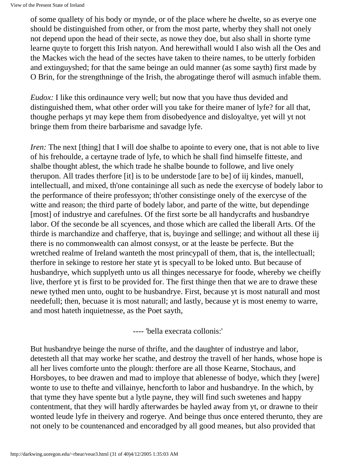of some quallety of his body or mynde, or of the place where he dwelte, so as everye one should be distinguished from other, or from the most parte, wherby they shall not onely not depend upon the head of their secte, as nowe they doe, but also shall in shorte tyme learne quyte to forgett this Irish natyon. And herewithall would I also wish all the Oes and the Mackes wich the head of the sectes have taken to theire names, to be utterly forbiden and extinguyshed; for that the same beinge an ould manner (as some sayth) first made by O Brin, for the strengthninge of the Irish, the abrogatinge therof will asmuch infable them.

*Eudox:* I like this ordinaunce very well; but now that you have thus devided and distinguished them, what other order will you take for theire maner of lyfe? for all that, thoughe perhaps yt may kepe them from disobedyence and disloyaltye, yet will yt not bringe them from theire barbarisme and savadge lyfe.

*Iren:* The next [thing] that I will doe shalbe to apointe to every one, that is not able to live of his frehoulde, a certayne trade of lyfe, to which he shall find himselfe fitteste, and shalbe thought ablest, the which trade he shalbe bounde to followe, and live onely therupon. All trades therfore [it] is to be understode [are to be] of iij kindes, manuell, intellectuall, and mixed, th'one containinge all such as nede the exercyse of bodely labor to the performance of theire professyon; th'other consistinge onely of the exercyse of the witte and reason; the third parte of bodely labor, and parte of the witte, but dependinge [most] of industrye and carefulnes. Of the first sorte be all handycrafts and husbandrye labor. Of the seconde be all scyences, and those which are called the liberall Arts. Of the thirde is marchandize and chafferye, that is, buyinge and sellinge; and without all these iij there is no commonwealth can almost consyst, or at the leaste be perfecte. But the wretched realme of Ireland wanteth the most princypall of them, that is, the intellectuall; therfore in sekinge to restore her state yt is specyall to be loked unto. But because of husbandrye, which supplyeth unto us all thinges necessarye for foode, whereby we cheifly live, therfore yt is first to be provided for. The first thinge then that we are to drawe these newe tythed men unto, ought to be husbandrye. First, because yt is most naturall and most needefull; then, becuase it is most naturall; and lastly, because yt is most enemy to warre, and most hateth inquietnesse, as the Poet sayth,

---- 'bella execrata collonis:'

But husbandrye beinge the nurse of thrifte, and the daughter of industrye and labor, detesteth all that may worke her scathe, and destroy the travell of her hands, whose hope is all her lives comforte unto the plough: therfore are all those Kearne, Stochaus, and Horsboyes, to bee drawen and mad to imploye that ablenesse of bodye, which they [were] wonte to use to thefte and villainye, hencforth to labor and husbandrye. In the which, by that tyme they have spente but a lytle payne, they will find such swetenes and happy contentment, that they will hardly afterwardes be hayled away from yt, or drawne to their wonted leude lyfe in theivery and rogerye. And beinge thus once entered therunto, they are not onely to be countenanced and encoradged by all good meanes, but also provided that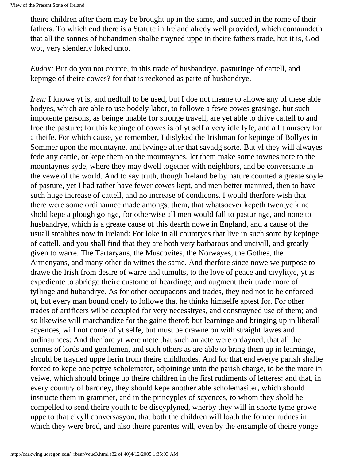theire children after them may be brought up in the same, and succed in the rome of their fathers. To which end there is a Statute in Ireland alredy well provided, which comaundeth that all the sonnes of hubandmen shalbe trayned uppe in theire fathers trade, but it is, God wot, very slenderly loked unto.

*Eudox:* But do you not counte, in this trade of husbandrye, pasturinge of cattell, and kepinge of theire cowes? for that is reckoned as parte of husbandrye.

*Iren:* I knowe yt is, and nedfull to be used, but I doe not meane to allowe any of these able bodyes, which are able to use bodely labor, to followe a fewe cowes grasinge, but such impotente persons, as beinge unable for stronge travell, are yet able to drive cattell to and froe the pasture; for this kepinge of cowes is of yt self a very idle lyfe, and a fit nursery for a theife. For which cause, ye remember, I dislyked the Irishman for kepinge of Bollyes in Sommer upon the mountayne, and lyvinge after that savadg sorte. But yf they will alwayes fede any cattle, or kepe them on the mountaynes, let them make some townes nere to the mountaynes syde, where they may dwell together with neighbors, and be conversante in the vewe of the world. And to say truth, though Ireland be by nature counted a greate soyle of pasture, yet I had rather have fewer cowes kept, and men better mannred, then to have such huge increase of cattell, and no increase of condicons. I would therfore wish that there were some ordinaunce made amongst them, that whatsoever kepeth twentye kine shold kepe a plough goinge, for otherwise all men would fall to pasturinge, and none to husbandrye, which is a greate cause of this dearth nowe in England, and a cause of the usuall stealthes now in Ireland: For loke in all countryes that live in such sorte by kepinge of cattell, and you shall find that they are both very barbarous and uncivill, and greatly given to warre. The Tartaryans, the Muscovites, the Norwayes, the Gothes, the Armenyans, and many other do witnes the same. And therfore since nowe we purpose to drawe the Irish from desire of warre and tumults, to the love of peace and civylitye, yt is expediente to abridge theire custome of heardinge, and augment their trade more of tyllinge and hubandrye. As for other occupacons and trades, they ned not to be enforced ot, but every man bound onely to followe that he thinks himselfe aptest for. For other trades of artificers wilbe occupied for very necessityes, and constrayned use of them; and so likewise will marchandize for the gaine therof; but learninge and bringing up in liberall scyences, will not come of yt selfe, but must be drawne on with straight lawes and ordinaunces: And therfore yt were mete that such an acte were ordayned, that all the sonnes of lords and gentlemen, and such others as are able to bring them up in learninge, should be trayned uppe herin from theire childhodes. And for that end everye parish shalbe forced to kepe one pettye scholemater, adjoininge unto the parish charge, to be the more in veiwe, which should bringe up theire children in the first rudiments of letteres: and that, in every country of baroney, they should kepe another able scholemasiter, which should instructe them in grammer, and in the princyples of scyences, to whom they shold be compelled to send theire youth to be discyplyned, wherby they will in shorte tyme growe uppe to that civyll conversasyon, that both the children will loath the former rudnes in which they were bred, and also theire parentes will, even by the ensample of theire yonge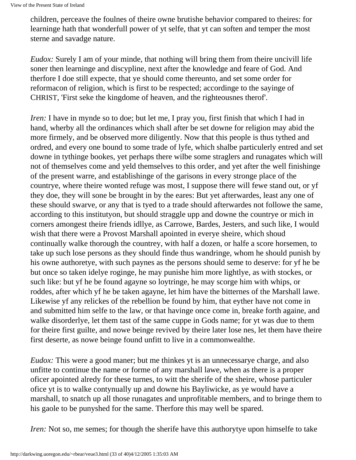children, perceave the foulnes of theire owne brutishe behavior compared to theires: for learninge hath that wonderfull power of yt selfe, that yt can soften and temper the most sterne and savadge nature.

*Eudox:* Surely I am of your minde, that nothing will bring them from theire uncivill life soner then learninge and discypline, next after the knowledge and feare of God. And therfore I doe still expecte, that ye should come thereunto, and set some order for reformacon of religion, which is first to be respected; accordinge to the sayinge of CHRIST, 'First seke the kingdome of heaven, and the righteousnes therof'.

*Iren*: I have in mynde so to doe; but let me, I pray you, first finish that which I had in hand, wherby all the ordinances which shall after be set downe for religion may abid the more firmely, and be observed more diligently. Now that this people is thus tythed and ordred, and every one bound to some trade of lyfe, which shalbe particulerly entred and set downe in tythinge bookes, yet perhaps there wilbe some straglers and runagates which will not of themselves come and yeld themselves to this order, and yet after the well finishinge of the present warre, and establishinge of the garisons in every stronge place of the countrye, where theire wonted refuge was most, I suppose there will fewe stand out, or yf they doe, they will sone be brought in by the eares: But yet afterwardes, least any one of these should swarve, or any that is tyed to a trade should afterwardes not followe the same, according to this institutyon, but should straggle upp and downe the countrye or mich in corners amongest theire friends idllye, as Carrowe, Bardes, Jesters, and such like, I would wish that there were a Provost Marshall apointed in everye sheire, which shoud continually walke thorough the countrey, with half a dozen, or halfe a score horsemen, to take up such lose persons as they should finde thus wandringe, whom he should punish by his owne authoretye, with such paynes as the persons should seme to deserve: for yf he be but once so taken idelye roginge, he may punishe him more lightlye, as with stockes, or such like: but yf he be found agayne so loytringe, he may scorge him with whips, or roddes, after which yf he be taken agayne, let him have the bitternes of the Marshall lawe. Likewise yf any relickes of the rebellion be found by him, that eyther have not come in and submitted him selfe to the law, or that havinge once come in, breake forth againe, and walke disorderlye, let them tast of the same cuppe in Gods name; for yt was due to them for theire first guilte, and nowe beinge revived by theire later lose nes, let them have theire first deserte, as nowe beinge found unfitt to live in a commonwealthe.

*Eudox:* This were a good maner; but me thinkes yt is an unnecessarye charge, and also unfitte to continue the name or forme of any marshall lawe, when as there is a proper oficer apointed alredy for these turnes, to witt the sherife of the sheire, whose particuler ofice yt is to walke contynually up and downe his Bayliwicke, as ye would have a marshall, to snatch up all those runagates and unprofitable members, and to bringe them to his gaole to be punyshed for the same. Therfore this may well be spared.

*Iren:* Not so, me semes; for though the sherife have this authorytye upon himselfe to take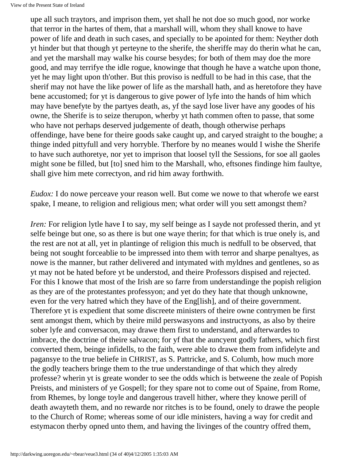upe all such traytors, and imprison them, yet shall he not doe so much good, nor worke that terror in the hartes of them, that a marshall will, whom they shall knowe to have power of life and death in such cases, and specially to be apointed for them: Neyther doth yt hinder but that though yt perteyne to the sherife, the sheriffe may do therin what he can, and yet the marshall may walke his course besydes; for both of them may doe the more good, and may terrifye the idle rogue, knowinge that though he have a watche upon thone, yet he may light upon th'other. But this proviso is nedfull to be had in this case, that the sherif may not have the like power of life as the marshall hath, and as heretofore they have bene accustomed; for yt is dangerous to give power of lyfe into the hands of him which may have benefyte by the partyes death, as, yf the sayd lose liver have any goodes of his owne, the Sherife is to seize therupon, wherby yt hath commen often to passe, that some who have not perhaps deserved judgemente of death, though otherwise perhaps offendinge, have bene for theire goods sake caught up, and caryed straight to the boughe; a thinge inded pittyfull and very horryble. Therfore by no meanes would I wishe the Sherife to have such authoretye, nor yet to imprison that loosel tyll the Sessions, for soe all gaoles might sone be filled, but [to] sned him to the Marshall, who, eftsones findinge him faultye, shall give him mete correctyon, and rid him away forthwith.

*Eudox:* I do nowe perceave your reason well. But come we nowe to that wherofe we earst spake, I meane, to religion and religious men; what order will you sett amongst them?

*Iren:* For religion lytle have I to say, my self beinge as I sayde not professed therin, and yt selfe beinge but one, so as there is but one waye therin; for that which is true onely is, and the rest are not at all, yet in plantinge of religion this much is nedfull to be observed, that being not sought forceablie to be impressed into them with terror and sharpe penaltyes, as nowe is the manner, but rather delivered and intymated with myldnes and gentlenes, so as yt may not be hated before yt be understod, and theire Professors dispised and rejected. For this I knowe that most of the Irish are so farre from understandinge the popish religion as they are of the protestantes professyon; and yet do they hate that though unknowne, even for the very hatred which they have of the Eng[lish], and of theire government. Therefore yt is expedient that some discreete ministers of theire owne contrymen be first sent amongst them, which by theire mild perswasyons and instructyons, as also by theire sober lyfe and conversacon, may drawe them first to understand, and afterwardes to imbrace, the doctrine of theire salvacon; for yf that the auncyent godly fathers, which first converted them, beinge infidells, to the faith, were able to drawe them from infidelyte and pagansye to the true beliefe in CHRIST, as S. Pattricke, and S. Columb, how much more the godly teachers bringe them to the true understandinge of that which they alredy professe? wherin yt is greate wonder to see the odds which is betweene the zeale of Popish Preists, and ministers of ye Gospell; for they spare not to come out of Spaine, from Rome, from Rhemes, by longe toyle and dangerous travell hither, where they knowe perill of death awayteth them, and no rewarde nor ritches is to be found, onely to drawe the people to the Church of Rome; whereas some of our idle ministers, having a way for credit and estymacon therby opned unto them, and having the livinges of the country offred them,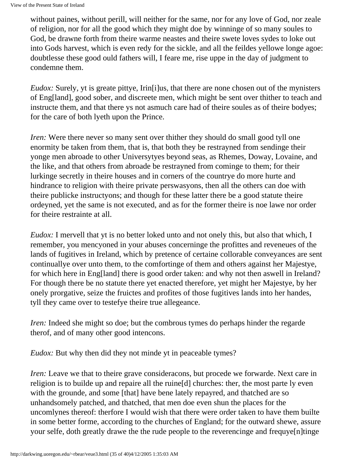without paines, without perill, will neither for the same, nor for any love of God, nor zeale of religion, nor for all the good which they might doe by winninge of so many soules to God, be drawne forth from theire warme neastes and theire swete loves sydes to loke out into Gods harvest, which is even redy for the sickle, and all the feildes yellowe longe agoe: doubtlesse these good ould fathers will, I feare me, rise uppe in the day of judgment to condemne them.

*Eudox:* Surely, yt is greate pittye, Irin<sup>[i]</sup>us, that there are none chosen out of the mynisters of Eng[land], good sober, and discreete men, which might be sent over thither to teach and instructe them, and that there ys not asmuch care had of theire soules as of theire bodyes; for the care of both lyeth upon the Prince.

*Iren:* Were there never so many sent over thither they should do small good tyll one enormity be taken from them, that is, that both they be restrayned from sendinge their yonge men abroade to other Universytyes beyond seas, as Rhemes, Doway, Lovaine, and the like, and that others from abroade be restrayned from cominge to them; for their lurkinge secretly in theire houses and in corners of the countrye do more hurte and hindrance to religion with theire private perswasyons, then all the others can doe with theire publicke instructyons; and though for these latter there be a good statute theire ordeyned, yet the same is not executed, and as for the former theire is noe lawe nor order for theire restrainte at all.

*Eudox:* I mervell that yt is no better loked unto and not onely this, but also that which, I remember, you mencyoned in your abuses concerninge the profittes and reveneues of the lands of fugitives in Ireland, which by pretence of certaine collorable conveyances are sent continuallye over unto them, to the comfortinge of them and others against her Majestye, for which here in Eng[land] there is good order taken: and why not then aswell in Ireland? For though there be no statute there yet enacted therefore, yet might her Majestye, by her onely prorgative, seize the fruictes and profites of those fugitives lands into her handes, tyll they came over to testefye theire true allegeance.

*Iren*: Indeed she might so doe; but the combrous tymes do perhaps hinder the regarde therof, and of many other good intencons.

*Eudox:* But why then did they not minde yt in peaceable tymes?

*Iren:* Leave we that to theire grave consideracons, but procede we forwarde. Next care in religion is to builde up and repaire all the ruine[d] churches: ther, the most parte ly even with the grounde, and some [that] have bene lately repayred, and thatched are so unhandsomely patched, and thatched, that men doe even shun the places for the uncomlynes thereof: therfore I would wish that there were order taken to have them builte in some better forme, according to the churches of England; for the outward shewe, assure your selfe, doth greatly drawe the the rude people to the reverencinge and frequye[n]tinge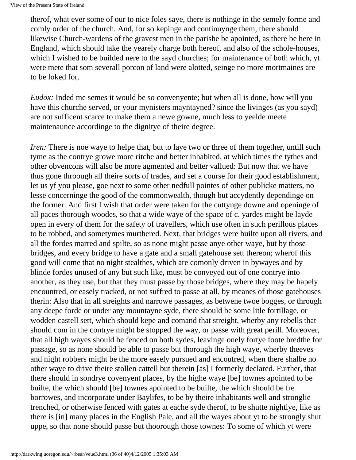therof, what ever some of our to nice foles saye, there is nothinge in the semely forme and comly order of the church. And, for so kepinge and continuynge them, there should likewise Church-wardens of the gravest men in the parishe be apointed, as there be here in England, which should take the yearely charge both hereof, and also of the schole-houses, which I wished to be builded nere to the sayd churches; for maintenance of both which, yt were mete that som severall porcon of land were alotted, seinge no more mortmaines are to be loked for.

*Eudox:* Inded me semes it would be so convenyente; but when all is done, how will you have this churche served, or your mynisters mayntayned? since the livinges (as you sayd) are not sufficent scarce to make them a newe gowne, much less to yeelde meete maintenaunce accordinge to the dignitye of theire degree.

*Iren:* There is noe waye to helpe that, but to laye two or three of them together, untill such tyme as the contrye growe more ritche and better inhabited, at which times the tythes and other obvencons will also be more agmented and better vallued: But now that we have thus gone throough all theire sorts of trades, and set a course for their good establishment, let us yf you please, goe next to some other nedfull pointes of other publicke matters, no lesse concerninge the good of the commonwealth, though but accydently dependinge on the former. And first I wish that order were taken for the cuttynge downe and openinge of all paces thorough woodes, so that a wide waye of the space of c. yardes might be layde open in every of them for the safety of travellers, which use often in such perillous places to be robbed, and sometymes murthered. Next, that bridges were builte upon all rivers, and all the fordes marred and spilte, so as none might passe anye other waye, but by those bridges, and every bridge to have a gate and a small gatehouse sett thereon; wherof this good will come that no night stealthes, which are comonly driven in bywayes and by blinde fordes unused of any but such like, must be conveyed out of one contrye into another, as they use, but that they must passe by those bridges, where they may be hapely encountred, or easely tracked, or not suffred to passe at all, by meanes of those gatehouses therin: Also that in all streights and narrowe passages, as betwene twoe bogges, or through any deepe forde or under any mountayne syde, there should be some litle fortillage, or wodden castell sett, which should kepe and comand that streight, wherby any rebells that should com in the contrye might be stopped the way, or passe with great perill. Moreover, that all high wayes should be fenced on both sydes, leavinge onely fortye foote bredthe for passage, so as none should be able to passe but thorough the high waye, wherby theeves and night robbers might be the more easely pursued and encoutred, when there shalbe no other waye to drive theire stollen cattell but therein [as] I formerly declared. Further, that there should in sondrye covenyent places, by the highe waye [be] townes apointed to be builte, the which should [be] townes apointed to be builte, the which should be fre borrowes, and incorporate under Baylifes, to be by theire inhabitants well and stronglie trenched, or otherwise fenced with gates at eache syde therof, to be shutte nightlye, like as there is [in] many places in the English Pale, and all the wayes about yt to be strongly shut uppe, so that none should passe but thoorough those townes: To some of which yt were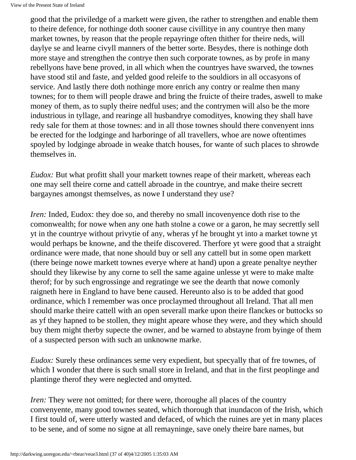good that the priviledge of a markett were given, the rather to strengthen and enable them to theire defence, for nothinge doth sooner cause civillitye in any countrye then many market townes, by reason that the people repayringe often thither for theire neds, will daylye se and learne civyll manners of the better sorte. Besydes, there is nothinge doth more staye and strengthen the contrye then such corporate townes, as by profe in many rebellyons have bene proved, in all which when the countryes have swarved, the townes have stood stil and faste, and yelded good releife to the souldiors in all occasyons of service. And lastly there doth nothinge more enrich any contry or realme then many townes; for to them will people drawe and bring the fruicte of theire trades, aswell to make money of them, as to suply theire nedful uses; and the contrymen will also be the more industrious in tyllage, and rearinge all husbandrye comodityes, knowing they shall have redy sale for them at those townes: and in all those townes should there convenyent inns be erected for the lodginge and harboringe of all travellers, whoe are nowe oftentimes spoyled by lodginge abroade in weake thatch houses, for wante of such places to shrowde themselves in.

*Eudox:* But what profitt shall your markett townes reape of their markett, whereas each one may sell theire corne and cattell abroade in the countrye, and make theire secrett bargaynes amongst themselves, as nowe I understand they use?

*Iren:* Inded, Eudox: they doe so, and thereby no small incovenyence doth rise to the comonwealth; for nowe when any one hath stolne a cowe or a garon, he may secrettly sell yt in the countrye without privytie of any, wheras yf he brought yt into a market towne yt would perhaps be knowne, and the theife discovered. Therfore yt were good that a straight ordinance were made, that none should buy or sell any cattell but in some open markett (there beinge nowe markett townes everye where at hand) upon a greate penaltye neyther should they likewise by any corne to sell the same againe unlesse yt were to make malte therof; for by such engrossinge and regratinge we see the dearth that nowe comonly raigneth here in England to have bene caused. Hereunto also is to be added that good ordinance, which I remember was once proclaymed throughout all Ireland. That all men should marke theire cattell with an open severall marke upon theire flanckes or buttocks so as yf they hapned to be stollen, they might apeare whose they were, and they which should buy them might therby supecte the owner, and be warned to abstayne from byinge of them of a suspected person with such an unknowne marke.

*Eudox:* Surely these ordinances seme very expedient, but specyally that of fre townes, of which I wonder that there is such small store in Ireland, and that in the first peoplinge and plantinge therof they were neglected and omytted.

*Iren:* They were not omitted; for there were, thoroughe all places of the country convenyente, many good townes seated, which thorough that inundacon of the Irish, which I first tould of, were utterly wasted and defaced, of which the ruines are yet in many places to be sene, and of some no signe at all remayninge, save onely theire bare names, but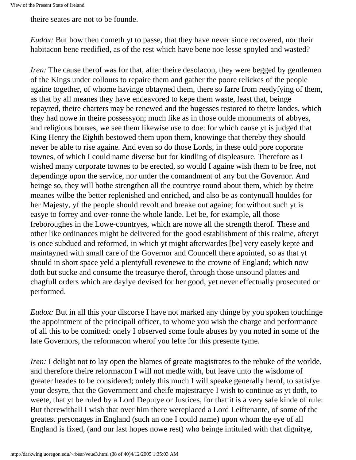theire seates are not to be founde.

*Eudox:* But how then cometh yt to passe, that they have never since recovered, nor their habitacon bene reedified, as of the rest which have bene noe lesse spoyled and wasted?

*Iren:* The cause therof was for that, after theire desolacon, they were begged by gentlemen of the Kings under collours to repaire them and gather the poore relickes of the people againe together, of whome havinge obtayned them, there so farre from reedyfying of them, as that by all meanes they have endeavored to kepe them waste, least that, beinge repayred, theire charters may be renewed and the bugesses restored to theire landes, which they had nowe in theire possessyon; much like as in those oulde monuments of abbyes, and religious houses, we see them likewise use to doe: for which cause yt is judged that King Henry the Eighth bestowed them upon them, knowinge that thereby they should never be able to rise againe. And even so do those Lords, in these ould pore coporate townes, of which I could name diverse but for kindling of displeasure. Therefore as I wished many corporate townes to be erected, so would I againe wish them to be free, not dependinge upon the service, nor under the comandment of any but the Governor. And beinge so, they will bothe strengthen all the countrye round about them, which by theire meanes wilbe the better replenished and enriched, and also be as contynuall houldes for her Majesty, yf the people should revolt and breake out againe; for without such yt is easye to forrey and over-ronne the whole lande. Let be, for example, all those freboroughes in the Lowe-countryes, which are nowe all the strength therof. These and other like ordinances might be delivered for the good establishment of this realme, afteryt is once subdued and reformed, in which yt might afterwardes [be] very easely kepte and maintayned with small care of the Governor and Councell there apointed, so as that yt should in short space yeld a plentyfull revenewe to the crowne of England; which now doth but sucke and consume the treasurye therof, through those unsound plattes and chagfull orders which are daylye devised for her good, yet never effectually prosecuted or performed.

*Eudox:* But in all this your discorse I have not marked any thinge by you spoken touchinge the appointment of the principall officer, to whome you wish the charge and performance of all this to be comitted: onely I observed some foule abuses by you noted in some of the late Governors, the reformacon wherof you lefte for this presente tyme.

*Iren:* I delight not to lay open the blames of greate magistrates to the rebuke of the worlde, and therefore theire reformacon I will not medle with, but leave unto the wisdome of greater heades to be considered; onlely this much I will speake generally herof, to satisfye your desyre, that the Government and cheife majestracye I wish to continue as yt doth, to weete, that yt be ruled by a Lord Deputye or Justices, for that it is a very safe kinde of rule: But therewithall I wish that over him there wereplaced a Lord Leiftenante, of some of the greatest personages in England (such an one I could name) upon whom the eye of all England is fixed, (and our last hopes nowe rest) who beinge intituled with that dignitye,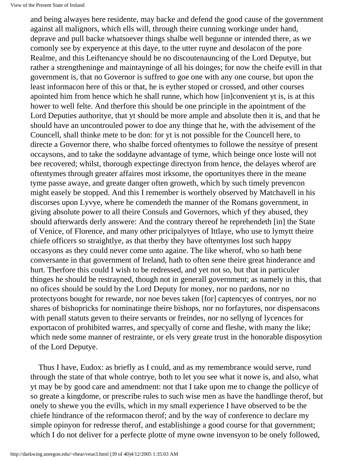and being alwayes here residente, may backe and defend the good cause of the government against all malignors, which ells will, through theire cunning workinge under hand, deprave and pull backe whatsoever things shalbe well begunne or intended there, as we comonly see by experyence at this daye, to the utter ruyne and desolacon of the pore Realme, and this Leiftenancye should be no discoutenauncing of the Lord Deputye, but rather a strengtheninge and maintayninge of all his doinges; for now the cheife evill in that government is, that no Governor is suffred to goe one with any one course, but upon the least informacon here of this or that, he is eyther stoped or crossed, and other courses apointed him from hence which he shall runne, which how [in]convenient yt is, is at this hower to well felte. And therfore this should be one principle in the apointment of the Lord Deputies authoritye, that yt should be more ample and absolute then it is, and that he should have an uncontrouled power to doe any thinge that he, with the advisement of the Councell, shall thinke mete to be don: for yt is not possible for the Councell here, to directe a Governor there, who shalbe forced oftentymes to followe the nessitye of present occaysons, and to take the soddayne advantage of tyme, which beinge once loste will not bee recovered; whilst, thorough expectinge directyon from hence, the delayes wherof are oftentymes through greater affaires most irksome, the oportunityes there in the meane tyme passe awaye, and greate danger often groweth, which by such timely prevencon might easely be stopped. And this I remember is worthely observed by Matchavell in his discorses upon Lyvye, where he comendeth the manner of the Romans government, in giving absolute power to all theire Consuls and Governors, which yf they abused, they should afterwards derly answere: And the contrary thereof he reprehendeth [in] the State of Venice, of Florence, and many other pricipalytyes of Ittlaye, who use to lymytt theire chiefe officers so straightlye, as that therby they have oftentymes lost such happy occasyons as they could never come unto againe. The like wherof, who so hath bene conversante in that government of Ireland, hath to often sene theire great hinderance and hurt. Therfore this could I wish to be redressed, and yet not so, but that in particuler thinges he should be restrayned, though not in generall government; as namely in this, that no ofices should be sould by the Lord Deputy for money, nor no pardons, nor no protectyons bought for rewarde, nor noe beves taken [for] captencyes of contryes, nor no shares of bishopricks for nominatinge theire bishops, nor no forfaytures, nor dispensacons with penall statuts geven to theire servants or freindes, nor no sellyng of lycences for exportacon of prohibited warres, and specyally of corne and fleshe, with many the like; which nede some manner of restrainte, or els very greate trust in the honorable disposytion of the Lord Deputye.

 Thus I have, Eudox: as briefly as I could, and as my remembrance would serve, rund through the state of that whole contrye, both to let you see what it nowe is, and also, what yt may be by good care and amendment: not that I take upon me to change the pollicye of so greate a kingdome, or prescribe rules to such wise men as have the handlinge therof, but onely to shewe you the evills, which in my small experience I have observed to be the chiefe hindrance of the reformacon therof; and by the way of conference to declare my simple opinyon for redresse therof, and establishinge a good course for that government; which I do not deliver for a perfecte plotte of myne owne invensyon to be onely followed,